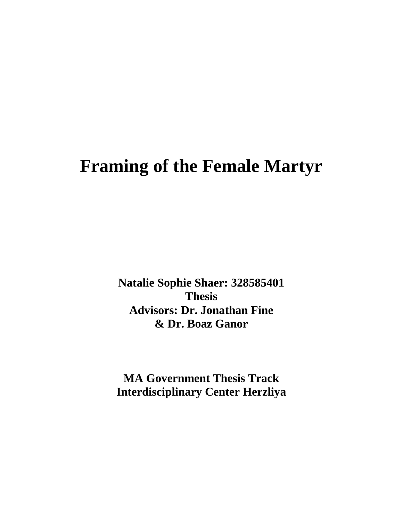# **Framing of the Female Martyr**

**Natalie Sophie Shaer: 328585401 Thesis Advisors: Dr. Jonathan Fine & Dr. Boaz Ganor**

**MA Government Thesis Track Interdisciplinary Center Herzliya**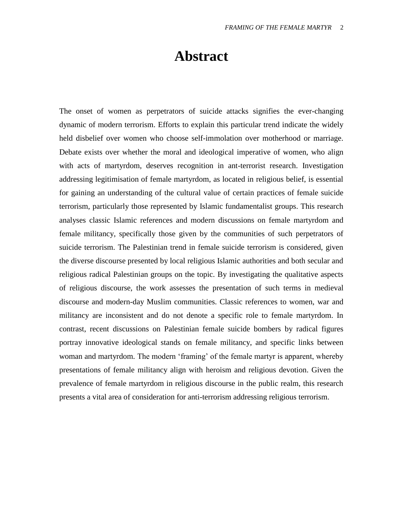## **Abstract**

The onset of women as perpetrators of suicide attacks signifies the ever-changing dynamic of modern terrorism. Efforts to explain this particular trend indicate the widely held disbelief over women who choose self-immolation over motherhood or marriage. Debate exists over whether the moral and ideological imperative of women, who align with acts of martyrdom, deserves recognition in ant-terrorist research. Investigation addressing legitimisation of female martyrdom, as located in religious belief, is essential for gaining an understanding of the cultural value of certain practices of female suicide terrorism, particularly those represented by Islamic fundamentalist groups. This research analyses classic Islamic references and modern discussions on female martyrdom and female militancy, specifically those given by the communities of such perpetrators of suicide terrorism. The Palestinian trend in female suicide terrorism is considered, given the diverse discourse presented by local religious Islamic authorities and both secular and religious radical Palestinian groups on the topic. By investigating the qualitative aspects of religious discourse, the work assesses the presentation of such terms in medieval discourse and modern-day Muslim communities. Classic references to women, war and militancy are inconsistent and do not denote a specific role to female martyrdom. In contrast, recent discussions on Palestinian female suicide bombers by radical figures portray innovative ideological stands on female militancy, and specific links between woman and martyrdom. The modern 'framing' of the female martyr is apparent, whereby presentations of female militancy align with heroism and religious devotion. Given the prevalence of female martyrdom in religious discourse in the public realm, this research presents a vital area of consideration for anti-terrorism addressing religious terrorism.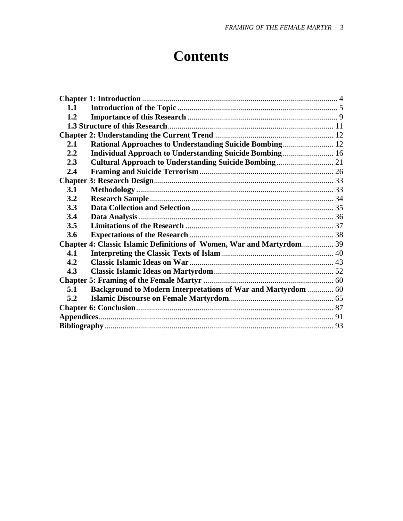## **Contents**

| 1.1                                                                   |                                                                      |  |
|-----------------------------------------------------------------------|----------------------------------------------------------------------|--|
| 1.2                                                                   |                                                                      |  |
|                                                                       |                                                                      |  |
|                                                                       |                                                                      |  |
| 2.1                                                                   |                                                                      |  |
| 2.2                                                                   | Individual Approach to Understanding Suicide Bombing 16              |  |
| 2.3                                                                   |                                                                      |  |
| 2.4                                                                   |                                                                      |  |
|                                                                       |                                                                      |  |
| 3.1                                                                   |                                                                      |  |
| 3.2                                                                   |                                                                      |  |
| 3.3                                                                   |                                                                      |  |
| 3.4                                                                   |                                                                      |  |
| 3.5                                                                   |                                                                      |  |
| 3.6                                                                   |                                                                      |  |
| Chapter 4: Classic Islamic Definitions of Women, War and Martyrdom 39 |                                                                      |  |
| 4.1                                                                   |                                                                      |  |
| 4.2                                                                   |                                                                      |  |
| 4.3                                                                   |                                                                      |  |
|                                                                       |                                                                      |  |
| 5.1                                                                   | <b>Background to Modern Interpretations of War and Martyrdom  60</b> |  |
| 5.2                                                                   |                                                                      |  |
|                                                                       |                                                                      |  |
|                                                                       |                                                                      |  |
|                                                                       |                                                                      |  |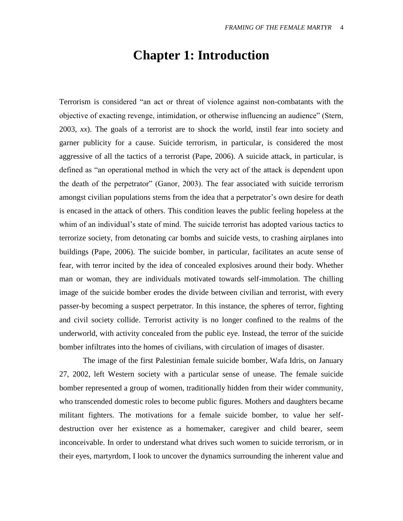### **Chapter 1: Introduction**

<span id="page-3-0"></span>Terrorism is considered "an act or threat of violence against non-combatants with the objective of exacting revenge, intimidation, or otherwise influencing an audience" (Stern, 2003, *xx*). The goals of a terrorist are to shock the world, instil fear into society and garner publicity for a cause. Suicide terrorism, in particular, is considered the most aggressive of all the tactics of a terrorist (Pape, 2006). A suicide attack, in particular, is defined as "an operational method in which the very act of the attack is dependent upon the death of the perpetrator" (Ganor, 2003). The fear associated with suicide terrorism amongst civilian populations stems from the idea that a perpetrator's own desire for death is encased in the attack of others. This condition leaves the public feeling hopeless at the whim of an individual's state of mind. The suicide terrorist has adopted various tactics to terrorize society, from detonating car bombs and suicide vests, to crashing airplanes into buildings (Pape, 2006). The suicide bomber, in particular, facilitates an acute sense of fear, with terror incited by the idea of concealed explosives around their body. Whether man or woman, they are individuals motivated towards self-immolation. The chilling image of the suicide bomber erodes the divide between civilian and terrorist, with every passer-by becoming a suspect perpetrator. In this instance, the spheres of terror, fighting and civil society collide. Terrorist activity is no longer confined to the realms of the underworld, with activity concealed from the public eye. Instead, the terror of the suicide bomber infiltrates into the homes of civilians, with circulation of images of disaster.

The image of the first Palestinian female suicide bomber, Wafa Idris, on January 27, 2002, left Western society with a particular sense of unease. The female suicide bomber represented a group of women, traditionally hidden from their wider community, who transcended domestic roles to become public figures. Mothers and daughters became militant fighters. The motivations for a female suicide bomber, to value her selfdestruction over her existence as a homemaker, caregiver and child bearer, seem inconceivable. In order to understand what drives such women to suicide terrorism, or in their eyes, martyrdom, I look to uncover the dynamics surrounding the inherent value and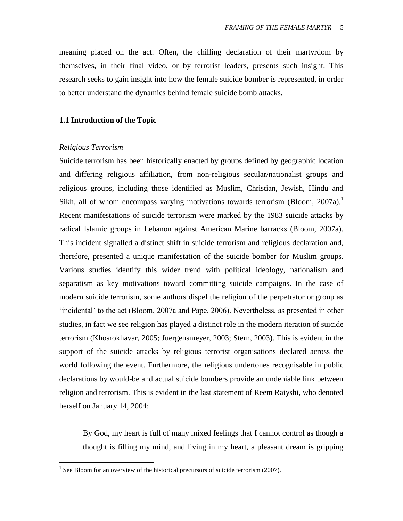meaning placed on the act. Often, the chilling declaration of their martyrdom by themselves, in their final video, or by terrorist leaders, presents such insight. This research seeks to gain insight into how the female suicide bomber is represented, in order to better understand the dynamics behind female suicide bomb attacks.

#### <span id="page-4-0"></span>**1.1 Introduction of the Topic**

#### *Religious Terrorism*

 $\overline{a}$ 

Suicide terrorism has been historically enacted by groups defined by geographic location and differing religious affiliation, from non-religious secular/nationalist groups and religious groups, including those identified as Muslim, Christian, Jewish, Hindu and Sikh, all of whom encompass varying motivations towards terrorism (Bloom,  $2007a$ ).<sup>1</sup> Recent manifestations of suicide terrorism were marked by the 1983 suicide attacks by radical Islamic groups in Lebanon against American Marine barracks (Bloom, 2007a). This incident signalled a distinct shift in suicide terrorism and religious declaration and, therefore, presented a unique manifestation of the suicide bomber for Muslim groups. Various studies identify this wider trend with political ideology, nationalism and separatism as key motivations toward committing suicide campaigns. In the case of modern suicide terrorism, some authors dispel the religion of the perpetrator or group as 'incidental' to the act (Bloom, 2007a and Pape, 2006). Nevertheless, as presented in other studies, in fact we see religion has played a distinct role in the modern iteration of suicide terrorism (Khosrokhavar, 2005; Juergensmeyer, 2003; Stern, 2003). This is evident in the support of the suicide attacks by religious terrorist organisations declared across the world following the event. Furthermore, the religious undertones recognisable in public declarations by would-be and actual suicide bombers provide an undeniable link between religion and terrorism. This is evident in the last statement of Reem Raiyshi, who denoted herself on January 14, 2004:

By God, my heart is full of many mixed feelings that I cannot control as though a thought is filling my mind, and living in my heart, a pleasant dream is gripping

<sup>&</sup>lt;sup>1</sup> See Bloom for an overview of the historical precursors of suicide terrorism (2007).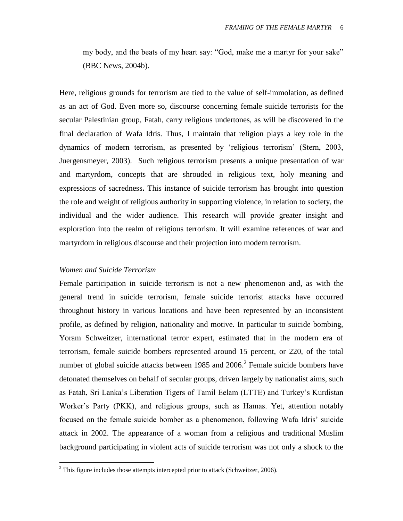my body, and the beats of my heart say: "God, make me a martyr for your sake" (BBC News, 2004b).

Here, religious grounds for terrorism are tied to the value of self-immolation, as defined as an act of God. Even more so, discourse concerning female suicide terrorists for the secular Palestinian group, Fatah, carry religious undertones, as will be discovered in the final declaration of Wafa Idris. Thus, I maintain that religion plays a key role in the dynamics of modern terrorism, as presented by "religious terrorism" (Stern, 2003, Juergensmeyer, 2003). Such religious terrorism presents a unique presentation of war and martyrdom, concepts that are shrouded in religious text, holy meaning and expressions of sacredness**.** This instance of suicide terrorism has brought into question the role and weight of religious authority in supporting violence, in relation to society, the individual and the wider audience. This research will provide greater insight and exploration into the realm of religious terrorism. It will examine references of war and martyrdom in religious discourse and their projection into modern terrorism.

#### *Women and Suicide Terrorism*

 $\overline{a}$ 

Female participation in suicide terrorism is not a new phenomenon and, as with the general trend in suicide terrorism, female suicide terrorist attacks have occurred throughout history in various locations and have been represented by an inconsistent profile, as defined by religion, nationality and motive. In particular to suicide bombing, Yoram Schweitzer, international terror expert, estimated that in the modern era of terrorism, female suicide bombers represented around 15 percent, or 220, of the total number of global suicide attacks between 1985 and  $2006$ .<sup>2</sup> Female suicide bombers have detonated themselves on behalf of secular groups, driven largely by nationalist aims, such as Fatah, Sri Lanka"s Liberation Tigers of Tamil Eelam (LTTE) and Turkey"s Kurdistan Worker"s Party (PKK), and religious groups, such as Hamas. Yet, attention notably focused on the female suicide bomber as a phenomenon, following Wafa Idris' suicide attack in 2002. The appearance of a woman from a religious and traditional Muslim background participating in violent acts of suicide terrorism was not only a shock to the

 $2$ <sup>2</sup> This figure includes those attempts intercepted prior to attack (Schweitzer, 2006).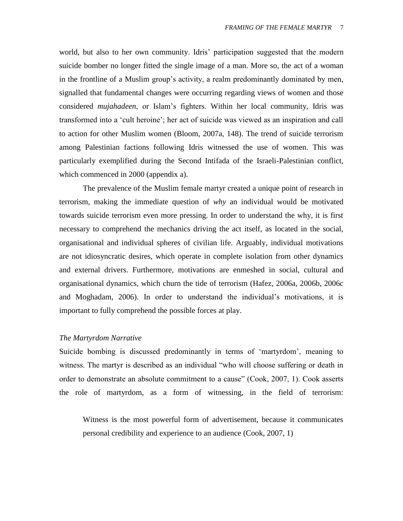world, but also to her own community. Idris' participation suggested that the modern suicide bomber no longer fitted the single image of a man. More so, the act of a woman in the frontline of a Muslim group's activity, a realm predominantly dominated by men, signalled that fundamental changes were occurring regarding views of women and those considered *mujahadeen*, or Islam"s fighters. Within her local community, Idris was transformed into a "cult heroine"; her act of suicide was viewed as an inspiration and call to action for other Muslim women (Bloom, 2007a, 148). The trend of suicide terrorism among Palestinian factions following Idris witnessed the use of women. This was particularly exemplified during the Second Intifada of the Israeli-Palestinian conflict, which commenced in 2000 (appendix a).

The prevalence of the Muslim female martyr created a unique point of research in terrorism, making the immediate question of *why* an individual would be motivated towards suicide terrorism even more pressing. In order to understand the why, it is first necessary to comprehend the mechanics driving the act itself, as located in the social, organisational and individual spheres of civilian life. Arguably, individual motivations are not idiosyncratic desires, which operate in complete isolation from other dynamics and external drivers. Furthermore, motivations are enmeshed in social, cultural and organisational dynamics, which churn the tide of terrorism (Hafez, 2006a, 2006b, 2006c and Moghadam, 2006). In order to understand the individual"s motivations, it is important to fully comprehend the possible forces at play.

#### *The Martyrdom Narrative*

Suicide bombing is discussed predominantly in terms of "martyrdom", meaning to witness. The martyr is described as an individual "who will choose suffering or death in order to demonstrate an absolute commitment to a cause" (Cook, 2007, 1). Cook asserts the role of martyrdom, as a form of witnessing, in the field of terrorism:

Witness is the most powerful form of advertisement, because it communicates personal credibility and experience to an audience (Cook, 2007, 1)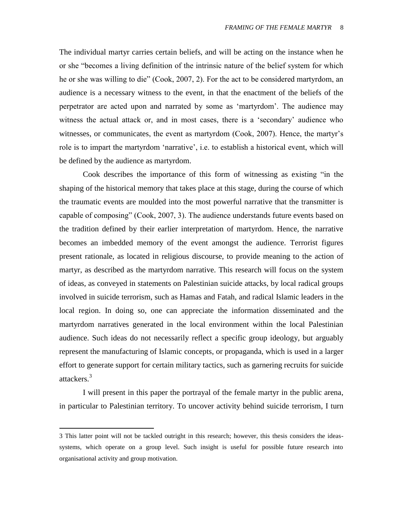The individual martyr carries certain beliefs, and will be acting on the instance when he or she "becomes a living definition of the intrinsic nature of the belief system for which he or she was willing to die" (Cook, 2007, 2). For the act to be considered martyrdom, an audience is a necessary witness to the event, in that the enactment of the beliefs of the perpetrator are acted upon and narrated by some as "martyrdom". The audience may witness the actual attack or, and in most cases, there is a 'secondary' audience who witnesses, or communicates, the event as martyrdom (Cook, 2007). Hence, the martyr's role is to impart the martyrdom 'narrative', i.e. to establish a historical event, which will be defined by the audience as martyrdom.

Cook describes the importance of this form of witnessing as existing "in the shaping of the historical memory that takes place at this stage, during the course of which the traumatic events are moulded into the most powerful narrative that the transmitter is capable of composing" (Cook, 2007, 3). The audience understands future events based on the tradition defined by their earlier interpretation of martyrdom. Hence, the narrative becomes an imbedded memory of the event amongst the audience. Terrorist figures present rationale, as located in religious discourse, to provide meaning to the action of martyr, as described as the martyrdom narrative. This research will focus on the system of ideas, as conveyed in statements on Palestinian suicide attacks, by local radical groups involved in suicide terrorism, such as Hamas and Fatah, and radical Islamic leaders in the local region. In doing so, one can appreciate the information disseminated and the martyrdom narratives generated in the local environment within the local Palestinian audience. Such ideas do not necessarily reflect a specific group ideology, but arguably represent the manufacturing of Islamic concepts, or propaganda, which is used in a larger effort to generate support for certain military tactics, such as garnering recruits for suicide attackers.<sup>3</sup>

I will present in this paper the portrayal of the female martyr in the public arena, in particular to Palestinian territory. To uncover activity behind suicide terrorism, I turn

 $\overline{a}$ 

<sup>3</sup> This latter point will not be tackled outright in this research; however, this thesis considers the ideassystems, which operate on a group level. Such insight is useful for possible future research into organisational activity and group motivation.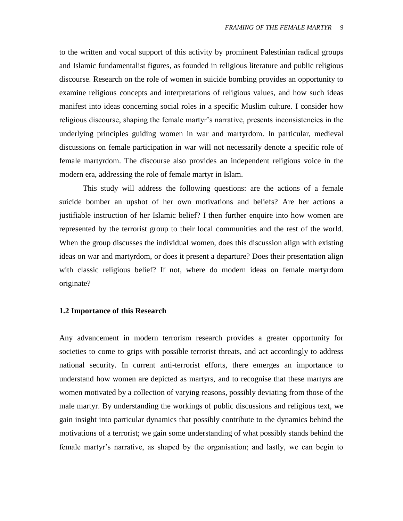to the written and vocal support of this activity by prominent Palestinian radical groups and Islamic fundamentalist figures, as founded in religious literature and public religious discourse. Research on the role of women in suicide bombing provides an opportunity to examine religious concepts and interpretations of religious values, and how such ideas manifest into ideas concerning social roles in a specific Muslim culture. I consider how religious discourse, shaping the female martyr"s narrative, presents inconsistencies in the underlying principles guiding women in war and martyrdom. In particular, medieval discussions on female participation in war will not necessarily denote a specific role of female martyrdom. The discourse also provides an independent religious voice in the modern era, addressing the role of female martyr in Islam.

This study will address the following questions: are the actions of a female suicide bomber an upshot of her own motivations and beliefs? Are her actions a justifiable instruction of her Islamic belief? I then further enquire into how women are represented by the terrorist group to their local communities and the rest of the world. When the group discusses the individual women, does this discussion align with existing ideas on war and martyrdom, or does it present a departure? Does their presentation align with classic religious belief? If not, where do modern ideas on female martyrdom originate?

#### <span id="page-8-0"></span>**1.2 Importance of this Research**

Any advancement in modern terrorism research provides a greater opportunity for societies to come to grips with possible terrorist threats, and act accordingly to address national security. In current anti-terrorist efforts, there emerges an importance to understand how women are depicted as martyrs, and to recognise that these martyrs are women motivated by a collection of varying reasons, possibly deviating from those of the male martyr. By understanding the workings of public discussions and religious text, we gain insight into particular dynamics that possibly contribute to the dynamics behind the motivations of a terrorist; we gain some understanding of what possibly stands behind the female martyr's narrative, as shaped by the organisation; and lastly, we can begin to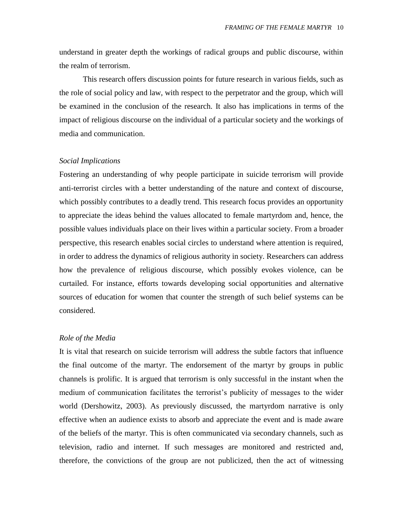understand in greater depth the workings of radical groups and public discourse, within the realm of terrorism.

This research offers discussion points for future research in various fields, such as the role of social policy and law, with respect to the perpetrator and the group, which will be examined in the conclusion of the research. It also has implications in terms of the impact of religious discourse on the individual of a particular society and the workings of media and communication.

#### *Social Implications*

Fostering an understanding of why people participate in suicide terrorism will provide anti-terrorist circles with a better understanding of the nature and context of discourse, which possibly contributes to a deadly trend. This research focus provides an opportunity to appreciate the ideas behind the values allocated to female martyrdom and, hence, the possible values individuals place on their lives within a particular society. From a broader perspective, this research enables social circles to understand where attention is required, in order to address the dynamics of religious authority in society. Researchers can address how the prevalence of religious discourse, which possibly evokes violence, can be curtailed. For instance, efforts towards developing social opportunities and alternative sources of education for women that counter the strength of such belief systems can be considered.

#### *Role of the Media*

It is vital that research on suicide terrorism will address the subtle factors that influence the final outcome of the martyr. The endorsement of the martyr by groups in public channels is prolific. It is argued that terrorism is only successful in the instant when the medium of communication facilitates the terrorist"s publicity of messages to the wider world (Dershowitz, 2003). As previously discussed, the martyrdom narrative is only effective when an audience exists to absorb and appreciate the event and is made aware of the beliefs of the martyr. This is often communicated via secondary channels, such as television, radio and internet. If such messages are monitored and restricted and, therefore, the convictions of the group are not publicized, then the act of witnessing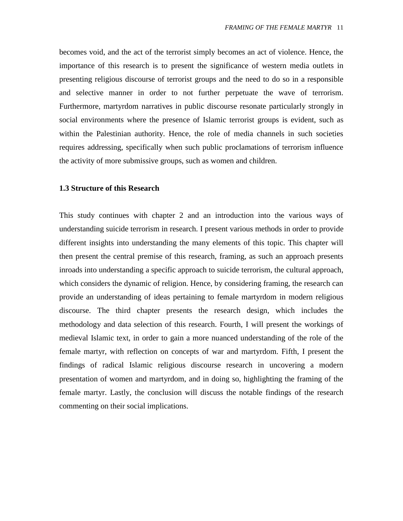becomes void, and the act of the terrorist simply becomes an act of violence. Hence, the importance of this research is to present the significance of western media outlets in presenting religious discourse of terrorist groups and the need to do so in a responsible and selective manner in order to not further perpetuate the wave of terrorism. Furthermore, martyrdom narratives in public discourse resonate particularly strongly in social environments where the presence of Islamic terrorist groups is evident, such as within the Palestinian authority. Hence, the role of media channels in such societies requires addressing, specifically when such public proclamations of terrorism influence the activity of more submissive groups, such as women and children.

#### <span id="page-10-0"></span>**1.3 Structure of this Research**

This study continues with chapter 2 and an introduction into the various ways of understanding suicide terrorism in research. I present various methods in order to provide different insights into understanding the many elements of this topic. This chapter will then present the central premise of this research, framing, as such an approach presents inroads into understanding a specific approach to suicide terrorism, the cultural approach, which considers the dynamic of religion. Hence, by considering framing, the research can provide an understanding of ideas pertaining to female martyrdom in modern religious discourse. The third chapter presents the research design, which includes the methodology and data selection of this research. Fourth, I will present the workings of medieval Islamic text, in order to gain a more nuanced understanding of the role of the female martyr, with reflection on concepts of war and martyrdom. Fifth, I present the findings of radical Islamic religious discourse research in uncovering a modern presentation of women and martyrdom, and in doing so, highlighting the framing of the female martyr. Lastly, the conclusion will discuss the notable findings of the research commenting on their social implications.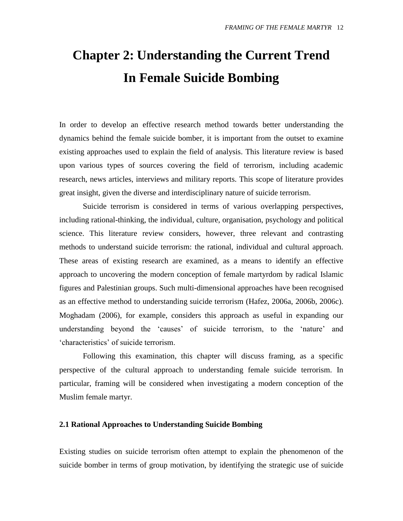# <span id="page-11-0"></span>**Chapter 2: Understanding the Current Trend In Female Suicide Bombing**

In order to develop an effective research method towards better understanding the dynamics behind the female suicide bomber, it is important from the outset to examine existing approaches used to explain the field of analysis. This literature review is based upon various types of sources covering the field of terrorism, including academic research, news articles, interviews and military reports. This scope of literature provides great insight, given the diverse and interdisciplinary nature of suicide terrorism.

Suicide terrorism is considered in terms of various overlapping perspectives, including rational-thinking, the individual, culture, organisation, psychology and political science. This literature review considers, however, three relevant and contrasting methods to understand suicide terrorism: the rational, individual and cultural approach. These areas of existing research are examined, as a means to identify an effective approach to uncovering the modern conception of female martyrdom by radical Islamic figures and Palestinian groups. Such multi-dimensional approaches have been recognised as an effective method to understanding suicide terrorism (Hafez, 2006a, 2006b, 2006c). Moghadam (2006), for example, considers this approach as useful in expanding our understanding beyond the "causes" of suicide terrorism, to the "nature" and "characteristics" of suicide terrorism.

Following this examination, this chapter will discuss framing, as a specific perspective of the cultural approach to understanding female suicide terrorism. In particular, framing will be considered when investigating a modern conception of the Muslim female martyr.

#### <span id="page-11-1"></span>**2.1 Rational Approaches to Understanding Suicide Bombing**

Existing studies on suicide terrorism often attempt to explain the phenomenon of the suicide bomber in terms of group motivation, by identifying the strategic use of suicide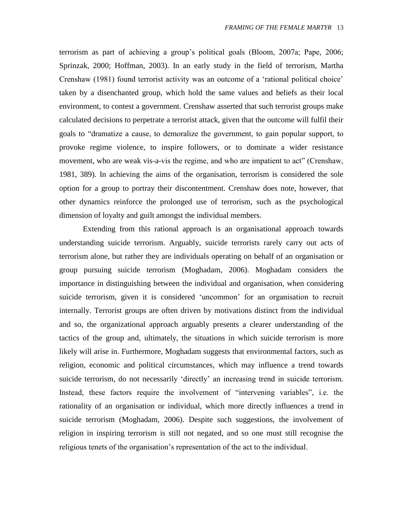terrorism as part of achieving a group"s political goals (Bloom, 2007a; Pape, 2006; Sprinzak, 2000; Hoffman, 2003). In an early study in the field of terrorism, Martha Crenshaw (1981) found terrorist activity was an outcome of a "rational political choice" taken by a disenchanted group, which hold the same values and beliefs as their local environment, to contest a government. Crenshaw asserted that such terrorist groups make calculated decisions to perpetrate a terrorist attack, given that the outcome will fulfil their goals to "dramatize a cause, to demoralize the government, to gain popular support, to provoke regime violence, to inspire followers, or to dominate a wider resistance movement, who are weak vis-a-vis the regime, and who are impatient to act" (Crenshaw, 1981, 389). In achieving the aims of the organisation, terrorism is considered the sole option for a group to portray their discontentment. Crenshaw does note, however, that other dynamics reinforce the prolonged use of terrorism, such as the psychological dimension of loyalty and guilt amongst the individual members.

Extending from this rational approach is an organisational approach towards understanding suicide terrorism. Arguably, suicide terrorists rarely carry out acts of terrorism alone, but rather they are individuals operating on behalf of an organisation or group pursuing suicide terrorism (Moghadam, 2006). Moghadam considers the importance in distinguishing between the individual and organisation, when considering suicide terrorism, given it is considered 'uncommon' for an organisation to recruit internally. Terrorist groups are often driven by motivations distinct from the individual and so, the organizational approach arguably presents a clearer understanding of the tactics of the group and, ultimately, the situations in which suicide terrorism is more likely will arise in. Furthermore, Moghadam suggests that environmental factors, such as religion, economic and political circumstances, which may influence a trend towards suicide terrorism, do not necessarily "directly" an increasing trend in suicide terrorism. Instead, these factors require the involvement of "intervening variables", i.e. the rationality of an organisation or individual, which more directly influences a trend in suicide terrorism (Moghadam, 2006). Despite such suggestions, the involvement of religion in inspiring terrorism is still not negated, and so one must still recognise the religious tenets of the organisation's representation of the act to the individual.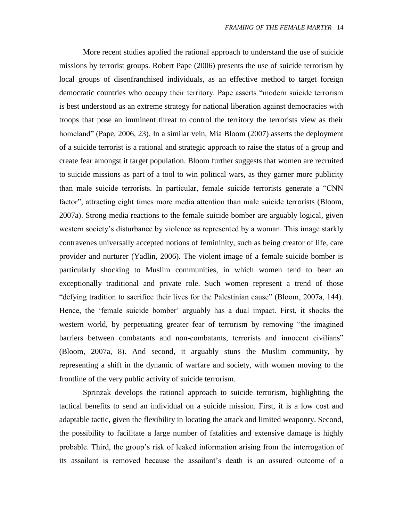More recent studies applied the rational approach to understand the use of suicide missions by terrorist groups. Robert Pape (2006) presents the use of suicide terrorism by local groups of disenfranchised individuals, as an effective method to target foreign democratic countries who occupy their territory. Pape asserts "modern suicide terrorism is best understood as an extreme strategy for national liberation against democracies with troops that pose an imminent threat to control the territory the terrorists view as their homeland" (Pape, 2006, 23). In a similar vein, Mia Bloom (2007) asserts the deployment of a suicide terrorist is a rational and strategic approach to raise the status of a group and create fear amongst it target population. Bloom further suggests that women are recruited to suicide missions as part of a tool to win political wars, as they garner more publicity than male suicide terrorists. In particular, female suicide terrorists generate a "CNN factor", attracting eight times more media attention than male suicide terrorists (Bloom, 2007a). Strong media reactions to the female suicide bomber are arguably logical, given western society's disturbance by violence as represented by a woman. This image starkly contravenes universally accepted notions of femininity, such as being creator of life, care provider and nurturer (Yadlin, 2006). The violent image of a female suicide bomber is particularly shocking to Muslim communities, in which women tend to bear an exceptionally traditional and private role. Such women represent a trend of those "defying tradition to sacrifice their lives for the Palestinian cause" (Bloom, 2007a, 144). Hence, the 'female suicide bomber' arguably has a dual impact. First, it shocks the western world, by perpetuating greater fear of terrorism by removing "the imagined barriers between combatants and non-combatants, terrorists and innocent civilians" (Bloom, 2007a, 8). And second, it arguably stuns the Muslim community, by representing a shift in the dynamic of warfare and society, with women moving to the frontline of the very public activity of suicide terrorism.

Sprinzak develops the rational approach to suicide terrorism, highlighting the tactical benefits to send an individual on a suicide mission. First, it is a low cost and adaptable tactic, given the flexibility in locating the attack and limited weaponry. Second, the possibility to facilitate a large number of fatalities and extensive damage is highly probable. Third, the group"s risk of leaked information arising from the interrogation of its assailant is removed because the assailant"s death is an assured outcome of a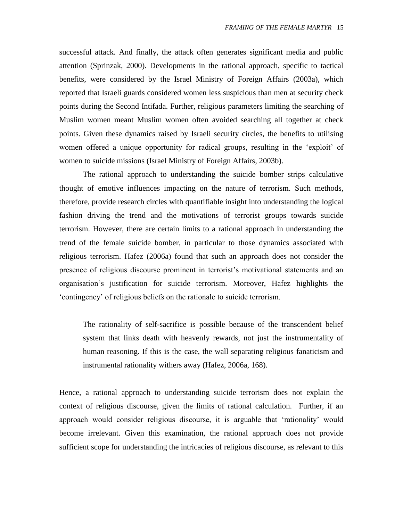successful attack. And finally, the attack often generates significant media and public attention (Sprinzak, 2000). Developments in the rational approach, specific to tactical benefits, were considered by the Israel Ministry of Foreign Affairs (2003a), which reported that Israeli guards considered women less suspicious than men at security check points during the Second Intifada. Further, religious parameters limiting the searching of Muslim women meant Muslim women often avoided searching all together at check points. Given these dynamics raised by Israeli security circles, the benefits to utilising women offered a unique opportunity for radical groups, resulting in the "exploit" of women to suicide missions (Israel Ministry of Foreign Affairs, 2003b).

The rational approach to understanding the suicide bomber strips calculative thought of emotive influences impacting on the nature of terrorism. Such methods, therefore, provide research circles with quantifiable insight into understanding the logical fashion driving the trend and the motivations of terrorist groups towards suicide terrorism. However, there are certain limits to a rational approach in understanding the trend of the female suicide bomber, in particular to those dynamics associated with religious terrorism. Hafez (2006a) found that such an approach does not consider the presence of religious discourse prominent in terrorist"s motivational statements and an organisation"s justification for suicide terrorism. Moreover, Hafez highlights the "contingency" of religious beliefs on the rationale to suicide terrorism.

The rationality of self-sacrifice is possible because of the transcendent belief system that links death with heavenly rewards, not just the instrumentality of human reasoning. If this is the case, the wall separating religious fanaticism and instrumental rationality withers away (Hafez, 2006a, 168).

Hence, a rational approach to understanding suicide terrorism does not explain the context of religious discourse, given the limits of rational calculation. Further, if an approach would consider religious discourse, it is arguable that "rationality" would become irrelevant. Given this examination, the rational approach does not provide sufficient scope for understanding the intricacies of religious discourse, as relevant to this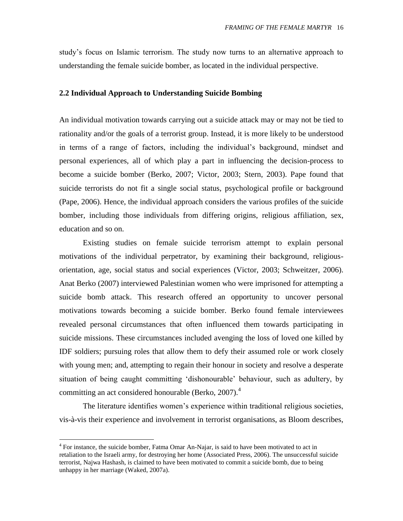study"s focus on Islamic terrorism. The study now turns to an alternative approach to understanding the female suicide bomber, as located in the individual perspective.

#### <span id="page-15-0"></span>**2.2 Individual Approach to Understanding Suicide Bombing**

An individual motivation towards carrying out a suicide attack may or may not be tied to rationality and/or the goals of a terrorist group. Instead, it is more likely to be understood in terms of a range of factors, including the individual"s background, mindset and personal experiences, all of which play a part in influencing the decision-process to become a suicide bomber (Berko, 2007; Victor, 2003; Stern, 2003). Pape found that suicide terrorists do not fit a single social status, psychological profile or background (Pape, 2006). Hence, the individual approach considers the various profiles of the suicide bomber, including those individuals from differing origins, religious affiliation, sex, education and so on.

Existing studies on female suicide terrorism attempt to explain personal motivations of the individual perpetrator, by examining their background, religiousorientation, age, social status and social experiences (Victor, 2003; Schweitzer, 2006). Anat Berko (2007) interviewed Palestinian women who were imprisoned for attempting a suicide bomb attack. This research offered an opportunity to uncover personal motivations towards becoming a suicide bomber. Berko found female interviewees revealed personal circumstances that often influenced them towards participating in suicide missions. These circumstances included avenging the loss of loved one killed by IDF soldiers; pursuing roles that allow them to defy their assumed role or work closely with young men; and, attempting to regain their honour in society and resolve a desperate situation of being caught committing "dishonourable" behaviour, such as adultery, by committing an act considered honourable (Berko, 2007).<sup>4</sup>

The literature identifies women"s experience within traditional religious societies, vis-à-vis their experience and involvement in terrorist organisations, as Bloom describes,

 $\overline{a}$ 

<sup>&</sup>lt;sup>4</sup> For instance, the suicide bomber, Fatma Omar An-Najar, is said to have been motivated to act in retaliation to the Israeli army, for destroying her home (Associated Press, 2006). The unsuccessful suicide terrorist, Najwa Hashash, is claimed to have been motivated to commit a suicide bomb, due to being unhappy in her marriage (Waked, 2007a).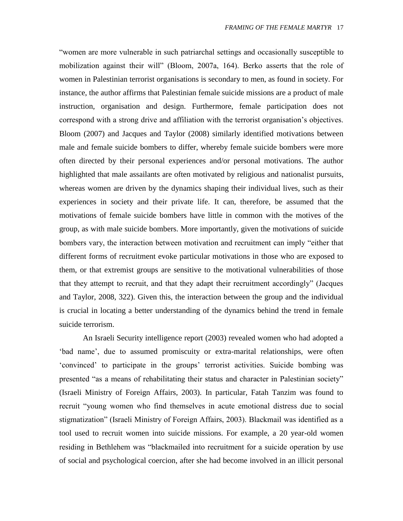"women are more vulnerable in such patriarchal settings and occasionally susceptible to mobilization against their will" (Bloom, 2007a, 164). Berko asserts that the role of women in Palestinian terrorist organisations is secondary to men, as found in society. For instance, the author affirms that Palestinian female suicide missions are a product of male instruction, organisation and design. Furthermore, female participation does not correspond with a strong drive and affiliation with the terrorist organisation"s objectives. Bloom (2007) and Jacques and Taylor (2008) similarly identified motivations between male and female suicide bombers to differ, whereby female suicide bombers were more often directed by their personal experiences and/or personal motivations. The author highlighted that male assailants are often motivated by religious and nationalist pursuits, whereas women are driven by the dynamics shaping their individual lives, such as their experiences in society and their private life. It can, therefore, be assumed that the motivations of female suicide bombers have little in common with the motives of the group, as with male suicide bombers. More importantly, given the motivations of suicide bombers vary, the interaction between motivation and recruitment can imply "either that different forms of recruitment evoke particular motivations in those who are exposed to them, or that extremist groups are sensitive to the motivational vulnerabilities of those that they attempt to recruit, and that they adapt their recruitment accordingly" (Jacques and Taylor, 2008, 322). Given this, the interaction between the group and the individual is crucial in locating a better understanding of the dynamics behind the trend in female suicide terrorism.

An Israeli Security intelligence report (2003) revealed women who had adopted a 'bad name', due to assumed promiscuity or extra-marital relationships, were often 'convinced' to participate in the groups' terrorist activities. Suicide bombing was presented "as a means of rehabilitating their status and character in Palestinian society" (Israeli Ministry of Foreign Affairs, 2003). In particular, Fatah Tanzim was found to recruit "young women who find themselves in acute emotional distress due to social stigmatization" (Israeli Ministry of Foreign Affairs, 2003). Blackmail was identified as a tool used to recruit women into suicide missions. For example, a 20 year-old women residing in Bethlehem was "blackmailed into recruitment for a suicide operation by use of social and psychological coercion, after she had become involved in an illicit personal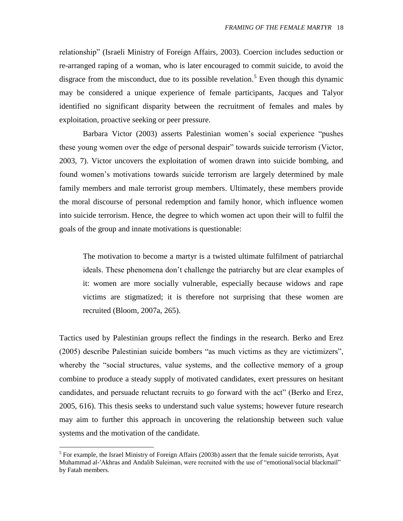relationship" (Israeli Ministry of Foreign Affairs, 2003). Coercion includes seduction or re-arranged raping of a woman, who is later encouraged to commit suicide, to avoid the disgrace from the misconduct, due to its possible revelation.<sup>5</sup> Even though this dynamic may be considered a unique experience of female participants, Jacques and Talyor identified no significant disparity between the recruitment of females and males by exploitation, proactive seeking or peer pressure.

Barbara Victor (2003) asserts Palestinian women"s social experience "pushes these young women over the edge of personal despair" towards suicide terrorism (Victor, 2003, 7). Victor uncovers the exploitation of women drawn into suicide bombing, and found women"s motivations towards suicide terrorism are largely determined by male family members and male terrorist group members. Ultimately, these members provide the moral discourse of personal redemption and family honor, which influence women into suicide terrorism. Hence, the degree to which women act upon their will to fulfil the goals of the group and innate motivations is questionable:

The motivation to become a martyr is a twisted ultimate fulfilment of patriarchal ideals. These phenomena don"t challenge the patriarchy but are clear examples of it: women are more socially vulnerable, especially because widows and rape victims are stigmatized; it is therefore not surprising that these women are recruited (Bloom, 2007a, 265).

Tactics used by Palestinian groups reflect the findings in the research. Berko and Erez (2005) describe Palestinian suicide bombers "as much victims as they are victimizers", whereby the "social structures, value systems, and the collective memory of a group combine to produce a steady supply of motivated candidates, exert pressures on hesitant candidates, and persuade reluctant recruits to go forward with the act" (Berko and Erez, 2005, 616). This thesis seeks to understand such value systems; however future research may aim to further this approach in uncovering the relationship between such value systems and the motivation of the candidate.

 $\overline{a}$ 

<sup>&</sup>lt;sup>5</sup> For example, the Israel Ministry of Foreign Affairs (2003b) assert that the female suicide terrorists, Ayat Muhammad al-′Akhras and Andalib Suleiman, were recruited with the use of "emotional/social blackmail" by Fatah members.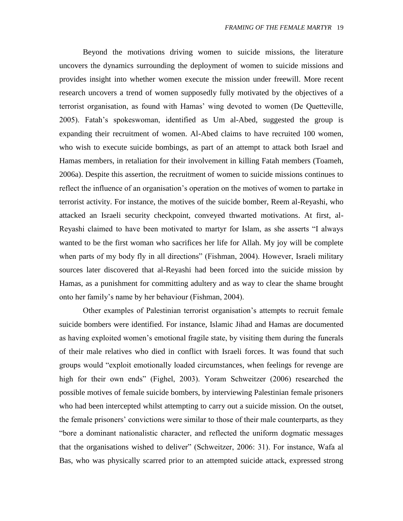Beyond the motivations driving women to suicide missions, the literature uncovers the dynamics surrounding the deployment of women to suicide missions and provides insight into whether women execute the mission under freewill. More recent research uncovers a trend of women supposedly fully motivated by the objectives of a terrorist organisation, as found with Hamas" wing devoted to women (De Quetteville, 2005). Fatah"s spokeswoman, identified as Um al-Abed, suggested the group is expanding their recruitment of women. Al-Abed claims to have recruited 100 women, who wish to execute suicide bombings, as part of an attempt to attack both Israel and Hamas members, in retaliation for their involvement in killing Fatah members (Toameh, 2006a). Despite this assertion, the recruitment of women to suicide missions continues to reflect the influence of an organisation"s operation on the motives of women to partake in terrorist activity. For instance, the motives of the suicide bomber, Reem al-Reyashi, who attacked an Israeli security checkpoint, conveyed thwarted motivations. At first, al-Reyashi claimed to have been motivated to martyr for Islam, as she asserts "I always wanted to be the first woman who sacrifices her life for Allah. My joy will be complete when parts of my body fly in all directions" (Fishman, 2004). However, Israeli military sources later discovered that al-Reyashi had been forced into the suicide mission by Hamas, as a punishment for committing adultery and as way to clear the shame brought onto her family"s name by her behaviour (Fishman, 2004).

Other examples of Palestinian terrorist organisation"s attempts to recruit female suicide bombers were identified. For instance, Islamic Jihad and Hamas are documented as having exploited women"s emotional fragile state, by visiting them during the funerals of their male relatives who died in conflict with Israeli forces. It was found that such groups would "exploit emotionally loaded circumstances, when feelings for revenge are high for their own ends" (Fighel, 2003). Yoram Schweitzer (2006) researched the possible motives of female suicide bombers, by interviewing Palestinian female prisoners who had been intercepted whilst attempting to carry out a suicide mission. On the outset, the female prisoners" convictions were similar to those of their male counterparts, as they "bore a dominant nationalistic character, and reflected the uniform dogmatic messages that the organisations wished to deliver" (Schweitzer, 2006: 31). For instance, Wafa al Bas, who was physically scarred prior to an attempted suicide attack, expressed strong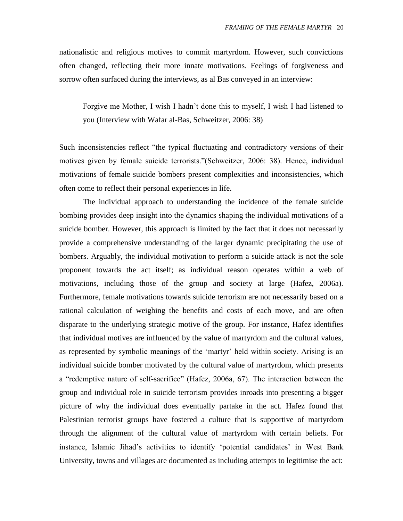nationalistic and religious motives to commit martyrdom. However, such convictions often changed, reflecting their more innate motivations. Feelings of forgiveness and sorrow often surfaced during the interviews, as al Bas conveyed in an interview:

Forgive me Mother, I wish I hadn"t done this to myself, I wish I had listened to you (Interview with Wafar al-Bas, Schweitzer, 2006: 38)

Such inconsistencies reflect "the typical fluctuating and contradictory versions of their motives given by female suicide terrorists."(Schweitzer, 2006: 38). Hence, individual motivations of female suicide bombers present complexities and inconsistencies, which often come to reflect their personal experiences in life.

The individual approach to understanding the incidence of the female suicide bombing provides deep insight into the dynamics shaping the individual motivations of a suicide bomber. However, this approach is limited by the fact that it does not necessarily provide a comprehensive understanding of the larger dynamic precipitating the use of bombers. Arguably, the individual motivation to perform a suicide attack is not the sole proponent towards the act itself; as individual reason operates within a web of motivations, including those of the group and society at large (Hafez, 2006a). Furthermore, female motivations towards suicide terrorism are not necessarily based on a rational calculation of weighing the benefits and costs of each move, and are often disparate to the underlying strategic motive of the group. For instance, Hafez identifies that individual motives are influenced by the value of martyrdom and the cultural values, as represented by symbolic meanings of the "martyr" held within society. Arising is an individual suicide bomber motivated by the cultural value of martyrdom, which presents a "redemptive nature of self-sacrifice" (Hafez, 2006a, 67). The interaction between the group and individual role in suicide terrorism provides inroads into presenting a bigger picture of why the individual does eventually partake in the act. Hafez found that Palestinian terrorist groups have fostered a culture that is supportive of martyrdom through the alignment of the cultural value of martyrdom with certain beliefs. For instance, Islamic Jihad's activities to identify 'potential candidates' in West Bank University, towns and villages are documented as including attempts to legitimise the act: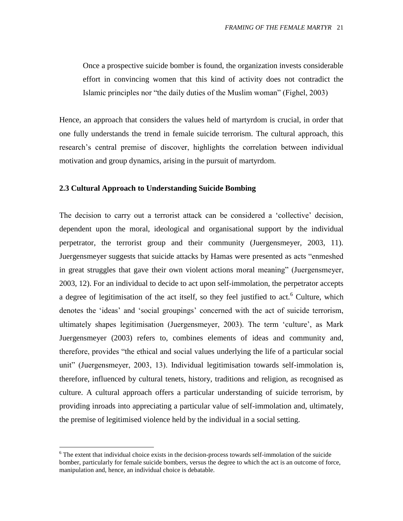Once a prospective suicide bomber is found, the organization invests considerable effort in convincing women that this kind of activity does not contradict the Islamic principles nor "the daily duties of the Muslim woman" (Fighel, 2003)

Hence, an approach that considers the values held of martyrdom is crucial, in order that one fully understands the trend in female suicide terrorism. The cultural approach, this research"s central premise of discover, highlights the correlation between individual motivation and group dynamics, arising in the pursuit of martyrdom.

#### <span id="page-20-0"></span>**2.3 Cultural Approach to Understanding Suicide Bombing**

The decision to carry out a terrorist attack can be considered a 'collective' decision, dependent upon the moral, ideological and organisational support by the individual perpetrator, the terrorist group and their community (Juergensmeyer, 2003, 11). Juergensmeyer suggests that suicide attacks by Hamas were presented as acts "enmeshed in great struggles that gave their own violent actions moral meaning" (Juergensmeyer, 2003, 12). For an individual to decide to act upon self-immolation, the perpetrator accepts a degree of legitimisation of the act itself, so they feel justified to act.<sup>6</sup> Culture, which denotes the "ideas" and "social groupings" concerned with the act of suicide terrorism, ultimately shapes legitimisation (Juergensmeyer, 2003). The term "culture", as Mark Juergensmeyer (2003) refers to, combines elements of ideas and community and, therefore, provides "the ethical and social values underlying the life of a particular social unit" (Juergensmeyer, 2003, 13). Individual legitimisation towards self-immolation is, therefore, influenced by cultural tenets, history, traditions and religion, as recognised as culture. A cultural approach offers a particular understanding of suicide terrorism, by providing inroads into appreciating a particular value of self-immolation and, ultimately, the premise of legitimised violence held by the individual in a social setting.

 $\overline{a}$ 

<sup>&</sup>lt;sup>6</sup> The extent that individual choice exists in the decision-process towards self-immolation of the suicide bomber, particularly for female suicide bombers, versus the degree to which the act is an outcome of force, manipulation and, hence, an individual choice is debatable.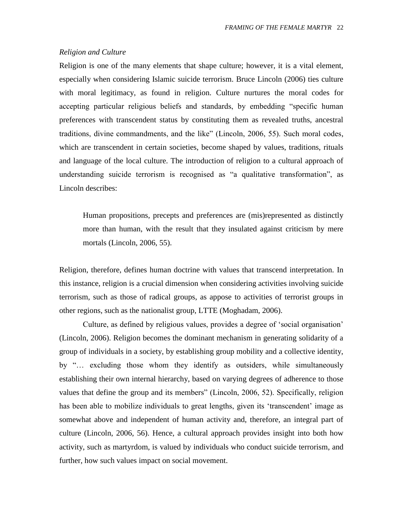#### *Religion and Culture*

Religion is one of the many elements that shape culture; however, it is a vital element, especially when considering Islamic suicide terrorism. Bruce Lincoln (2006) ties culture with moral legitimacy, as found in religion. Culture nurtures the moral codes for accepting particular religious beliefs and standards, by embedding "specific human preferences with transcendent status by constituting them as revealed truths, ancestral traditions, divine commandments, and the like" (Lincoln, 2006, 55). Such moral codes, which are transcendent in certain societies, become shaped by values, traditions, rituals and language of the local culture. The introduction of religion to a cultural approach of understanding suicide terrorism is recognised as "a qualitative transformation", as Lincoln describes:

Human propositions, precepts and preferences are (mis)represented as distinctly more than human, with the result that they insulated against criticism by mere mortals (Lincoln, 2006, 55).

Religion, therefore, defines human doctrine with values that transcend interpretation. In this instance, religion is a crucial dimension when considering activities involving suicide terrorism, such as those of radical groups, as appose to activities of terrorist groups in other regions, such as the nationalist group, LTTE (Moghadam, 2006).

Culture, as defined by religious values, provides a degree of "social organisation" (Lincoln, 2006). Religion becomes the dominant mechanism in generating solidarity of a group of individuals in a society, by establishing group mobility and a collective identity, by "… excluding those whom they identify as outsiders, while simultaneously establishing their own internal hierarchy, based on varying degrees of adherence to those values that define the group and its members" (Lincoln, 2006, 52). Specifically, religion has been able to mobilize individuals to great lengths, given its "transcendent" image as somewhat above and independent of human activity and, therefore, an integral part of culture (Lincoln, 2006, 56). Hence, a cultural approach provides insight into both how activity, such as martyrdom, is valued by individuals who conduct suicide terrorism, and further, how such values impact on social movement.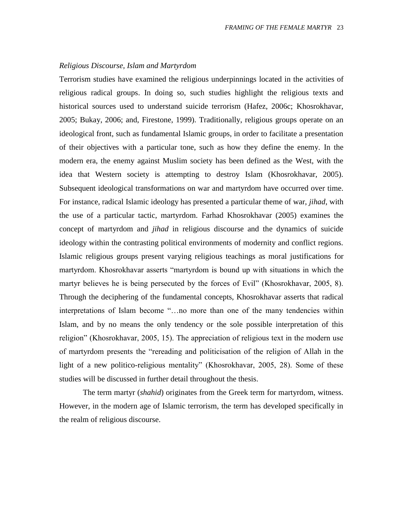#### *Religious Discourse, Islam and Martyrdom*

Terrorism studies have examined the religious underpinnings located in the activities of religious radical groups. In doing so, such studies highlight the religious texts and historical sources used to understand suicide terrorism (Hafez, 2006c; Khosrokhavar, 2005; Bukay, 2006; and, Firestone, 1999). Traditionally, religious groups operate on an ideological front, such as fundamental Islamic groups, in order to facilitate a presentation of their objectives with a particular tone, such as how they define the enemy. In the modern era, the enemy against Muslim society has been defined as the West, with the idea that Western society is attempting to destroy Islam (Khosrokhavar, 2005). Subsequent ideological transformations on war and martyrdom have occurred over time. For instance, radical Islamic ideology has presented a particular theme of war, *jihad*, with the use of a particular tactic, martyrdom. Farhad Khosrokhavar (2005) examines the concept of martyrdom and *jihad* in religious discourse and the dynamics of suicide ideology within the contrasting political environments of modernity and conflict regions. Islamic religious groups present varying religious teachings as moral justifications for martyrdom. Khosrokhavar asserts "martyrdom is bound up with situations in which the martyr believes he is being persecuted by the forces of Evil" (Khosrokhavar, 2005, 8). Through the deciphering of the fundamental concepts, Khosrokhavar asserts that radical interpretations of Islam become "…no more than one of the many tendencies within Islam, and by no means the only tendency or the sole possible interpretation of this religion" (Khosrokhavar, 2005, 15). The appreciation of religious text in the modern use of martyrdom presents the "rereading and politicisation of the religion of Allah in the light of a new politico-religious mentality" (Khosrokhavar, 2005, 28). Some of these studies will be discussed in further detail throughout the thesis.

The term martyr (*shahid*) originates from the Greek term for martyrdom, witness. However, in the modern age of Islamic terrorism, the term has developed specifically in the realm of religious discourse.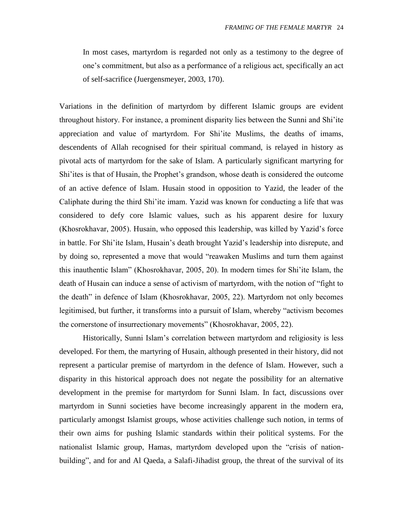In most cases, martyrdom is regarded not only as a testimony to the degree of one"s commitment, but also as a performance of a religious act, specifically an act of self-sacrifice (Juergensmeyer, 2003, 170).

Variations in the definition of martyrdom by different Islamic groups are evident throughout history. For instance, a prominent disparity lies between the Sunni and Shi"ite appreciation and value of martyrdom. For Shi"ite Muslims, the deaths of imams, descendents of Allah recognised for their spiritual command, is relayed in history as pivotal acts of martyrdom for the sake of Islam. A particularly significant martyring for Shi"ites is that of Husain, the Prophet"s grandson, whose death is considered the outcome of an active defence of Islam. Husain stood in opposition to Yazid, the leader of the Caliphate during the third Shi"ite imam. Yazid was known for conducting a life that was considered to defy core Islamic values, such as his apparent desire for luxury (Khosrokhavar, 2005). Husain, who opposed this leadership, was killed by Yazid"s force in battle. For Shi"ite Islam, Husain"s death brought Yazid"s leadership into disrepute, and by doing so, represented a move that would "reawaken Muslims and turn them against this inauthentic Islam" (Khosrokhavar, 2005, 20). In modern times for Shi"ite Islam, the death of Husain can induce a sense of activism of martyrdom, with the notion of "fight to the death" in defence of Islam (Khosrokhavar, 2005, 22). Martyrdom not only becomes legitimised, but further, it transforms into a pursuit of Islam, whereby "activism becomes the cornerstone of insurrectionary movements" (Khosrokhavar, 2005, 22).

Historically, Sunni Islam's correlation between martyrdom and religiosity is less developed. For them, the martyring of Husain, although presented in their history, did not represent a particular premise of martyrdom in the defence of Islam. However, such a disparity in this historical approach does not negate the possibility for an alternative development in the premise for martyrdom for Sunni Islam. In fact, discussions over martyrdom in Sunni societies have become increasingly apparent in the modern era, particularly amongst Islamist groups, whose activities challenge such notion, in terms of their own aims for pushing Islamic standards within their political systems. For the nationalist Islamic group, Hamas, martyrdom developed upon the "crisis of nationbuilding", and for and Al Qaeda, a Salafi-Jihadist group, the threat of the survival of its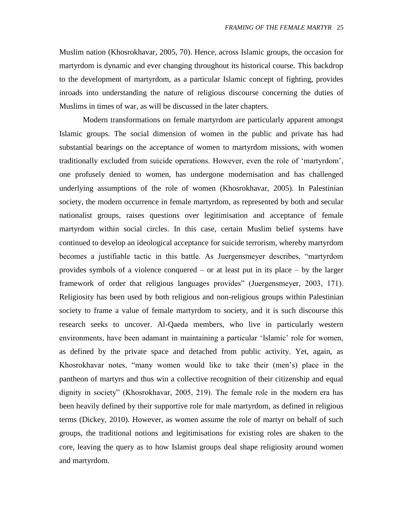Muslim nation (Khosrokhavar, 2005, 70). Hence, across Islamic groups, the occasion for martyrdom is dynamic and ever changing throughout its historical course. This backdrop to the development of martyrdom, as a particular Islamic concept of fighting, provides inroads into understanding the nature of religious discourse concerning the duties of Muslims in times of war, as will be discussed in the later chapters.

Modern transformations on female martyrdom are particularly apparent amongst Islamic groups. The social dimension of women in the public and private has had substantial bearings on the acceptance of women to martyrdom missions, with women traditionally excluded from suicide operations. However, even the role of "martyrdom", one profusely denied to women, has undergone modernisation and has challenged underlying assumptions of the role of women (Khosrokhavar, 2005). In Palestinian society, the modern occurrence in female martyrdom, as represented by both and secular nationalist groups, raises questions over legitimisation and acceptance of female martyrdom within social circles. In this case, certain Muslim belief systems have continued to develop an ideological acceptance for suicide terrorism, whereby martyrdom becomes a justifiable tactic in this battle. As Juergensmeyer describes, "martyrdom provides symbols of a violence conquered – or at least put in its place – by the larger framework of order that religious languages provides" (Juergensmeyer, 2003, 171). Religiosity has been used by both religious and non-religious groups within Palestinian society to frame a value of female martyrdom to society, and it is such discourse this research seeks to uncover. Al-Qaeda members, who live in particularly western environments, have been adamant in maintaining a particular "Islamic" role for women, as defined by the private space and detached from public activity. Yet, again, as Khosrokhavar notes, "many women would like to take their (men"s) place in the pantheon of martyrs and thus win a collective recognition of their citizenship and equal dignity in society" (Khosrokhavar, 2005, 219). The female role in the modern era has been heavily defined by their supportive role for male martyrdom, as defined in religious terms (Dickey, 2010). However, as women assume the role of martyr on behalf of such groups, the traditional notions and legitimisations for existing roles are shaken to the core, leaving the query as to how Islamist groups deal shape religiosity around women and martyrdom.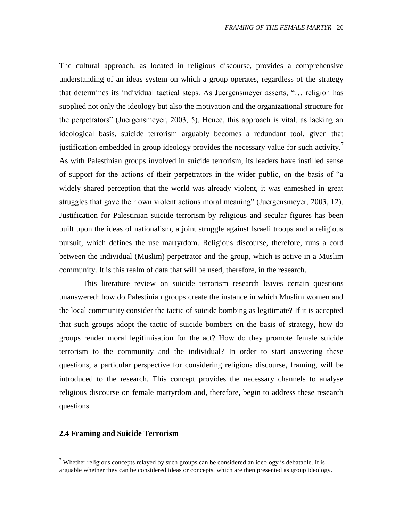The cultural approach, as located in religious discourse, provides a comprehensive understanding of an ideas system on which a group operates, regardless of the strategy that determines its individual tactical steps. As Juergensmeyer asserts, "… religion has supplied not only the ideology but also the motivation and the organizational structure for the perpetrators" (Juergensmeyer, 2003, 5). Hence, this approach is vital, as lacking an ideological basis, suicide terrorism arguably becomes a redundant tool, given that justification embedded in group ideology provides the necessary value for such activity.<sup>7</sup> As with Palestinian groups involved in suicide terrorism, its leaders have instilled sense of support for the actions of their perpetrators in the wider public, on the basis of "a widely shared perception that the world was already violent, it was enmeshed in great struggles that gave their own violent actions moral meaning" (Juergensmeyer, 2003, 12). Justification for Palestinian suicide terrorism by religious and secular figures has been built upon the ideas of nationalism, a joint struggle against Israeli troops and a religious pursuit, which defines the use martyrdom. Religious discourse, therefore, runs a cord between the individual (Muslim) perpetrator and the group, which is active in a Muslim community. It is this realm of data that will be used, therefore, in the research.

This literature review on suicide terrorism research leaves certain questions unanswered: how do Palestinian groups create the instance in which Muslim women and the local community consider the tactic of suicide bombing as legitimate? If it is accepted that such groups adopt the tactic of suicide bombers on the basis of strategy, how do groups render moral legitimisation for the act? How do they promote female suicide terrorism to the community and the individual? In order to start answering these questions, a particular perspective for considering religious discourse, framing, will be introduced to the research. This concept provides the necessary channels to analyse religious discourse on female martyrdom and, therefore, begin to address these research questions.

#### <span id="page-25-0"></span>**2.4 Framing and Suicide Terrorism**

 $\overline{a}$ 

<sup>&</sup>lt;sup>7</sup> Whether religious concepts relayed by such groups can be considered an ideology is debatable. It is arguable whether they can be considered ideas or concepts, which are then presented as group ideology.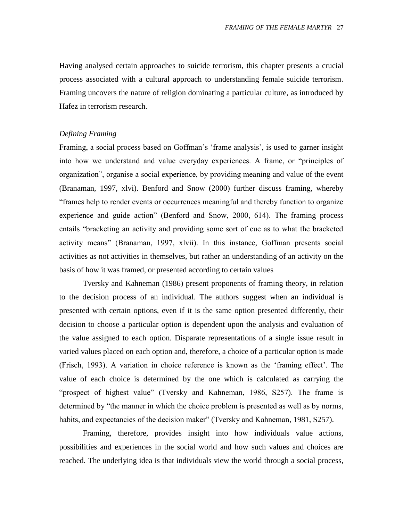Having analysed certain approaches to suicide terrorism, this chapter presents a crucial process associated with a cultural approach to understanding female suicide terrorism. Framing uncovers the nature of religion dominating a particular culture, as introduced by Hafez in terrorism research.

#### *Defining Framing*

Framing, a social process based on Goffman's 'frame analysis', is used to garner insight into how we understand and value everyday experiences. A frame, or "principles of organization", organise a social experience, by providing meaning and value of the event (Branaman, 1997, xlvi). Benford and Snow (2000) further discuss framing, whereby "frames help to render events or occurrences meaningful and thereby function to organize experience and guide action" (Benford and Snow, 2000, 614). The framing process entails "bracketing an activity and providing some sort of cue as to what the bracketed activity means" (Branaman, 1997, xlvii). In this instance, Goffman presents social activities as not activities in themselves, but rather an understanding of an activity on the basis of how it was framed, or presented according to certain values

Tversky and Kahneman (1986) present proponents of framing theory, in relation to the decision process of an individual. The authors suggest when an individual is presented with certain options, even if it is the same option presented differently, their decision to choose a particular option is dependent upon the analysis and evaluation of the value assigned to each option. Disparate representations of a single issue result in varied values placed on each option and, therefore, a choice of a particular option is made (Frisch, 1993). A variation in choice reference is known as the "framing effect". The value of each choice is determined by the one which is calculated as carrying the "prospect of highest value" (Tversky and Kahneman, 1986, S257). The frame is determined by "the manner in which the choice problem is presented as well as by norms, habits, and expectancies of the decision maker" (Tversky and Kahneman, 1981, S257).

Framing, therefore, provides insight into how individuals value actions, possibilities and experiences in the social world and how such values and choices are reached. The underlying idea is that individuals view the world through a social process,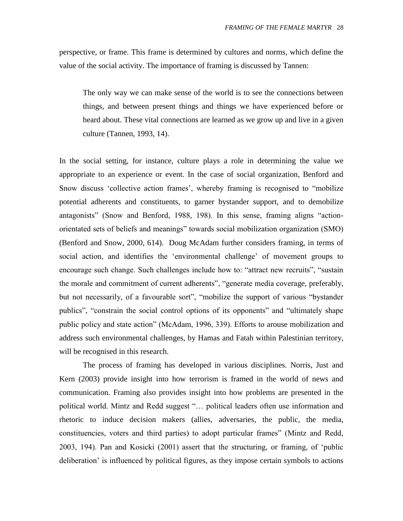perspective, or frame. This frame is determined by cultures and norms, which define the value of the social activity. The importance of framing is discussed by Tannen:

The only way we can make sense of the world is to see the connections between things, and between present things and things we have experienced before or heard about. These vital connections are learned as we grow up and live in a given culture (Tannen, 1993, 14).

In the social setting, for instance, culture plays a role in determining the value we appropriate to an experience or event. In the case of social organization, Benford and Snow discuss "collective action frames", whereby framing is recognised to "mobilize potential adherents and constituents, to garner bystander support, and to demobilize antagonists" (Snow and Benford, 1988, 198). In this sense, framing aligns "actionorientated sets of beliefs and meanings" towards social mobilization organization (SMO) (Benford and Snow, 2000, 614). Doug McAdam further considers framing, in terms of social action, and identifies the "environmental challenge" of movement groups to encourage such change. Such challenges include how to: "attract new recruits", "sustain the morale and commitment of current adherents", "generate media coverage, preferably, but not necessarily, of a favourable sort", "mobilize the support of various "bystander publics", "constrain the social control options of its opponents" and "ultimately shape public policy and state action" (McAdam, 1996, 339). Efforts to arouse mobilization and address such environmental challenges, by Hamas and Fatah within Palestinian territory, will be recognised in this research.

The process of framing has developed in various disciplines. Norris, Just and Kern (2003) provide insight into how terrorism is framed in the world of news and communication. Framing also provides insight into how problems are presented in the political world. Mintz and Redd suggest "… political leaders often use information and rhetoric to induce decision makers (allies, adversaries, the public, the media, constituencies, voters and third parties) to adopt particular frames" (Mintz and Redd, 2003, 194). Pan and Kosicki (2001) assert that the structuring, or framing, of "public deliberation" is influenced by political figures, as they impose certain symbols to actions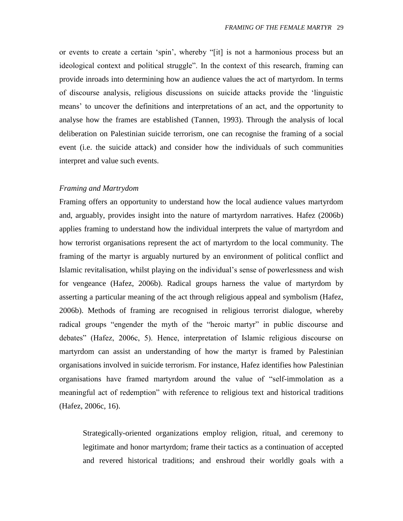or events to create a certain "spin", whereby "[it] is not a harmonious process but an ideological context and political struggle". In the context of this research, framing can provide inroads into determining how an audience values the act of martyrdom. In terms of discourse analysis, religious discussions on suicide attacks provide the "linguistic means" to uncover the definitions and interpretations of an act, and the opportunity to analyse how the frames are established (Tannen, 1993). Through the analysis of local deliberation on Palestinian suicide terrorism, one can recognise the framing of a social event (i.e. the suicide attack) and consider how the individuals of such communities interpret and value such events.

#### *Framing and Martrydom*

Framing offers an opportunity to understand how the local audience values martyrdom and, arguably, provides insight into the nature of martyrdom narratives. Hafez (2006b) applies framing to understand how the individual interprets the value of martyrdom and how terrorist organisations represent the act of martyrdom to the local community. The framing of the martyr is arguably nurtured by an environment of political conflict and Islamic revitalisation, whilst playing on the individual"s sense of powerlessness and wish for vengeance (Hafez, 2006b). Radical groups harness the value of martyrdom by asserting a particular meaning of the act through religious appeal and symbolism (Hafez, 2006b). Methods of framing are recognised in religious terrorist dialogue, whereby radical groups "engender the myth of the "heroic martyr" in public discourse and debates" (Hafez, 2006c, 5). Hence, interpretation of Islamic religious discourse on martyrdom can assist an understanding of how the martyr is framed by Palestinian organisations involved in suicide terrorism. For instance, Hafez identifies how Palestinian organisations have framed martyrdom around the value of "self-immolation as a meaningful act of redemption" with reference to religious text and historical traditions (Hafez, 2006c, 16).

Strategically-oriented organizations employ religion, ritual, and ceremony to legitimate and honor martyrdom; frame their tactics as a continuation of accepted and revered historical traditions; and enshroud their worldly goals with a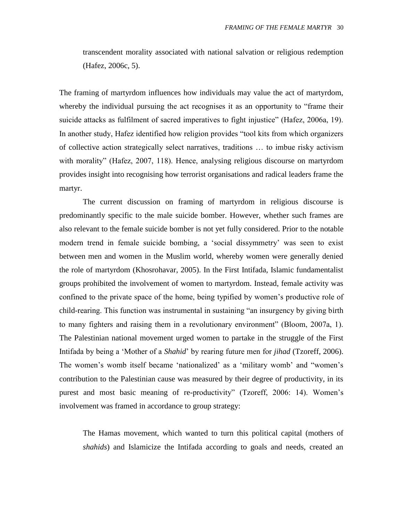transcendent morality associated with national salvation or religious redemption (Hafez, 2006c, 5).

The framing of martyrdom influences how individuals may value the act of martyrdom, whereby the individual pursuing the act recognises it as an opportunity to "frame their suicide attacks as fulfilment of sacred imperatives to fight injustice" (Hafez, 2006a, 19). In another study, Hafez identified how religion provides "tool kits from which organizers of collective action strategically select narratives, traditions … to imbue risky activism with morality" (Hafez, 2007, 118). Hence, analysing religious discourse on martyrdom provides insight into recognising how terrorist organisations and radical leaders frame the martyr.

The current discussion on framing of martyrdom in religious discourse is predominantly specific to the male suicide bomber. However, whether such frames are also relevant to the female suicide bomber is not yet fully considered. Prior to the notable modern trend in female suicide bombing, a 'social dissymmetry' was seen to exist between men and women in the Muslim world, whereby women were generally denied the role of martyrdom (Khosrohavar, 2005). In the First Intifada, Islamic fundamentalist groups prohibited the involvement of women to martyrdom. Instead, female activity was confined to the private space of the home, being typified by women"s productive role of child-rearing. This function was instrumental in sustaining "an insurgency by giving birth to many fighters and raising them in a revolutionary environment" (Bloom, 2007a, 1). The Palestinian national movement urged women to partake in the struggle of the First Intifada by being a "Mother of a *Shahid*" by rearing future men for *jihad* (Tzoreff, 2006). The women's womb itself became 'nationalized' as a 'military womb' and "women's contribution to the Palestinian cause was measured by their degree of productivity, in its purest and most basic meaning of re-productivity" (Tzoreff, 2006: 14). Women"s involvement was framed in accordance to group strategy:

The Hamas movement, which wanted to turn this political capital (mothers of *shahids*) and Islamicize the Intifada according to goals and needs, created an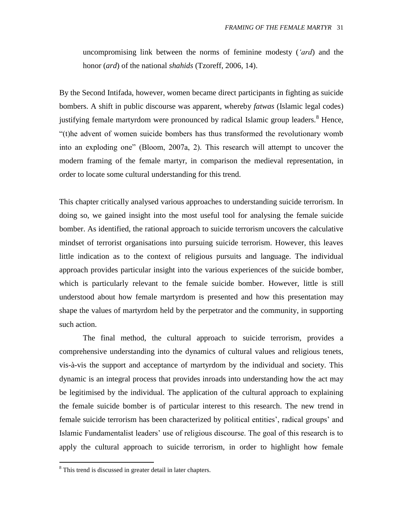uncompromising link between the norms of feminine modesty (*'ard*) and the honor (*ard*) of the national *shahids* (Tzoreff, 2006, 14).

By the Second Intifada, however, women became direct participants in fighting as suicide bombers. A shift in public discourse was apparent, whereby *fatwas* (Islamic legal codes) justifying female martyrdom were pronounced by radical Islamic group leaders.<sup>8</sup> Hence, "(t)he advent of women suicide bombers has thus transformed the revolutionary womb into an exploding one" (Bloom, 2007a, 2). This research will attempt to uncover the modern framing of the female martyr, in comparison the medieval representation, in order to locate some cultural understanding for this trend.

This chapter critically analysed various approaches to understanding suicide terrorism. In doing so, we gained insight into the most useful tool for analysing the female suicide bomber. As identified, the rational approach to suicide terrorism uncovers the calculative mindset of terrorist organisations into pursuing suicide terrorism. However, this leaves little indication as to the context of religious pursuits and language. The individual approach provides particular insight into the various experiences of the suicide bomber, which is particularly relevant to the female suicide bomber. However, little is still understood about how female martyrdom is presented and how this presentation may shape the values of martyrdom held by the perpetrator and the community, in supporting such action.

The final method, the cultural approach to suicide terrorism, provides a comprehensive understanding into the dynamics of cultural values and religious tenets, vis-à-vis the support and acceptance of martyrdom by the individual and society. This dynamic is an integral process that provides inroads into understanding how the act may be legitimised by the individual. The application of the cultural approach to explaining the female suicide bomber is of particular interest to this research. The new trend in female suicide terrorism has been characterized by political entities', radical groups' and Islamic Fundamentalist leaders" use of religious discourse. The goal of this research is to apply the cultural approach to suicide terrorism, in order to highlight how female

 $\overline{a}$ 

<sup>&</sup>lt;sup>8</sup> This trend is discussed in greater detail in later chapters.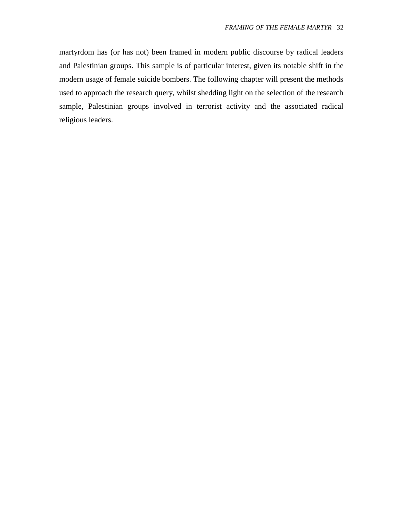martyrdom has (or has not) been framed in modern public discourse by radical leaders and Palestinian groups. This sample is of particular interest, given its notable shift in the modern usage of female suicide bombers. The following chapter will present the methods used to approach the research query, whilst shedding light on the selection of the research sample, Palestinian groups involved in terrorist activity and the associated radical religious leaders.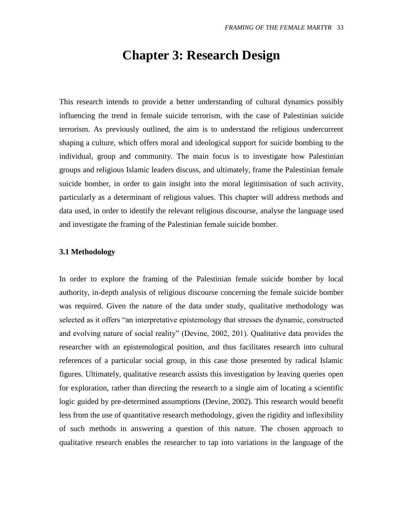### **Chapter 3: Research Design**

<span id="page-32-0"></span>This research intends to provide a better understanding of cultural dynamics possibly influencing the trend in female suicide terrorism, with the case of Palestinian suicide terrorism. As previously outlined, the aim is to understand the religious undercurrent shaping a culture, which offers moral and ideological support for suicide bombing to the individual, group and community. The main focus is to investigate how Palestinian groups and religious Islamic leaders discuss, and ultimately, frame the Palestinian female suicide bomber, in order to gain insight into the moral legitimisation of such activity, particularly as a determinant of religious values. This chapter will address methods and data used, in order to identify the relevant religious discourse, analyse the language used and investigate the framing of the Palestinian female suicide bomber.

#### <span id="page-32-1"></span>**3.1 Methodology**

In order to explore the framing of the Palestinian female suicide bomber by local authority, in-depth analysis of religious discourse concerning the female suicide bomber was required. Given the nature of the data under study, qualitative methodology was selected as it offers "an interpretative epistemology that stresses the dynamic, constructed and evolving nature of social reality" (Devine, 2002, 201). Qualitative data provides the researcher with an epistemological position, and thus facilitates research into cultural references of a particular social group, in this case those presented by radical Islamic figures. Ultimately, qualitative research assists this investigation by leaving queries open for exploration, rather than directing the research to a single aim of locating a scientific logic guided by pre-determined assumptions (Devine, 2002). This research would benefit less from the use of quantitative research methodology, given the rigidity and inflexibility of such methods in answering a question of this nature. The chosen approach to qualitative research enables the researcher to tap into variations in the language of the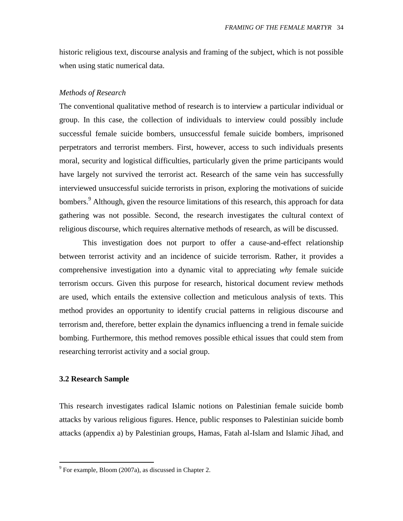historic religious text, discourse analysis and framing of the subject, which is not possible when using static numerical data.

#### *Methods of Research*

The conventional qualitative method of research is to interview a particular individual or group. In this case, the collection of individuals to interview could possibly include successful female suicide bombers, unsuccessful female suicide bombers, imprisoned perpetrators and terrorist members. First, however, access to such individuals presents moral, security and logistical difficulties, particularly given the prime participants would have largely not survived the terrorist act. Research of the same vein has successfully interviewed unsuccessful suicide terrorists in prison, exploring the motivations of suicide bombers.<sup>9</sup> Although, given the resource limitations of this research, this approach for data gathering was not possible. Second, the research investigates the cultural context of religious discourse, which requires alternative methods of research, as will be discussed.

This investigation does not purport to offer a cause-and-effect relationship between terrorist activity and an incidence of suicide terrorism. Rather, it provides a comprehensive investigation into a dynamic vital to appreciating *why* female suicide terrorism occurs. Given this purpose for research, historical document review methods are used, which entails the extensive collection and meticulous analysis of texts. This method provides an opportunity to identify crucial patterns in religious discourse and terrorism and, therefore, better explain the dynamics influencing a trend in female suicide bombing. Furthermore, this method removes possible ethical issues that could stem from researching terrorist activity and a social group.

#### <span id="page-33-0"></span>**3.2 Research Sample**

 $\overline{a}$ 

This research investigates radical Islamic notions on Palestinian female suicide bomb attacks by various religious figures. Hence, public responses to Palestinian suicide bomb attacks (appendix a) by Palestinian groups, Hamas, Fatah al-Islam and Islamic Jihad, and

 $9^9$  For example, Bloom (2007a), as discussed in Chapter 2.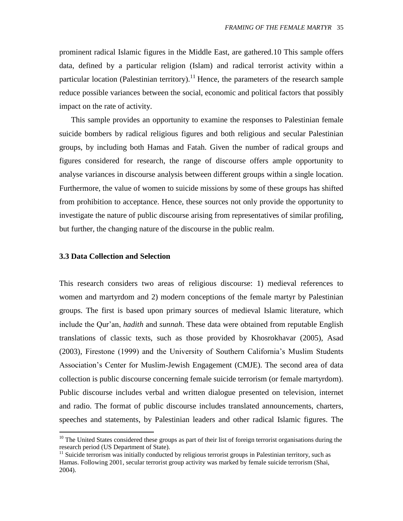prominent radical Islamic figures in the Middle East, are gathered.10 This sample offers data, defined by a particular religion (Islam) and radical terrorist activity within a particular location (Palestinian territory).<sup>11</sup> Hence, the parameters of the research sample reduce possible variances between the social, economic and political factors that possibly impact on the rate of activity.

This sample provides an opportunity to examine the responses to Palestinian female suicide bombers by radical religious figures and both religious and secular Palestinian groups, by including both Hamas and Fatah. Given the number of radical groups and figures considered for research, the range of discourse offers ample opportunity to analyse variances in discourse analysis between different groups within a single location. Furthermore, the value of women to suicide missions by some of these groups has shifted from prohibition to acceptance. Hence, these sources not only provide the opportunity to investigate the nature of public discourse arising from representatives of similar profiling, but further, the changing nature of the discourse in the public realm.

#### <span id="page-34-0"></span>**3.3 Data Collection and Selection**

 $\overline{a}$ 

This research considers two areas of religious discourse: 1) medieval references to women and martyrdom and 2) modern conceptions of the female martyr by Palestinian groups. The first is based upon primary sources of medieval Islamic literature, which include the Qur"an, *hadith* and *sunnah*. These data were obtained from reputable English translations of classic texts, such as those provided by Khosrokhavar (2005), Asad (2003), Firestone (1999) and the University of Southern California"s Muslim Students Association"s Center for Muslim-Jewish Engagement (CMJE). The second area of data collection is public discourse concerning female suicide terrorism (or female martyrdom). Public discourse includes verbal and written dialogue presented on television, internet and radio. The format of public discourse includes translated announcements, charters, speeches and statements, by Palestinian leaders and other radical Islamic figures. The

 $10$  The United States considered these groups as part of their list of foreign terrorist organisations during the research period (US Department of State).

 $11$  Suicide terrorism was initially conducted by religious terrorist groups in Palestinian territory, such as Hamas. Following 2001, secular terrorist group activity was marked by female suicide terrorism (Shai, 2004).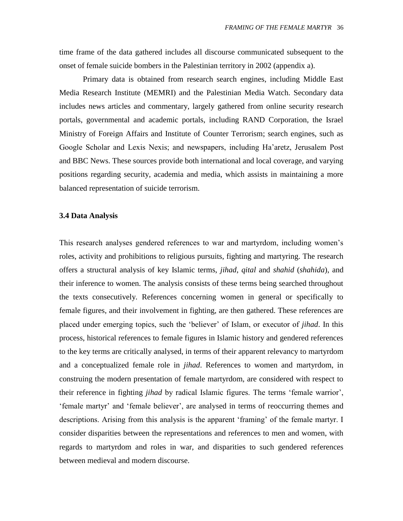time frame of the data gathered includes all discourse communicated subsequent to the onset of female suicide bombers in the Palestinian territory in 2002 (appendix a).

Primary data is obtained from research search engines, including Middle East Media Research Institute (MEMRI) and the Palestinian Media Watch. Secondary data includes news articles and commentary, largely gathered from online security research portals, governmental and academic portals, including RAND Corporation, the Israel Ministry of Foreign Affairs and Institute of Counter Terrorism; search engines, such as Google Scholar and Lexis Nexis; and newspapers, including Ha"aretz, Jerusalem Post and BBC News. These sources provide both international and local coverage, and varying positions regarding security, academia and media, which assists in maintaining a more balanced representation of suicide terrorism.

#### <span id="page-35-0"></span>**3.4 Data Analysis**

This research analyses gendered references to war and martyrdom, including women"s roles, activity and prohibitions to religious pursuits, fighting and martyring. The research offers a structural analysis of key Islamic terms, *jihad*, *qital* and *shahid* (*shahida*), and their inference to women. The analysis consists of these terms being searched throughout the texts consecutively. References concerning women in general or specifically to female figures, and their involvement in fighting, are then gathered. These references are placed under emerging topics, such the "believer" of Islam, or executor of *jihad*. In this process, historical references to female figures in Islamic history and gendered references to the key terms are critically analysed, in terms of their apparent relevancy to martyrdom and a conceptualized female role in *jihad*. References to women and martyrdom, in construing the modern presentation of female martyrdom, are considered with respect to their reference in fighting *jihad* by radical Islamic figures. The terms "female warrior", "female martyr" and "female believer", are analysed in terms of reoccurring themes and descriptions. Arising from this analysis is the apparent 'framing' of the female martyr. I consider disparities between the representations and references to men and women, with regards to martyrdom and roles in war, and disparities to such gendered references between medieval and modern discourse.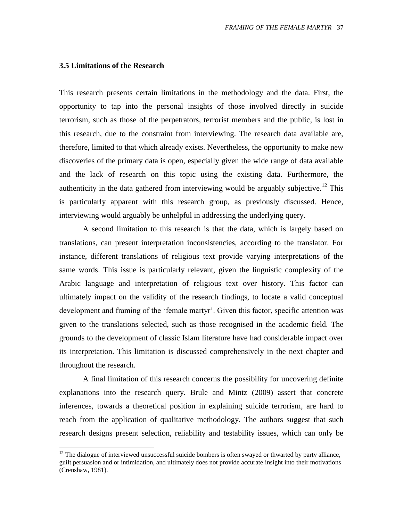### **3.5 Limitations of the Research**

 $\overline{a}$ 

This research presents certain limitations in the methodology and the data. First, the opportunity to tap into the personal insights of those involved directly in suicide terrorism, such as those of the perpetrators, terrorist members and the public, is lost in this research, due to the constraint from interviewing. The research data available are, therefore, limited to that which already exists. Nevertheless, the opportunity to make new discoveries of the primary data is open, especially given the wide range of data available and the lack of research on this topic using the existing data. Furthermore, the authenticity in the data gathered from interviewing would be arguably subjective.<sup>12</sup> This is particularly apparent with this research group, as previously discussed. Hence, interviewing would arguably be unhelpful in addressing the underlying query.

A second limitation to this research is that the data, which is largely based on translations, can present interpretation inconsistencies, according to the translator. For instance, different translations of religious text provide varying interpretations of the same words. This issue is particularly relevant, given the linguistic complexity of the Arabic language and interpretation of religious text over history. This factor can ultimately impact on the validity of the research findings, to locate a valid conceptual development and framing of the 'female martyr'. Given this factor, specific attention was given to the translations selected, such as those recognised in the academic field. The grounds to the development of classic Islam literature have had considerable impact over its interpretation. This limitation is discussed comprehensively in the next chapter and throughout the research.

A final limitation of this research concerns the possibility for uncovering definite explanations into the research query. Brule and Mintz (2009) assert that concrete inferences, towards a theoretical position in explaining suicide terrorism, are hard to reach from the application of qualitative methodology. The authors suggest that such research designs present selection, reliability and testability issues, which can only be

<sup>&</sup>lt;sup>12</sup> The dialogue of interviewed unsuccessful suicide bombers is often swayed or thwarted by party alliance, guilt persuasion and or intimidation, and ultimately does not provide accurate insight into their motivations (Crenshaw, 1981).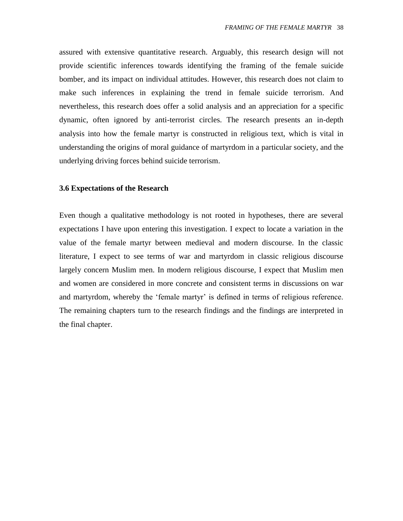assured with extensive quantitative research. Arguably, this research design will not provide scientific inferences towards identifying the framing of the female suicide bomber, and its impact on individual attitudes. However, this research does not claim to make such inferences in explaining the trend in female suicide terrorism. And nevertheless, this research does offer a solid analysis and an appreciation for a specific dynamic, often ignored by anti-terrorist circles. The research presents an in-depth analysis into how the female martyr is constructed in religious text, which is vital in understanding the origins of moral guidance of martyrdom in a particular society, and the underlying driving forces behind suicide terrorism.

## **3.6 Expectations of the Research**

Even though a qualitative methodology is not rooted in hypotheses, there are several expectations I have upon entering this investigation. I expect to locate a variation in the value of the female martyr between medieval and modern discourse. In the classic literature, I expect to see terms of war and martyrdom in classic religious discourse largely concern Muslim men. In modern religious discourse, I expect that Muslim men and women are considered in more concrete and consistent terms in discussions on war and martyrdom, whereby the "female martyr" is defined in terms of religious reference. The remaining chapters turn to the research findings and the findings are interpreted in the final chapter.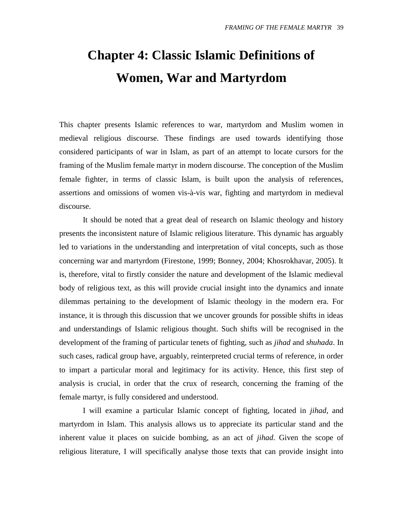## **Chapter 4: Classic Islamic Definitions of Women, War and Martyrdom**

This chapter presents Islamic references to war, martyrdom and Muslim women in medieval religious discourse. These findings are used towards identifying those considered participants of war in Islam, as part of an attempt to locate cursors for the framing of the Muslim female martyr in modern discourse. The conception of the Muslim female fighter, in terms of classic Islam, is built upon the analysis of references, assertions and omissions of women vis-à-vis war, fighting and martyrdom in medieval discourse.

It should be noted that a great deal of research on Islamic theology and history presents the inconsistent nature of Islamic religious literature. This dynamic has arguably led to variations in the understanding and interpretation of vital concepts, such as those concerning war and martyrdom (Firestone, 1999; Bonney, 2004; Khosrokhavar, 2005). It is, therefore, vital to firstly consider the nature and development of the Islamic medieval body of religious text, as this will provide crucial insight into the dynamics and innate dilemmas pertaining to the development of Islamic theology in the modern era. For instance, it is through this discussion that we uncover grounds for possible shifts in ideas and understandings of Islamic religious thought. Such shifts will be recognised in the development of the framing of particular tenets of fighting, such as *jihad* and *shuhada*. In such cases, radical group have, arguably, reinterpreted crucial terms of reference, in order to impart a particular moral and legitimacy for its activity. Hence, this first step of analysis is crucial, in order that the crux of research, concerning the framing of the female martyr, is fully considered and understood.

I will examine a particular Islamic concept of fighting, located in *jihad*, and martyrdom in Islam. This analysis allows us to appreciate its particular stand and the inherent value it places on suicide bombing, as an act of *jihad*. Given the scope of religious literature, I will specifically analyse those texts that can provide insight into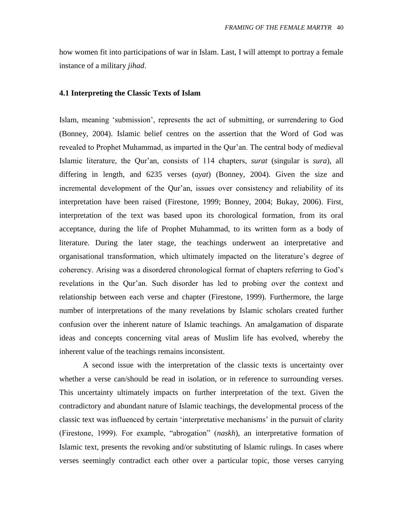how women fit into participations of war in Islam. Last, I will attempt to portray a female instance of a military *jihad*.

#### **4.1 Interpreting the Classic Texts of Islam**

Islam, meaning "submission", represents the act of submitting, or surrendering to God (Bonney, 2004). Islamic belief centres on the assertion that the Word of God was revealed to Prophet Muhammad, as imparted in the Qur"an. The central body of medieval Islamic literature, the Qur"an, consists of 114 chapters, *surat* (singular is *sura*), all differing in length, and 6235 verses (*ayat*) (Bonney, 2004). Given the size and incremental development of the Qur'an, issues over consistency and reliability of its interpretation have been raised (Firestone, 1999; Bonney, 2004; Bukay, 2006). First, interpretation of the text was based upon its chorological formation, from its oral acceptance, during the life of Prophet Muhammad, to its written form as a body of literature. During the later stage, the teachings underwent an interpretative and organisational transformation, which ultimately impacted on the literature's degree of coherency. Arising was a disordered chronological format of chapters referring to God"s revelations in the Qur'an. Such disorder has led to probing over the context and relationship between each verse and chapter (Firestone, 1999). Furthermore, the large number of interpretations of the many revelations by Islamic scholars created further confusion over the inherent nature of Islamic teachings. An amalgamation of disparate ideas and concepts concerning vital areas of Muslim life has evolved, whereby the inherent value of the teachings remains inconsistent.

A second issue with the interpretation of the classic texts is uncertainty over whether a verse can/should be read in isolation, or in reference to surrounding verses. This uncertainty ultimately impacts on further interpretation of the text. Given the contradictory and abundant nature of Islamic teachings, the developmental process of the classic text was influenced by certain "interpretative mechanisms" in the pursuit of clarity (Firestone, 1999). For example, "abrogation" (*naskh*), an interpretative formation of Islamic text, presents the revoking and/or substituting of Islamic rulings. In cases where verses seemingly contradict each other over a particular topic, those verses carrying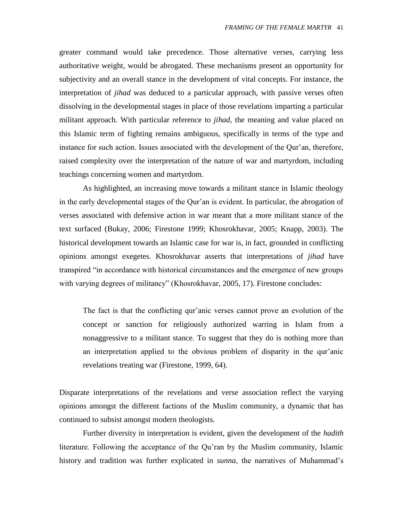greater command would take precedence. Those alternative verses, carrying less authoritative weight, would be abrogated. These mechanisms present an opportunity for subjectivity and an overall stance in the development of vital concepts. For instance, the interpretation of *jihad* was deduced to a particular approach, with passive verses often dissolving in the developmental stages in place of those revelations imparting a particular militant approach. With particular reference to *jihad*, the meaning and value placed on this Islamic term of fighting remains ambiguous, specifically in terms of the type and instance for such action. Issues associated with the development of the Qur'an, therefore, raised complexity over the interpretation of the nature of war and martyrdom, including teachings concerning women and martyrdom.

As highlighted, an increasing move towards a militant stance in Islamic theology in the early developmental stages of the Qur"an is evident. In particular, the abrogation of verses associated with defensive action in war meant that a more militant stance of the text surfaced (Bukay, 2006; Firestone 1999; Khosrokhavar, 2005; Knapp, 2003). The historical development towards an Islamic case for war is, in fact, grounded in conflicting opinions amongst exegetes. Khosrokhavar asserts that interpretations of *jihad* have transpired "in accordance with historical circumstances and the emergence of new groups with varying degrees of militancy" (Khosrokhavar, 2005, 17). Firestone concludes:

The fact is that the conflicting qur'anic verses cannot prove an evolution of the concept or sanction for religiously authorized warring in Islam from a nonaggressive to a militant stance. To suggest that they do is nothing more than an interpretation applied to the obvious problem of disparity in the qur'anic revelations treating war (Firestone, 1999, 64).

Disparate interpretations of the revelations and verse association reflect the varying opinions amongst the different factions of the Muslim community, a dynamic that has continued to subsist amongst modern theologists.

Further diversity in interpretation is evident, given the development of the *hadith* literature. Following the acceptance of the Qu'ran by the Muslim community, Islamic history and tradition was further explicated in *sunna*, the narratives of Muhammad"s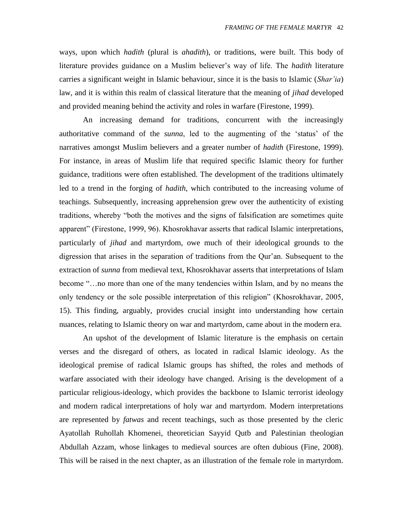ways, upon which *hadith* (plural is *ahadith*), or traditions, were built. This body of literature provides guidance on a Muslim believer"s way of life. The *hadith* literature carries a significant weight in Islamic behaviour, since it is the basis to Islamic (*Shar'ia*) law, and it is within this realm of classical literature that the meaning of *jihad* developed and provided meaning behind the activity and roles in warfare (Firestone, 1999).

An increasing demand for traditions, concurrent with the increasingly authoritative command of the *sunna*, led to the augmenting of the "status" of the narratives amongst Muslim believers and a greater number of *hadith* (Firestone, 1999). For instance, in areas of Muslim life that required specific Islamic theory for further guidance, traditions were often established. The development of the traditions ultimately led to a trend in the forging of *hadith*, which contributed to the increasing volume of teachings. Subsequently, increasing apprehension grew over the authenticity of existing traditions, whereby "both the motives and the signs of falsification are sometimes quite apparent" (Firestone, 1999, 96). Khosrokhavar asserts that radical Islamic interpretations, particularly of *jihad* and martyrdom, owe much of their ideological grounds to the digression that arises in the separation of traditions from the Qur"an. Subsequent to the extraction of *sunna* from medieval text, Khosrokhavar asserts that interpretations of Islam become "…no more than one of the many tendencies within Islam, and by no means the only tendency or the sole possible interpretation of this religion" (Khosrokhavar, 2005, 15). This finding, arguably, provides crucial insight into understanding how certain nuances, relating to Islamic theory on war and martyrdom, came about in the modern era.

An upshot of the development of Islamic literature is the emphasis on certain verses and the disregard of others, as located in radical Islamic ideology. As the ideological premise of radical Islamic groups has shifted, the roles and methods of warfare associated with their ideology have changed. Arising is the development of a particular religious-ideology, which provides the backbone to Islamic terrorist ideology and modern radical interpretations of holy war and martyrdom. Modern interpretations are represented by *fatwas* and recent teachings, such as those presented by the cleric Ayatollah Ruhollah Khomenei, theoretician Sayyid Qutb and Palestinian theologian Abdullah Azzam, whose linkages to medieval sources are often dubious (Fine, 2008). This will be raised in the next chapter, as an illustration of the female role in martyrdom.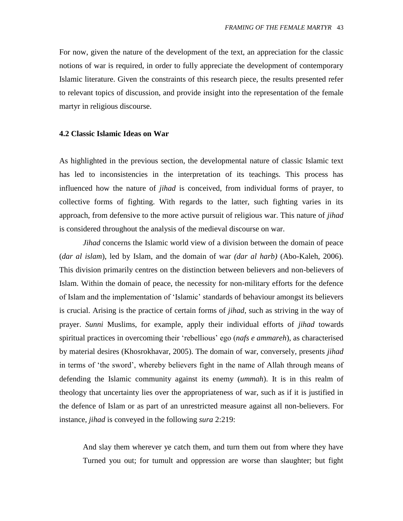For now, given the nature of the development of the text, an appreciation for the classic notions of war is required, in order to fully appreciate the development of contemporary Islamic literature. Given the constraints of this research piece, the results presented refer to relevant topics of discussion, and provide insight into the representation of the female martyr in religious discourse.

#### **4.2 Classic Islamic Ideas on War**

As highlighted in the previous section, the developmental nature of classic Islamic text has led to inconsistencies in the interpretation of its teachings. This process has influenced how the nature of *jihad* is conceived, from individual forms of prayer, to collective forms of fighting. With regards to the latter, such fighting varies in its approach, from defensive to the more active pursuit of religious war. This nature of *jihad* is considered throughout the analysis of the medieval discourse on war.

*Jihad* concerns the Islamic world view of a division between the domain of peace (*dar al islam*), led by Islam, and the domain of war *(dar al harb)* (Abo-Kaleh, 2006). This division primarily centres on the distinction between believers and non-believers of Islam. Within the domain of peace, the necessity for non-military efforts for the defence of Islam and the implementation of "Islamic" standards of behaviour amongst its believers is crucial. Arising is the practice of certain forms of *jihad*, such as striving in the way of prayer. *Sunni* Muslims, for example, apply their individual efforts of *jihad* towards spiritual practices in overcoming their "rebellious" ego (*nafs e ammareh*), as characterised by material desires (Khosrokhavar, 2005). The domain of war, conversely, presents *jihad*  in terms of "the sword", whereby believers fight in the name of Allah through means of defending the Islamic community against its enemy (*ummah*). It is in this realm of theology that uncertainty lies over the appropriateness of war, such as if it is justified in the defence of Islam or as part of an unrestricted measure against all non-believers. For instance, *jihad* is conveyed in the following *sura* 2:219:

And slay them wherever ye catch them, and turn them out from where they have Turned you out; for tumult and oppression are worse than slaughter; but fight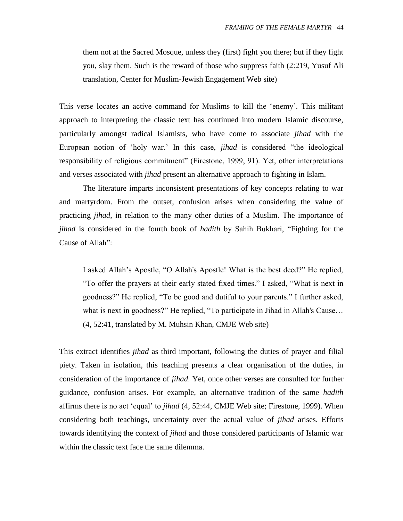them not at the Sacred Mosque, unless they (first) fight you there; but if they fight you, slay them. Such is the reward of those who suppress faith (2:219, Yusuf Ali translation, Center for Muslim-Jewish Engagement Web site)

This verse locates an active command for Muslims to kill the "enemy". This militant approach to interpreting the classic text has continued into modern Islamic discourse, particularly amongst radical Islamists, who have come to associate *jihad* with the European notion of "holy war." In this case, *jihad* is considered "the ideological responsibility of religious commitment" (Firestone, 1999, 91). Yet, other interpretations and verses associated with *jihad* present an alternative approach to fighting in Islam.

The literature imparts inconsistent presentations of key concepts relating to war and martyrdom. From the outset, confusion arises when considering the value of practicing *jihad*, in relation to the many other duties of a Muslim. The importance of *jihad* is considered in the fourth book of *hadith* by Sahih Bukhari, "Fighting for the Cause of Allah":

I asked Allah"s Apostle, "O Allah's Apostle! What is the best deed?" He replied, "To offer the prayers at their early stated fixed times." I asked, "What is next in goodness?" He replied, "To be good and dutiful to your parents." I further asked, what is next in goodness?" He replied, "To participate in Jihad in Allah's Cause... (4, 52:41, translated by M. Muhsin Khan, CMJE Web site)

This extract identifies *jihad* as third important, following the duties of prayer and filial piety. Taken in isolation, this teaching presents a clear organisation of the duties, in consideration of the importance of *jihad*. Yet, once other verses are consulted for further guidance, confusion arises. For example, an alternative tradition of the same *hadith* affirms there is no act "equal" to *jihad* (4, 52:44, CMJE Web site; Firestone, 1999). When considering both teachings, uncertainty over the actual value of *jihad* arises. Efforts towards identifying the context of *jihad* and those considered participants of Islamic war within the classic text face the same dilemma.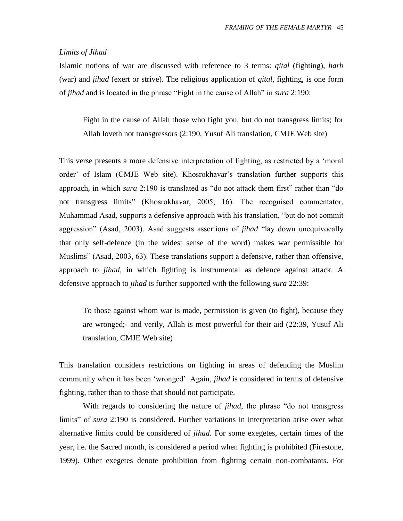## *Limits of Jihad*

Islamic notions of war are discussed with reference to 3 terms: *qital* (fighting), *harb* (war) and *jihad* (exert or strive). The religious application of *qital*, fighting, is one form of *jihad* and is located in the phrase "Fight in the cause of Allah" in *sura* 2:190:

Fight in the cause of Allah those who fight you, but do not transgress limits; for Allah loveth not transgressors (2:190, Yusuf Ali translation, CMJE Web site)

This verse presents a more defensive interpretation of fighting, as restricted by a "moral order' of Islam (CMJE Web site). Khosrokhavar's translation further supports this approach, in which *sura* 2:190 is translated as "do not attack them first" rather than "do not transgress limits" (Khosrokhavar, 2005, 16). The recognised commentator, Muhammad Asad, supports a defensive approach with his translation, "but do not commit aggression" (Asad, 2003). Asad suggests assertions of *jihad* "lay down unequivocally that only self-defence (in the widest sense of the word) makes war permissible for Muslims" (Asad, 2003, 63). These translations support a defensive, rather than offensive, approach to *jihad*, in which fighting is instrumental as defence against attack. A defensive approach to *jihad* is further supported with the following *sura* 22:39:

To those against whom war is made, permission is given (to fight), because they are wronged;- and verily, Allah is most powerful for their aid (22:39, Yusuf Ali translation, CMJE Web site)

This translation considers restrictions on fighting in areas of defending the Muslim community when it has been "wronged". Again, *jihad* is considered in terms of defensive fighting, rather than to those that should not participate.

With regards to considering the nature of *jihad*, the phrase "do not transgress limits" of *sura* 2:190 is considered. Further variations in interpretation arise over what alternative limits could be considered of *jihad*. For some exegetes, certain times of the year, i.e. the Sacred month, is considered a period when fighting is prohibited (Firestone, 1999). Other exegetes denote prohibition from fighting certain non-combatants. For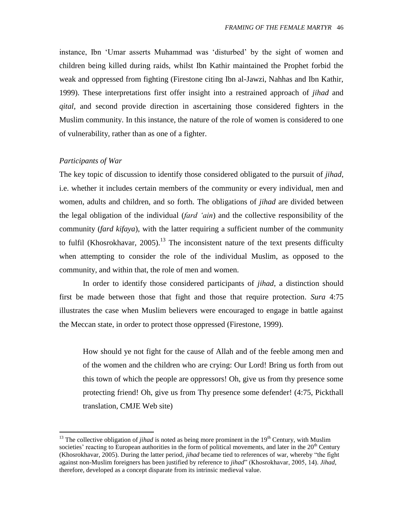instance, Ibn "Umar asserts Muhammad was "disturbed" by the sight of women and children being killed during raids, whilst Ibn Kathir maintained the Prophet forbid the weak and oppressed from fighting (Firestone citing Ibn al-Jawzi, Nahhas and Ibn Kathir, 1999). These interpretations first offer insight into a restrained approach of *jihad* and *qital*, and second provide direction in ascertaining those considered fighters in the Muslim community. In this instance, the nature of the role of women is considered to one of vulnerability, rather than as one of a fighter.

## *Participants of War*

 $\overline{a}$ 

The key topic of discussion to identify those considered obligated to the pursuit of *jihad*, i.e. whether it includes certain members of the community or every individual, men and women, adults and children, and so forth. The obligations of *jihad* are divided between the legal obligation of the individual (*fard 'ain*) and the collective responsibility of the community (*fard kifaya*), with the latter requiring a sufficient number of the community to fulfil (Khosrokhavar, 2005).<sup>13</sup> The inconsistent nature of the text presents difficulty when attempting to consider the role of the individual Muslim, as opposed to the community, and within that, the role of men and women.

In order to identify those considered participants of *jihad*, a distinction should first be made between those that fight and those that require protection. *Sura* 4:75 illustrates the case when Muslim believers were encouraged to engage in battle against the Meccan state, in order to protect those oppressed (Firestone, 1999).

How should ye not fight for the cause of Allah and of the feeble among men and of the women and the children who are crying: Our Lord! Bring us forth from out this town of which the people are oppressors! Oh, give us from thy presence some protecting friend! Oh, give us from Thy presence some defender! (4:75, Pickthall translation, CMJE Web site)

<sup>&</sup>lt;sup>13</sup> The collective obligation of *jihad* is noted as being more prominent in the  $19<sup>th</sup>$  Century, with Muslim societies' reacting to European authorities in the form of political movements, and later in the  $20<sup>th</sup>$  Century (Khosrokhavar, 2005). During the latter period, *jihad* became tied to references of war, whereby "the fight against non-Muslim foreigners has been justified by reference to *jihad*" (Khosrokhavar, 2005, 14). *Jihad*, therefore, developed as a concept disparate from its intrinsic medieval value.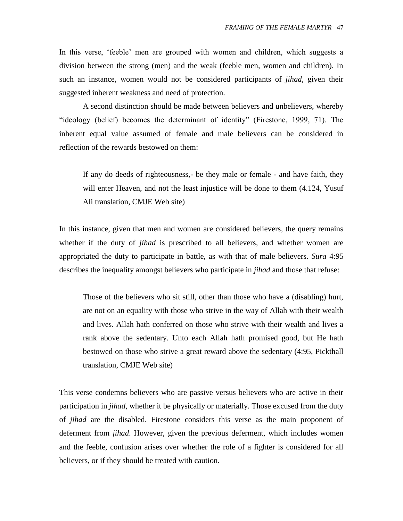In this verse, "feeble" men are grouped with women and children, which suggests a division between the strong (men) and the weak (feeble men, women and children). In such an instance, women would not be considered participants of *jihad*, given their suggested inherent weakness and need of protection.

A second distinction should be made between believers and unbelievers, whereby "ideology (belief) becomes the determinant of identity" (Firestone, 1999, 71). The inherent equal value assumed of female and male believers can be considered in reflection of the rewards bestowed on them:

If any do deeds of righteousness,- be they male or female - and have faith, they will enter Heaven, and not the least injustice will be done to them  $(4.124,$  Yusuf Ali translation, CMJE Web site)

In this instance, given that men and women are considered believers, the query remains whether if the duty of *jihad* is prescribed to all believers, and whether women are appropriated the duty to participate in battle, as with that of male believers. *Sura* 4:95 describes the inequality amongst believers who participate in *jihad* and those that refuse:

Those of the believers who sit still, other than those who have a (disabling) hurt, are not on an equality with those who strive in the way of Allah with their wealth and lives. Allah hath conferred on those who strive with their wealth and lives a rank above the sedentary. Unto each Allah hath promised good, but He hath bestowed on those who strive a great reward above the sedentary (4:95, Pickthall translation, CMJE Web site)

This verse condemns believers who are passive versus believers who are active in their participation in *jihad*, whether it be physically or materially. Those excused from the duty of *jihad* are the disabled. Firestone considers this verse as the main proponent of deferment from *jihad*. However, given the previous deferment, which includes women and the feeble, confusion arises over whether the role of a fighter is considered for all believers, or if they should be treated with caution.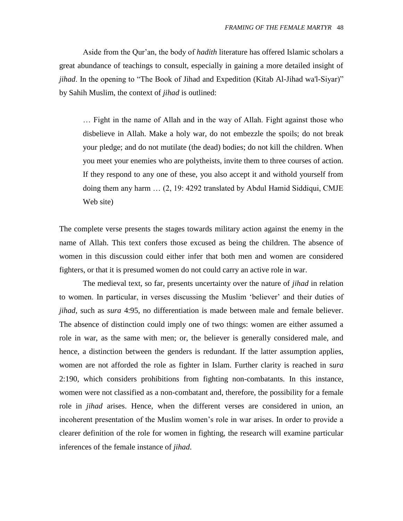Aside from the Qur"an, the body of *hadith* literature has offered Islamic scholars a great abundance of teachings to consult, especially in gaining a more detailed insight of *jihad*. In the opening to "The Book of Jihad and Expedition (Kitab Al-Jihad wa'l-Siyar)" by Sahih Muslim, the context of *jihad* is outlined:

… Fight in the name of Allah and in the way of Allah. Fight against those who disbelieve in Allah. Make a holy war, do not embezzle the spoils; do not break your pledge; and do not mutilate (the dead) bodies; do not kill the children. When you meet your enemies who are polytheists, invite them to three courses of action. If they respond to any one of these, you also accept it and withold yourself from doing them any harm … (2, 19: 4292 translated by Abdul Hamid Siddiqui, CMJE Web site)

The complete verse presents the stages towards military action against the enemy in the name of Allah. This text confers those excused as being the children. The absence of women in this discussion could either infer that both men and women are considered fighters, or that it is presumed women do not could carry an active role in war.

The medieval text, so far, presents uncertainty over the nature of *jihad* in relation to women. In particular, in verses discussing the Muslim "believer" and their duties of *jihad*, such as *sura* 4:95, no differentiation is made between male and female believer. The absence of distinction could imply one of two things: women are either assumed a role in war, as the same with men; or, the believer is generally considered male, and hence, a distinction between the genders is redundant. If the latter assumption applies, women are not afforded the role as fighter in Islam. Further clarity is reached in s*ura* 2:190, which considers prohibitions from fighting non-combatants. In this instance, women were not classified as a non-combatant and, therefore, the possibility for a female role in *jihad* arises. Hence, when the different verses are considered in union, an incoherent presentation of the Muslim women"s role in war arises. In order to provide a clearer definition of the role for women in fighting, the research will examine particular inferences of the female instance of *jihad*.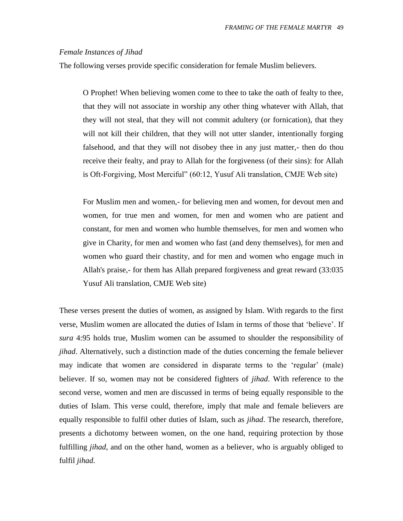### *Female Instances of Jihad*

The following verses provide specific consideration for female Muslim believers.

O Prophet! When believing women come to thee to take the oath of fealty to thee, that they will not associate in worship any other thing whatever with Allah, that they will not steal, that they will not commit adultery (or fornication), that they will not kill their children, that they will not utter slander, intentionally forging falsehood, and that they will not disobey thee in any just matter,- then do thou receive their fealty, and pray to Allah for the forgiveness (of their sins): for Allah is Oft-Forgiving, Most Merciful" (60:12, Yusuf Ali translation, CMJE Web site)

For Muslim men and women,- for believing men and women, for devout men and women, for true men and women, for men and women who are patient and constant, for men and women who humble themselves, for men and women who give in Charity, for men and women who fast (and deny themselves), for men and women who guard their chastity, and for men and women who engage much in Allah's praise,- for them has Allah prepared forgiveness and great reward (33:035 Yusuf Ali translation, CMJE Web site)

These verses present the duties of women, as assigned by Islam. With regards to the first verse, Muslim women are allocated the duties of Islam in terms of those that "believe". If *sura* 4:95 holds true, Muslim women can be assumed to shoulder the responsibility of *jihad*. Alternatively, such a distinction made of the duties concerning the female believer may indicate that women are considered in disparate terms to the "regular" (male) believer. If so, women may not be considered fighters of *jihad*. With reference to the second verse, women and men are discussed in terms of being equally responsible to the duties of Islam. This verse could, therefore, imply that male and female believers are equally responsible to fulfil other duties of Islam, such as *jihad*. The research, therefore, presents a dichotomy between women, on the one hand, requiring protection by those fulfilling *jihad*, and on the other hand, women as a believer, who is arguably obliged to fulfil *jihad*.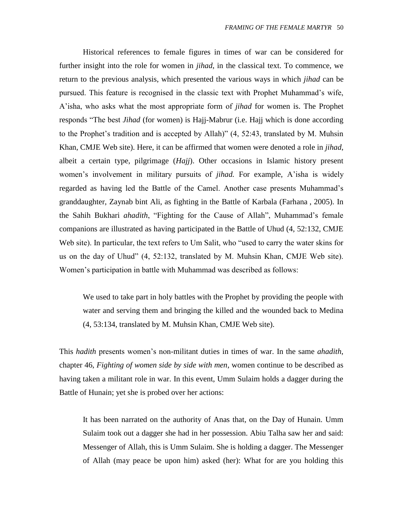Historical references to female figures in times of war can be considered for further insight into the role for women in *jihad*, in the classical text. To commence, we return to the previous analysis, which presented the various ways in which *jihad* can be pursued. This feature is recognised in the classic text with Prophet Muhammad"s wife, A"isha, who asks what the most appropriate form of *jihad* for women is. The Prophet responds "The best *Jihad* (for women) is Hajj-Mabrur (i.e. Hajj which is done according to the Prophet's tradition and is accepted by Allah)" (4, 52:43, translated by M. Muhsin Khan, CMJE Web site). Here, it can be affirmed that women were denoted a role in *jihad*, albeit a certain type, pilgrimage (*Hajj*). Other occasions in Islamic history present women's involvement in military pursuits of *jihad*. For example, A'isha is widely regarded as having led the Battle of the Camel. Another case presents Muhammad"s granddaughter, Zaynab bint Ali, as fighting in the Battle of Karbala (Farhana , 2005). In the Sahih Bukhari *ahadith*, "Fighting for the Cause of Allah", Muhammad"s female companions are illustrated as having participated in the Battle of Uhud (4, 52:132, CMJE Web site). In particular, the text refers to Um Salit, who "used to carry the water skins for us on the day of Uhud" (4, 52:132, translated by M. Muhsin Khan, CMJE Web site). Women"s participation in battle with Muhammad was described as follows:

We used to take part in holy battles with the Prophet by providing the people with water and serving them and bringing the killed and the wounded back to Medina (4, 53:134, translated by M. Muhsin Khan, CMJE Web site).

This *hadith* presents women"s non-militant duties in times of war. In the same *ahadith*, chapter 46, *Fighting of women side by side with men*, women continue to be described as having taken a militant role in war. In this event, Umm Sulaim holds a dagger during the Battle of Hunain; yet she is probed over her actions:

It has been narrated on the authority of Anas that, on the Day of Hunain. Umm Sulaim took out a dagger she had in her possession. Abiu Talha saw her and said: Messenger of Allah, this is Umm Sulaim. She is holding a dagger. The Messenger of Allah (may peace be upon him) asked (her): What for are you holding this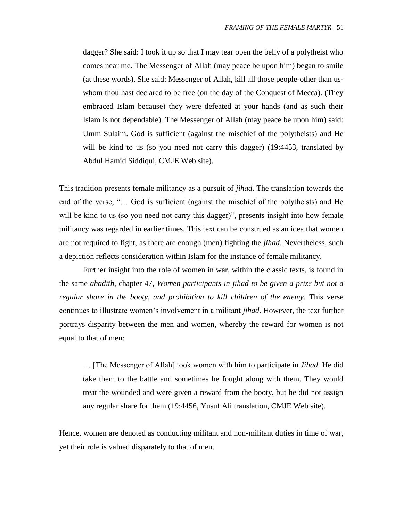dagger? She said: I took it up so that I may tear open the belly of a polytheist who comes near me. The Messenger of Allah (may peace be upon him) began to smile (at these words). She said: Messenger of Allah, kill all those people-other than uswhom thou hast declared to be free (on the day of the Conquest of Mecca). (They embraced Islam because) they were defeated at your hands (and as such their Islam is not dependable). The Messenger of Allah (may peace be upon him) said: Umm Sulaim. God is sufficient (against the mischief of the polytheists) and He will be kind to us (so you need not carry this dagger) (19:4453, translated by Abdul Hamid Siddiqui, CMJE Web site).

This tradition presents female militancy as a pursuit of *jihad*. The translation towards the end of the verse, "… God is sufficient (against the mischief of the polytheists) and He will be kind to us (so you need not carry this dagger)", presents insight into how female militancy was regarded in earlier times. This text can be construed as an idea that women are not required to fight, as there are enough (men) fighting the *jihad*. Nevertheless, such a depiction reflects consideration within Islam for the instance of female militancy.

Further insight into the role of women in war, within the classic texts, is found in the same *ahadith*, chapter 47, *Women participants in jihad to be given a prize but not a regular share in the booty, and prohibition to kill children of the enemy*. This verse continues to illustrate women"s involvement in a militant *jihad*. However, the text further portrays disparity between the men and women, whereby the reward for women is not equal to that of men:

… [The Messenger of Allah] took women with him to participate in *Jihad*. He did take them to the battle and sometimes he fought along with them. They would treat the wounded and were given a reward from the booty, but he did not assign any regular share for them (19:4456, Yusuf Ali translation, CMJE Web site).

Hence, women are denoted as conducting militant and non-militant duties in time of war, yet their role is valued disparately to that of men.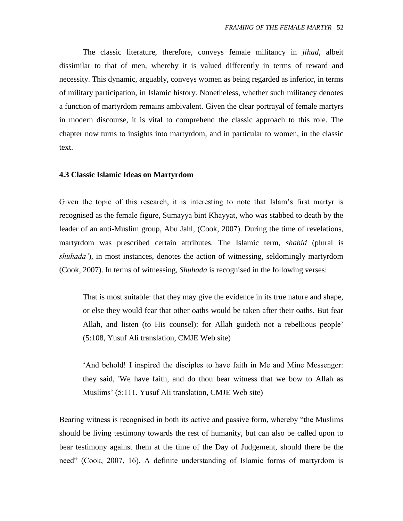The classic literature, therefore, conveys female militancy in *jihad*, albeit dissimilar to that of men, whereby it is valued differently in terms of reward and necessity. This dynamic, arguably, conveys women as being regarded as inferior, in terms of military participation, in Islamic history. Nonetheless, whether such militancy denotes a function of martyrdom remains ambivalent. Given the clear portrayal of female martyrs in modern discourse, it is vital to comprehend the classic approach to this role. The chapter now turns to insights into martyrdom, and in particular to women, in the classic text.

#### **4.3 Classic Islamic Ideas on Martyrdom**

Given the topic of this research, it is interesting to note that Islam"s first martyr is recognised as the female figure, Sumayya bint Khayyat, who was stabbed to death by the leader of an anti-Muslim group, Abu Jahl, (Cook, 2007). During the time of revelations, martyrdom was prescribed certain attributes. The Islamic term, *shahid* (plural is *shuhada'*), in most instances, denotes the action of witnessing, seldomingly martyrdom (Cook, 2007). In terms of witnessing, *Shuhada* is recognised in the following verses:

That is most suitable: that they may give the evidence in its true nature and shape, or else they would fear that other oaths would be taken after their oaths. But fear Allah, and listen (to His counsel): for Allah guideth not a rebellious people' (5:108, Yusuf Ali translation, CMJE Web site)

"And behold! I inspired the disciples to have faith in Me and Mine Messenger: they said, 'We have faith, and do thou bear witness that we bow to Allah as Muslims" (5:111, Yusuf Ali translation, CMJE Web site)

Bearing witness is recognised in both its active and passive form, whereby "the Muslims should be living testimony towards the rest of humanity, but can also be called upon to bear testimony against them at the time of the Day of Judgement, should there be the need" (Cook, 2007, 16). A definite understanding of Islamic forms of martyrdom is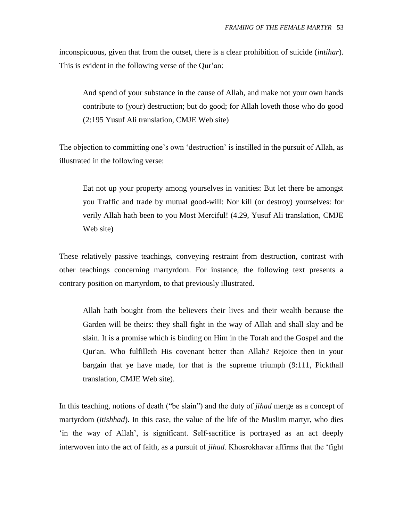inconspicuous, given that from the outset, there is a clear prohibition of suicide (*intihar*). This is evident in the following verse of the Qur'an:

And spend of your substance in the cause of Allah, and make not your own hands contribute to (your) destruction; but do good; for Allah loveth those who do good (2:195 Yusuf Ali translation, CMJE Web site)

The objection to committing one's own 'destruction' is instilled in the pursuit of Allah, as illustrated in the following verse:

Eat not up your property among yourselves in vanities: But let there be amongst you Traffic and trade by mutual good-will: Nor kill (or destroy) yourselves: for verily Allah hath been to you Most Merciful! (4.29, Yusuf Ali translation, CMJE Web site)

These relatively passive teachings, conveying restraint from destruction, contrast with other teachings concerning martyrdom. For instance, the following text presents a contrary position on martyrdom, to that previously illustrated.

Allah hath bought from the believers their lives and their wealth because the Garden will be theirs: they shall fight in the way of Allah and shall slay and be slain. It is a promise which is binding on Him in the Torah and the Gospel and the Qur'an. Who fulfilleth His covenant better than Allah? Rejoice then in your bargain that ye have made, for that is the supreme triumph (9:111, Pickthall translation, CMJE Web site).

In this teaching, notions of death ("be slain") and the duty of *jihad* merge as a concept of martyrdom (*itishhad*). In this case, the value of the life of the Muslim martyr, who dies "in the way of Allah", is significant. Self-sacrifice is portrayed as an act deeply interwoven into the act of faith, as a pursuit of *jihad*. Khosrokhavar affirms that the "fight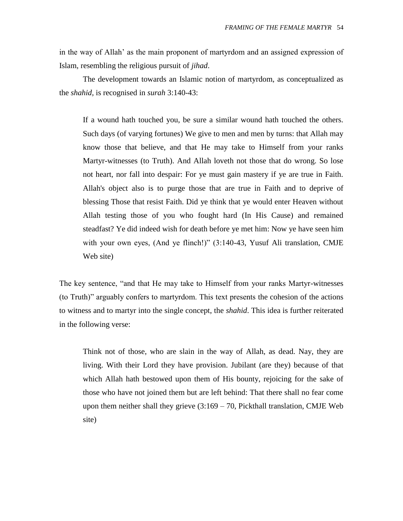in the way of Allah" as the main proponent of martyrdom and an assigned expression of Islam, resembling the religious pursuit of *jihad*.

The development towards an Islamic notion of martyrdom, as conceptualized as the *shahid,* is recognised in *surah* 3:140-43:

If a wound hath touched you, be sure a similar wound hath touched the others. Such days (of varying fortunes) We give to men and men by turns: that Allah may know those that believe, and that He may take to Himself from your ranks Martyr-witnesses (to Truth). And Allah loveth not those that do wrong. So lose not heart, nor fall into despair: For ye must gain mastery if ye are true in Faith. Allah's object also is to purge those that are true in Faith and to deprive of blessing Those that resist Faith. Did ye think that ye would enter Heaven without Allah testing those of you who fought hard (In His Cause) and remained steadfast? Ye did indeed wish for death before ye met him: Now ye have seen him with your own eyes, (And ye flinch!)" (3:140-43, Yusuf Ali translation, CMJE Web site)

The key sentence, "and that He may take to Himself from your ranks Martyr-witnesses (to Truth)" arguably confers to martyrdom. This text presents the cohesion of the actions to witness and to martyr into the single concept, the *shahid*. This idea is further reiterated in the following verse:

Think not of those, who are slain in the way of Allah, as dead. Nay, they are living. With their Lord they have provision. Jubilant (are they) because of that which Allah hath bestowed upon them of His bounty, rejoicing for the sake of those who have not joined them but are left behind: That there shall no fear come upon them neither shall they grieve  $(3:169 - 70)$ , Pickthall translation, CMJE Web site)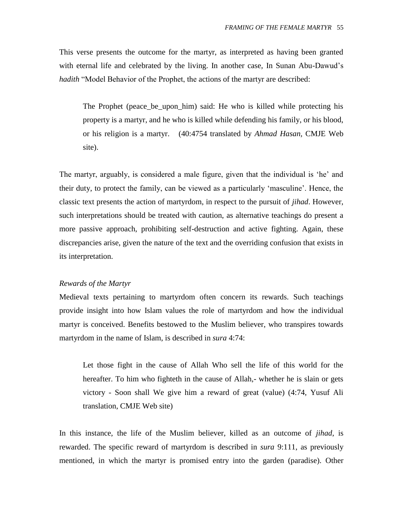This verse presents the outcome for the martyr, as interpreted as having been granted with eternal life and celebrated by the living. In another case, In Sunan Abu-Dawud"s *hadith* "Model Behavior of the Prophet, the actions of the martyr are described:

The Prophet (peace\_be\_upon\_him) said: He who is killed while protecting his property is a martyr, and he who is killed while defending his family, or his blood, or his religion is a martyr.(40:4754 translated by *Ahmad Hasan,* CMJE Web site).

The martyr, arguably, is considered a male figure, given that the individual is 'he' and their duty, to protect the family, can be viewed as a particularly "masculine". Hence, the classic text presents the action of martyrdom, in respect to the pursuit of *jihad*. However, such interpretations should be treated with caution, as alternative teachings do present a more passive approach, prohibiting self-destruction and active fighting. Again, these discrepancies arise, given the nature of the text and the overriding confusion that exists in its interpretation.

## *Rewards of the Martyr*

Medieval texts pertaining to martyrdom often concern its rewards. Such teachings provide insight into how Islam values the role of martyrdom and how the individual martyr is conceived. Benefits bestowed to the Muslim believer, who transpires towards martyrdom in the name of Islam, is described in *sura* 4:74:

Let those fight in the cause of Allah Who sell the life of this world for the hereafter. To him who fighteth in the cause of Allah,- whether he is slain or gets victory - Soon shall We give him a reward of great (value) (4:74, Yusuf Ali translation, CMJE Web site)

In this instance, the life of the Muslim believer, killed as an outcome of *jihad*, is rewarded. The specific reward of martyrdom is described in *sura* 9:111, as previously mentioned, in which the martyr is promised entry into the garden (paradise). Other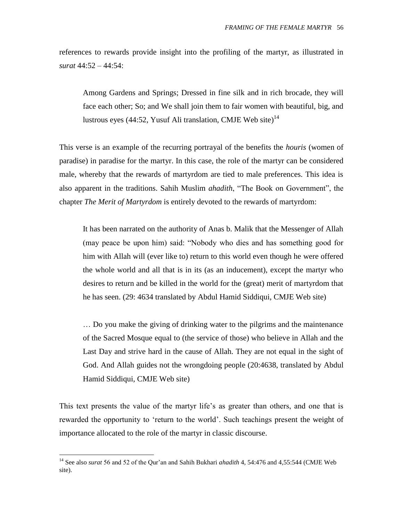references to rewards provide insight into the profiling of the martyr, as illustrated in *surat* 44:52 – 44:54:

Among Gardens and Springs; Dressed in fine silk and in rich brocade, they will face each other; So; and We shall join them to fair women with beautiful, big, and lustrous eyes (44:52, Yusuf Ali translation, CMJE Web site)<sup>14</sup>

This verse is an example of the recurring portrayal of the benefits the *houris* (women of paradise) in paradise for the martyr. In this case, the role of the martyr can be considered male, whereby that the rewards of martyrdom are tied to male preferences. This idea is also apparent in the traditions. Sahih Muslim *ahadith*, "The Book on Government", the chapter *The Merit of Martyrdom* is entirely devoted to the rewards of martyrdom:

It has been narrated on the authority of Anas b. Malik that the Messenger of Allah (may peace be upon him) said: "Nobody who dies and has something good for him with Allah will (ever like to) return to this world even though he were offered the whole world and all that is in its (as an inducement), except the martyr who desires to return and be killed in the world for the (great) merit of martyrdom that he has seen. (29: 4634 translated by Abdul Hamid Siddiqui, CMJE Web site)

… Do you make the giving of drinking water to the pilgrims and the maintenance of the Sacred Mosque equal to (the service of those) who believe in Allah and the Last Day and strive hard in the cause of Allah. They are not equal in the sight of God. And Allah guides not the wrongdoing people (20:4638, translated by Abdul Hamid Siddiqui, CMJE Web site)

This text presents the value of the martyr life's as greater than others, and one that is rewarded the opportunity to "return to the world". Such teachings present the weight of importance allocated to the role of the martyr in classic discourse.

 $\overline{a}$ 

<sup>14</sup> See also *surat* 56 and 52 of the Qur"an and Sahih Bukhari *ahadith* 4, 54:476 and 4,55:544 (CMJE Web site).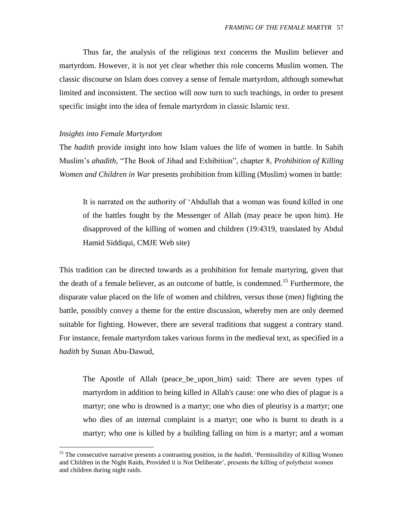Thus far, the analysis of the religious text concerns the Muslim believer and martyrdom. However, it is not yet clear whether this role concerns Muslim women. The classic discourse on Islam does convey a sense of female martyrdom, although somewhat limited and inconsistent. The section will now turn to such teachings, in order to present specific insight into the idea of female martyrdom in classic Islamic text.

## *Insights into Female Martyrdom*

 $\overline{a}$ 

The *hadith* provide insight into how Islam values the life of women in battle. In Sahih Muslim"s *ahadith,* "The Book of Jihad and Exhibition", chapter 8, *Prohibition of Killing Women and Children in War* presents prohibition from killing (Muslim) women in battle:

It is narrated on the authority of "Abdullah that a woman was found killed in one of the battles fought by the Messenger of Allah (may peace be upon him). He disapproved of the killing of women and children (19:4319, translated by Abdul Hamid Siddiqui, CMJE Web site)

This tradition can be directed towards as a prohibition for female martyring, given that the death of a female believer, as an outcome of battle, is condemned.<sup>15</sup> Furthermore, the disparate value placed on the life of women and children, versus those (men) fighting the battle, possibly convey a theme for the entire discussion, whereby men are only deemed suitable for fighting. However, there are several traditions that suggest a contrary stand. For instance, female martyrdom takes various forms in the medieval text, as specified in a *hadith* by Sunan Abu-Dawud,

The Apostle of Allah (peace\_be\_upon\_him) said: There are seven types of martyrdom in addition to being killed in Allah's cause: one who dies of plague is a martyr; one who is drowned is a martyr; one who dies of pleurisy is a martyr; one who dies of an internal complaint is a martyr; one who is burnt to death is a martyr; who one is killed by a building falling on him is a martyr; and a woman

<sup>&</sup>lt;sup>15</sup> The consecutive narrative presents a contrasting position, in the *hadith*, 'Permissibility of Killing Women and Children in the Night Raids, Provided it is Not Deliberate", presents the killing of polytheist women and children during night raids.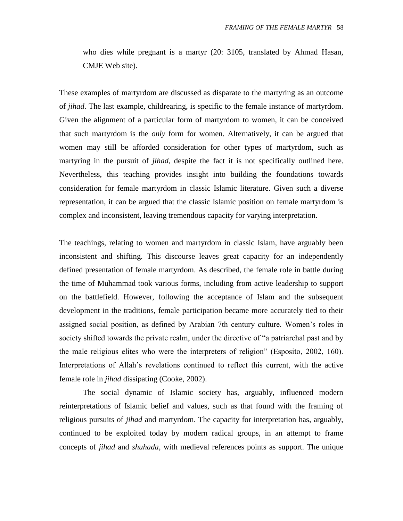who dies while pregnant is a martyr (20: 3105, translated by Ahmad Hasan, CMJE Web site).

These examples of martyrdom are discussed as disparate to the martyring as an outcome of *jihad*. The last example, childrearing, is specific to the female instance of martyrdom. Given the alignment of a particular form of martyrdom to women, it can be conceived that such martyrdom is the *only* form for women. Alternatively, it can be argued that women may still be afforded consideration for other types of martyrdom, such as martyring in the pursuit of *jihad*, despite the fact it is not specifically outlined here. Nevertheless, this teaching provides insight into building the foundations towards consideration for female martyrdom in classic Islamic literature. Given such a diverse representation, it can be argued that the classic Islamic position on female martyrdom is complex and inconsistent, leaving tremendous capacity for varying interpretation.

The teachings, relating to women and martyrdom in classic Islam, have arguably been inconsistent and shifting. This discourse leaves great capacity for an independently defined presentation of female martyrdom. As described, the female role in battle during the time of Muhammad took various forms, including from active leadership to support on the battlefield. However, following the acceptance of Islam and the subsequent development in the traditions, female participation became more accurately tied to their assigned social position, as defined by Arabian 7th century culture. Women"s roles in society shifted towards the private realm, under the directive of "a patriarchal past and by the male religious elites who were the interpreters of religion" (Esposito, 2002, 160). Interpretations of Allah"s revelations continued to reflect this current, with the active female role in *jihad* dissipating (Cooke, 2002).

The social dynamic of Islamic society has, arguably, influenced modern reinterpretations of Islamic belief and values, such as that found with the framing of religious pursuits of *jihad* and martyrdom. The capacity for interpretation has, arguably, continued to be exploited today by modern radical groups, in an attempt to frame concepts of *jihad* and *shuhada*, with medieval references points as support. The unique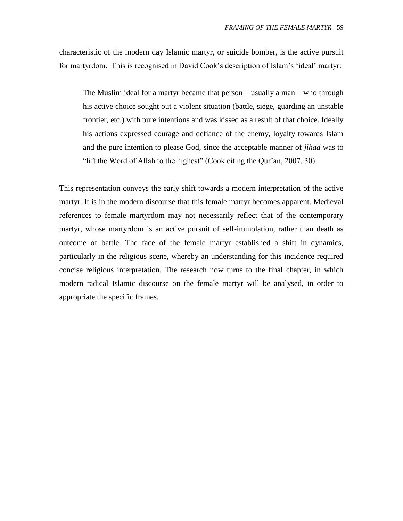characteristic of the modern day Islamic martyr, or suicide bomber, is the active pursuit for martyrdom. This is recognised in David Cook's description of Islam's 'ideal' martyr:

The Muslim ideal for a martyr became that person – usually a man – who through his active choice sought out a violent situation (battle, siege, guarding an unstable frontier, etc.) with pure intentions and was kissed as a result of that choice. Ideally his actions expressed courage and defiance of the enemy, loyalty towards Islam and the pure intention to please God, since the acceptable manner of *jihad* was to "lift the Word of Allah to the highest" (Cook citing the Qur"an, 2007, 30).

This representation conveys the early shift towards a modern interpretation of the active martyr. It is in the modern discourse that this female martyr becomes apparent. Medieval references to female martyrdom may not necessarily reflect that of the contemporary martyr, whose martyrdom is an active pursuit of self-immolation, rather than death as outcome of battle. The face of the female martyr established a shift in dynamics, particularly in the religious scene, whereby an understanding for this incidence required concise religious interpretation. The research now turns to the final chapter, in which modern radical Islamic discourse on the female martyr will be analysed, in order to appropriate the specific frames.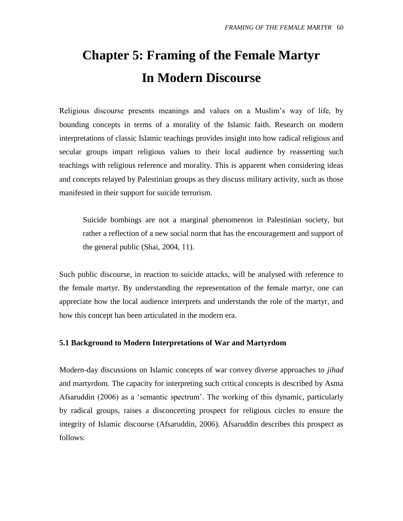# **Chapter 5: Framing of the Female Martyr In Modern Discourse**

Religious discourse presents meanings and values on a Muslim"s way of life, by bounding concepts in terms of a morality of the Islamic faith. Research on modern interpretations of classic Islamic teachings provides insight into how radical religious and secular groups impart religious values to their local audience by reasserting such teachings with religious reference and morality. This is apparent when considering ideas and concepts relayed by Palestinian groups as they discuss military activity, such as those manifested in their support for suicide terrorism.

Suicide bombings are not a marginal phenomenon in Palestinian society, but rather a reflection of a new social norm that has the encouragement and support of the general public (Shai, 2004, 11).

Such public discourse, in reaction to suicide attacks, will be analysed with reference to the female martyr. By understanding the representation of the female martyr, one can appreciate how the local audience interprets and understands the role of the martyr, and how this concept has been articulated in the modern era.

## **5.1 Background to Modern Interpretations of War and Martyrdom**

Modern-day discussions on Islamic concepts of war convey diverse approaches to *jihad* and martyrdom. The capacity for interpreting such critical concepts is described by Asma Afsaruddin (2006) as a "semantic spectrum". The working of this dynamic, particularly by radical groups, raises a disconcerting prospect for religious circles to ensure the integrity of Islamic discourse (Afsaruddin, 2006). Afsaruddin describes this prospect as follows: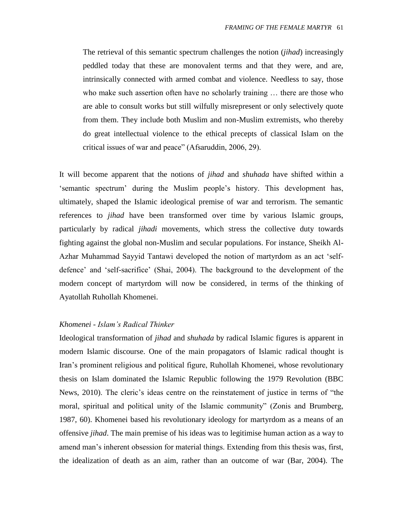The retrieval of this semantic spectrum challenges the notion (*jihad*) increasingly peddled today that these are monovalent terms and that they were, and are, intrinsically connected with armed combat and violence. Needless to say, those who make such assertion often have no scholarly training … there are those who are able to consult works but still wilfully misrepresent or only selectively quote from them. They include both Muslim and non-Muslim extremists, who thereby do great intellectual violence to the ethical precepts of classical Islam on the critical issues of war and peace" (Afsaruddin, 2006, 29).

It will become apparent that the notions of *jihad* and *shuhada* have shifted within a "semantic spectrum" during the Muslim people"s history. This development has, ultimately, shaped the Islamic ideological premise of war and terrorism. The semantic references to *jihad* have been transformed over time by various Islamic groups, particularly by radical *jihadi* movements, which stress the collective duty towards fighting against the global non-Muslim and secular populations. For instance, Sheikh Al-Azhar Muhammad Sayyid Tantawi developed the notion of martyrdom as an act "selfdefence" and "self-sacrifice" (Shai, 2004). The background to the development of the modern concept of martyrdom will now be considered, in terms of the thinking of Ayatollah Ruhollah Khomenei.

#### *Khomenei - Islam's Radical Thinker*

Ideological transformation of *jihad* and *shuhada* by radical Islamic figures is apparent in modern Islamic discourse. One of the main propagators of Islamic radical thought is Iran"s prominent religious and political figure, Ruhollah Khomenei, whose revolutionary thesis on Islam dominated the Islamic Republic following the 1979 Revolution (BBC News, 2010). The cleric"s ideas centre on the reinstatement of justice in terms of "the moral, spiritual and political unity of the Islamic community" (Zonis and Brumberg, 1987, 60). Khomenei based his revolutionary ideology for martyrdom as a means of an offensive *jihad*. The main premise of his ideas was to legitimise human action as a way to amend man"s inherent obsession for material things. Extending from this thesis was, first, the idealization of death as an aim, rather than an outcome of war (Bar, 2004). The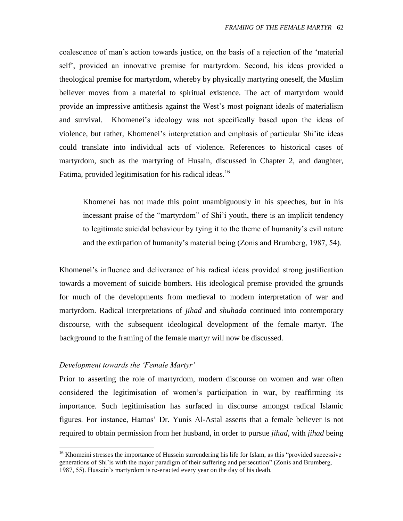coalescence of man"s action towards justice, on the basis of a rejection of the "material self", provided an innovative premise for martyrdom. Second, his ideas provided a theological premise for martyrdom, whereby by physically martyring oneself, the Muslim believer moves from a material to spiritual existence. The act of martyrdom would provide an impressive antithesis against the West"s most poignant ideals of materialism and survival. Khomenei's ideology was not specifically based upon the ideas of violence, but rather, Khomenei's interpretation and emphasis of particular Shi'ite ideas could translate into individual acts of violence. References to historical cases of martyrdom, such as the martyring of Husain, discussed in Chapter 2, and daughter, Fatima, provided legitimisation for his radical ideas.<sup>16</sup>

Khomenei has not made this point unambiguously in his speeches, but in his incessant praise of the "martyrdom" of Shi"i youth, there is an implicit tendency to legitimate suicidal behaviour by tying it to the theme of humanity"s evil nature and the extirpation of humanity"s material being (Zonis and Brumberg, 1987, 54).

Khomenei's influence and deliverance of his radical ideas provided strong justification towards a movement of suicide bombers. His ideological premise provided the grounds for much of the developments from medieval to modern interpretation of war and martyrdom. Radical interpretations of *jihad* and *shuhada* continued into contemporary discourse, with the subsequent ideological development of the female martyr. The background to the framing of the female martyr will now be discussed.

## *Development towards the 'Female Martyr'*

 $\overline{a}$ 

Prior to asserting the role of martyrdom, modern discourse on women and war often considered the legitimisation of women"s participation in war, by reaffirming its importance. Such legitimisation has surfaced in discourse amongst radical Islamic figures. For instance, Hamas" Dr. Yunis Al-Astal asserts that a female believer is not required to obtain permission from her husband, in order to pursue *jihad*, with *jihad* being

<sup>&</sup>lt;sup>16</sup> Khomeini stresses the importance of Hussein surrendering his life for Islam, as this "provided successive" generations of Shi"is with the major paradigm of their suffering and persecution" (Zonis and Brumberg, 1987, 55). Hussein"s martyrdom is re-enacted every year on the day of his death.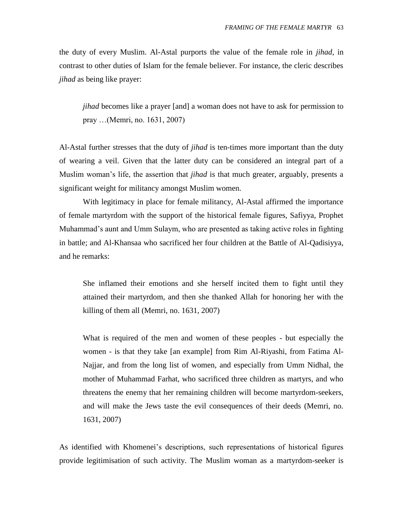the duty of every Muslim. Al-Astal purports the value of the female role in *jihad*, in contrast to other duties of Islam for the female believer. For instance, the cleric describes *jihad* as being like prayer:

*jihad* becomes like a prayer [and] a woman does not have to ask for permission to pray …(Memri, no. 1631, 2007)

Al-Astal further stresses that the duty of *jihad* is ten-times more important than the duty of wearing a veil. Given that the latter duty can be considered an integral part of a Muslim woman"s life, the assertion that *jihad* is that much greater, arguably, presents a significant weight for militancy amongst Muslim women.

With legitimacy in place for female militancy, Al-Astal affirmed the importance of female martyrdom with the support of the historical female figures, Safiyya, Prophet Muhammad"s aunt and Umm Sulaym, who are presented as taking active roles in fighting in battle; and Al-Khansaa who sacrificed her four children at the Battle of Al-Qadisiyya, and he remarks:

She inflamed their emotions and she herself incited them to fight until they attained their martyrdom, and then she thanked Allah for honoring her with the killing of them all (Memri, no. 1631, 2007)

What is required of the men and women of these peoples - but especially the women - is that they take [an example] from Rim Al-Riyashi, from Fatima Al-Najjar, and from the long list of women, and especially from Umm Nidhal, the mother of Muhammad Farhat, who sacrificed three children as martyrs, and who threatens the enemy that her remaining children will become martyrdom-seekers, and will make the Jews taste the evil consequences of their deeds (Memri, no. 1631, 2007)

As identified with Khomenei's descriptions, such representations of historical figures provide legitimisation of such activity. The Muslim woman as a martyrdom-seeker is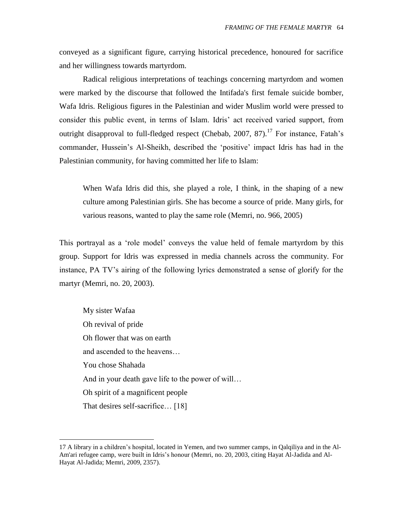conveyed as a significant figure, carrying historical precedence, honoured for sacrifice and her willingness towards martyrdom.

Radical religious interpretations of teachings concerning martyrdom and women were marked by the discourse that followed the Intifada's first female suicide bomber, Wafa Idris. Religious figures in the Palestinian and wider Muslim world were pressed to consider this public event, in terms of Islam. Idris" act received varied support, from outright disapproval to full-fledged respect (Chebab, 2007, 87).<sup>17</sup> For instance, Fatah's commander, Hussein"s Al-Sheikh, described the "positive" impact Idris has had in the Palestinian community, for having committed her life to Islam:

When Wafa Idris did this, she played a role, I think, in the shaping of a new culture among Palestinian girls. She has become a source of pride. Many girls, for various reasons, wanted to play the same role (Memri, no. 966, 2005)

This portrayal as a "role model" conveys the value held of female martyrdom by this group. Support for Idris was expressed in media channels across the community. For instance, PA TV"s airing of the following lyrics demonstrated a sense of glorify for the martyr (Memri, no. 20, 2003).

My sister Wafaa Oh revival of pride Oh flower that was on earth and ascended to the heavens… You chose Shahada And in your death gave life to the power of will… Oh spirit of a magnificent people That desires self-sacrifice... [18]

 $\overline{a}$ 

<sup>17</sup> A library in a children"s hospital, located in Yemen, and two summer camps, in Qalqiliya and in the Al-Am'ari refugee camp, were built in Idris"s honour (Memri, no. 20, 2003, citing Hayat Al-Jadida and Al-Hayat Al-Jadida; Memri, 2009, 2357).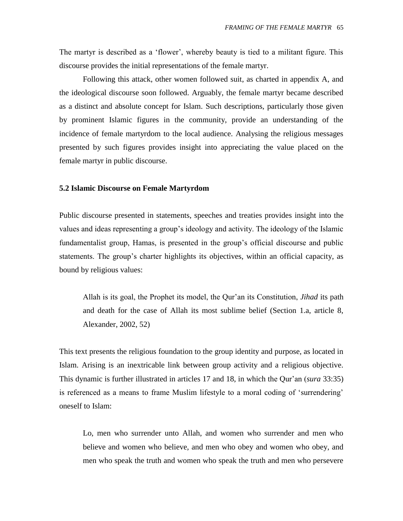The martyr is described as a 'flower', whereby beauty is tied to a militant figure. This discourse provides the initial representations of the female martyr.

Following this attack, other women followed suit, as charted in appendix A, and the ideological discourse soon followed. Arguably, the female martyr became described as a distinct and absolute concept for Islam. Such descriptions, particularly those given by prominent Islamic figures in the community, provide an understanding of the incidence of female martyrdom to the local audience. Analysing the religious messages presented by such figures provides insight into appreciating the value placed on the female martyr in public discourse.

### **5.2 Islamic Discourse on Female Martyrdom**

Public discourse presented in statements, speeches and treaties provides insight into the values and ideas representing a group"s ideology and activity. The ideology of the Islamic fundamentalist group, Hamas, is presented in the group"s official discourse and public statements. The group's charter highlights its objectives, within an official capacity, as bound by religious values:

Allah is its goal, the Prophet its model, the Qur"an its Constitution, *Jihad* its path and death for the case of Allah its most sublime belief (Section 1.a, article 8, Alexander, 2002, 52)

This text presents the religious foundation to the group identity and purpose, as located in Islam. Arising is an inextricable link between group activity and a religious objective. This dynamic is further illustrated in articles 17 and 18, in which the Qur"an (*sura* 33:35) is referenced as a means to frame Muslim lifestyle to a moral coding of "surrendering" oneself to Islam:

Lo, men who surrender unto Allah, and women who surrender and men who believe and women who believe, and men who obey and women who obey, and men who speak the truth and women who speak the truth and men who persevere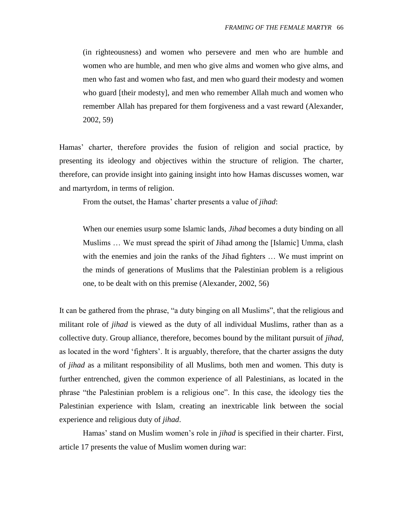(in righteousness) and women who persevere and men who are humble and women who are humble, and men who give alms and women who give alms, and men who fast and women who fast, and men who guard their modesty and women who guard [their modesty], and men who remember Allah much and women who remember Allah has prepared for them forgiveness and a vast reward (Alexander, 2002, 59)

Hamas" charter, therefore provides the fusion of religion and social practice, by presenting its ideology and objectives within the structure of religion. The charter, therefore, can provide insight into gaining insight into how Hamas discusses women, war and martyrdom, in terms of religion.

From the outset, the Hamas' charter presents a value of *jihad*:

When our enemies usurp some Islamic lands, *Jihad* becomes a duty binding on all Muslims … We must spread the spirit of Jihad among the [Islamic] Umma, clash with the enemies and join the ranks of the Jihad fighters … We must imprint on the minds of generations of Muslims that the Palestinian problem is a religious one, to be dealt with on this premise (Alexander, 2002, 56)

It can be gathered from the phrase, "a duty binging on all Muslims", that the religious and militant role of *jihad* is viewed as the duty of all individual Muslims, rather than as a collective duty. Group alliance, therefore, becomes bound by the militant pursuit of *jihad*, as located in the word "fighters". It is arguably, therefore, that the charter assigns the duty of *jihad* as a militant responsibility of all Muslims, both men and women. This duty is further entrenched, given the common experience of all Palestinians, as located in the phrase "the Palestinian problem is a religious one". In this case, the ideology ties the Palestinian experience with Islam, creating an inextricable link between the social experience and religious duty of *jihad*.

Hamas" stand on Muslim women"s role in *jihad* is specified in their charter. First, article 17 presents the value of Muslim women during war: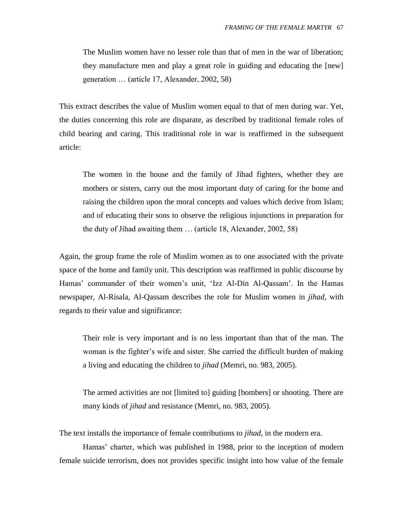The Muslim women have no lesser role than that of men in the war of liberation; they manufacture men and play a great role in guiding and educating the [new] generation … (article 17, Alexander, 2002, 58)

This extract describes the value of Muslim women equal to that of men during war. Yet, the duties concerning this role are disparate, as described by traditional female roles of child bearing and caring. This traditional role in war is reaffirmed in the subsequent article:

The women in the house and the family of Jihad fighters, whether they are mothers or sisters, carry out the most important duty of caring for the home and raising the children upon the moral concepts and values which derive from Islam; and of educating their sons to observe the religious injunctions in preparation for the duty of Jihad awaiting them … (article 18, Alexander, 2002, 58)

Again, the group frame the role of Muslim women as to one associated with the private space of the home and family unit. This description was reaffirmed in public discourse by Hamas' commander of their women's unit, 'Izz Al-Din Al-Qassam'. In the Hamas newspaper, Al-Risala, Al-Qassam describes the role for Muslim women in *jihad*, with regards to their value and significance:

Their role is very important and is no less important than that of the man. The woman is the fighter's wife and sister. She carried the difficult burden of making a living and educating the children to *jihad* (Memri, no. 983, 2005).

The armed activities are not [limited to] guiding [bombers] or shooting. There are many kinds of *jihad* and resistance (Memri, no. 983, 2005).

The text installs the importance of female contributions to *jihad*, in the modern era.

Hamas' charter, which was published in 1988, prior to the inception of modern female suicide terrorism, does not provides specific insight into how value of the female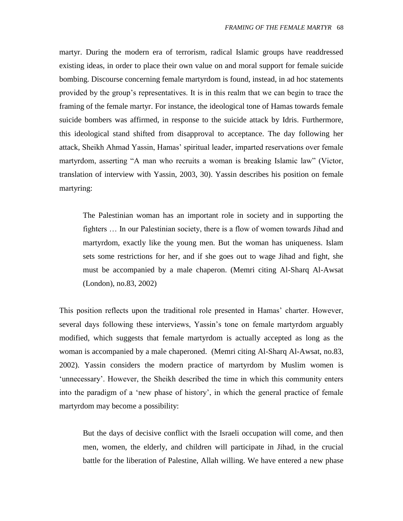martyr. During the modern era of terrorism, radical Islamic groups have readdressed existing ideas, in order to place their own value on and moral support for female suicide bombing. Discourse concerning female martyrdom is found, instead, in ad hoc statements provided by the group"s representatives. It is in this realm that we can begin to trace the framing of the female martyr. For instance, the ideological tone of Hamas towards female suicide bombers was affirmed, in response to the suicide attack by Idris. Furthermore, this ideological stand shifted from disapproval to acceptance. The day following her attack, Sheikh Ahmad Yassin, Hamas" spiritual leader, imparted reservations over female martyrdom, asserting "A man who recruits a woman is breaking Islamic law" (Victor, translation of interview with Yassin, 2003, 30). Yassin describes his position on female martyring:

The Palestinian woman has an important role in society and in supporting the fighters … In our Palestinian society, there is a flow of women towards Jihad and martyrdom, exactly like the young men. But the woman has uniqueness. Islam sets some restrictions for her, and if she goes out to wage Jihad and fight, she must be accompanied by a male chaperon. (Memri citing Al-Sharq Al-Awsat (London), no.83, 2002)

This position reflects upon the traditional role presented in Hamas' charter. However, several days following these interviews, Yassin"s tone on female martyrdom arguably modified, which suggests that female martyrdom is actually accepted as long as the woman is accompanied by a male chaperoned. (Memri citing Al-Sharq Al-Awsat, no.83, 2002). Yassin considers the modern practice of martyrdom by Muslim women is 'unnecessary'. However, the Sheikh described the time in which this community enters into the paradigm of a "new phase of history", in which the general practice of female martyrdom may become a possibility:

But the days of decisive conflict with the Israeli occupation will come, and then men, women, the elderly, and children will participate in Jihad, in the crucial battle for the liberation of Palestine, Allah willing. We have entered a new phase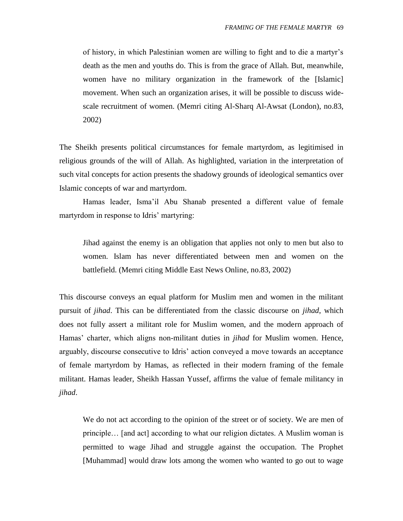of history, in which Palestinian women are willing to fight and to die a martyr"s death as the men and youths do. This is from the grace of Allah. But, meanwhile, women have no military organization in the framework of the [Islamic] movement. When such an organization arises, it will be possible to discuss widescale recruitment of women. (Memri citing Al-Sharq Al-Awsat (London), no.83, 2002)

The Sheikh presents political circumstances for female martyrdom, as legitimised in religious grounds of the will of Allah. As highlighted, variation in the interpretation of such vital concepts for action presents the shadowy grounds of ideological semantics over Islamic concepts of war and martyrdom.

Hamas leader, Isma"il Abu Shanab presented a different value of female martyrdom in response to Idris' martyring:

Jihad against the enemy is an obligation that applies not only to men but also to women. Islam has never differentiated between men and women on the battlefield. (Memri citing Middle East News Online, no.83, 2002)

This discourse conveys an equal platform for Muslim men and women in the militant pursuit of *jihad*. This can be differentiated from the classic discourse on *jihad*, which does not fully assert a militant role for Muslim women, and the modern approach of Hamas" charter, which aligns non-militant duties in *jihad* for Muslim women. Hence, arguably, discourse consecutive to Idris" action conveyed a move towards an acceptance of female martyrdom by Hamas, as reflected in their modern framing of the female militant. Hamas leader, Sheikh Hassan Yussef, affirms the value of female militancy in *jihad*.

We do not act according to the opinion of the street or of society. We are men of principle… [and act] according to what our religion dictates. A Muslim woman is permitted to wage Jihad and struggle against the occupation. The Prophet [Muhammad] would draw lots among the women who wanted to go out to wage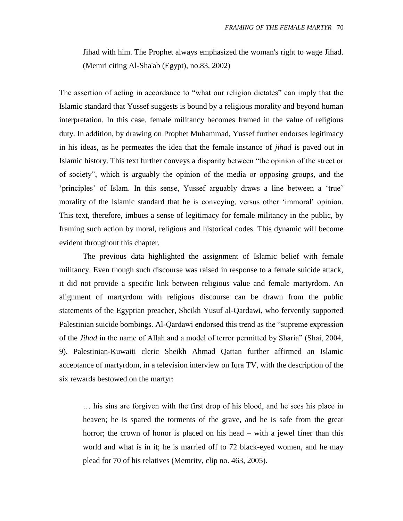Jihad with him. The Prophet always emphasized the woman's right to wage Jihad. (Memri citing Al-Sha'ab (Egypt), no.83, 2002)

The assertion of acting in accordance to "what our religion dictates" can imply that the Islamic standard that Yussef suggests is bound by a religious morality and beyond human interpretation. In this case, female militancy becomes framed in the value of religious duty. In addition, by drawing on Prophet Muhammad, Yussef further endorses legitimacy in his ideas, as he permeates the idea that the female instance of *jihad* is paved out in Islamic history. This text further conveys a disparity between "the opinion of the street or of society", which is arguably the opinion of the media or opposing groups, and the "principles" of Islam. In this sense, Yussef arguably draws a line between a "true" morality of the Islamic standard that he is conveying, versus other "immoral" opinion. This text, therefore, imbues a sense of legitimacy for female militancy in the public, by framing such action by moral, religious and historical codes. This dynamic will become evident throughout this chapter.

The previous data highlighted the assignment of Islamic belief with female militancy. Even though such discourse was raised in response to a female suicide attack, it did not provide a specific link between religious value and female martyrdom. An alignment of martyrdom with religious discourse can be drawn from the public statements of the Egyptian preacher, Sheikh Yusuf al-Qardawi, who fervently supported Palestinian suicide bombings. Al-Qardawi endorsed this trend as the "supreme expression of the *Jihad* in the name of Allah and a model of terror permitted by Sharia" (Shai, 2004, 9). Palestinian-Kuwaiti cleric Sheikh Ahmad Qattan further affirmed an Islamic acceptance of martyrdom, in a television interview on Iqra TV, with the description of the six rewards bestowed on the martyr:

… his sins are forgiven with the first drop of his blood, and he sees his place in heaven; he is spared the torments of the grave, and he is safe from the great horror; the crown of honor is placed on his head – with a jewel finer than this world and what is in it; he is married off to 72 black-eyed women, and he may plead for 70 of his relatives (Memritv, clip no. 463, 2005).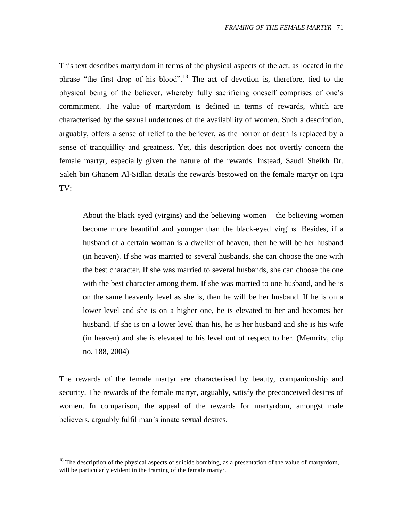This text describes martyrdom in terms of the physical aspects of the act, as located in the phrase "the first drop of his blood".<sup>18</sup> The act of devotion is, therefore, tied to the physical being of the believer, whereby fully sacrificing oneself comprises of one"s commitment. The value of martyrdom is defined in terms of rewards, which are characterised by the sexual undertones of the availability of women. Such a description, arguably, offers a sense of relief to the believer, as the horror of death is replaced by a sense of tranquillity and greatness. Yet, this description does not overtly concern the female martyr, especially given the nature of the rewards. Instead, Saudi Sheikh Dr. Saleh bin Ghanem Al-Sidlan details the rewards bestowed on the female martyr on Iqra TV:

About the black eyed (virgins) and the believing women – the believing women become more beautiful and younger than the black-eyed virgins. Besides, if a husband of a certain woman is a dweller of heaven, then he will be her husband (in heaven). If she was married to several husbands, she can choose the one with the best character. If she was married to several husbands, she can choose the one with the best character among them. If she was married to one husband, and he is on the same heavenly level as she is, then he will be her husband. If he is on a lower level and she is on a higher one, he is elevated to her and becomes her husband. If she is on a lower level than his, he is her husband and she is his wife (in heaven) and she is elevated to his level out of respect to her. (Memritv, clip no. 188, 2004)

The rewards of the female martyr are characterised by beauty, companionship and security. The rewards of the female martyr, arguably, satisfy the preconceived desires of women. In comparison, the appeal of the rewards for martyrdom, amongst male believers, arguably fulfil man"s innate sexual desires.

 $\overline{a}$ 

 $18$  The description of the physical aspects of suicide bombing, as a presentation of the value of martyrdom, will be particularly evident in the framing of the female martyr.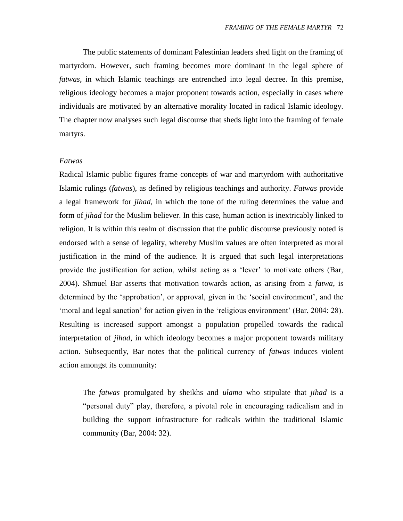The public statements of dominant Palestinian leaders shed light on the framing of martyrdom. However, such framing becomes more dominant in the legal sphere of *fatwas*, in which Islamic teachings are entrenched into legal decree. In this premise, religious ideology becomes a major proponent towards action, especially in cases where individuals are motivated by an alternative morality located in radical Islamic ideology. The chapter now analyses such legal discourse that sheds light into the framing of female martyrs.

## *Fatwas*

Radical Islamic public figures frame concepts of war and martyrdom with authoritative Islamic rulings (*fatwas*), as defined by religious teachings and authority. *Fatwas* provide a legal framework for *jihad*, in which the tone of the ruling determines the value and form of *jihad* for the Muslim believer. In this case, human action is inextricably linked to religion. It is within this realm of discussion that the public discourse previously noted is endorsed with a sense of legality, whereby Muslim values are often interpreted as moral justification in the mind of the audience. It is argued that such legal interpretations provide the justification for action, whilst acting as a "lever" to motivate others (Bar, 2004). Shmuel Bar asserts that motivation towards action, as arising from a *fatwa*, is determined by the 'approbation', or approval, given in the 'social environment', and the "moral and legal sanction" for action given in the "religious environment" (Bar, 2004: 28). Resulting is increased support amongst a population propelled towards the radical interpretation of *jihad*, in which ideology becomes a major proponent towards military action. Subsequently, Bar notes that the political currency of *fatwas* induces violent action amongst its community:

The *fatwas* promulgated by sheikhs and *ulama* who stipulate that *jihad* is a "personal duty" play, therefore, a pivotal role in encouraging radicalism and in building the support infrastructure for radicals within the traditional Islamic community (Bar, 2004: 32).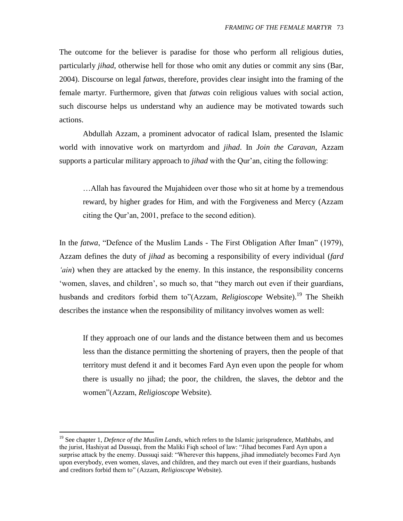The outcome for the believer is paradise for those who perform all religious duties, particularly *jihad*, otherwise hell for those who omit any duties or commit any sins (Bar, 2004). Discourse on legal *fatwas*, therefore, provides clear insight into the framing of the female martyr. Furthermore, given that *fatwas* coin religious values with social action, such discourse helps us understand why an audience may be motivated towards such actions.

Abdullah Azzam, a prominent advocator of radical Islam, presented the Islamic world with innovative work on martyrdom and *jihad*. In *Join the Caravan*, Azzam supports a particular military approach to *jihad* with the Qur'an, citing the following:

…Allah has favoured the Mujahideen over those who sit at home by a tremendous reward, by higher grades for Him, and with the Forgiveness and Mercy (Azzam citing the Qur"an, 2001, preface to the second edition).

In the *fatwa*, "Defence of the Muslim Lands - The First Obligation After Iman" (1979), Azzam defines the duty of *jihad* as becoming a responsibility of every individual (*fard 'ain*) when they are attacked by the enemy. In this instance, the responsibility concerns "women, slaves, and children", so much so, that "they march out even if their guardians, husbands and creditors forbid them to"(Azzam, *Religioscope* Website).<sup>19</sup> The Sheikh describes the instance when the responsibility of militancy involves women as well:

If they approach one of our lands and the distance between them and us becomes less than the distance permitting the shortening of prayers, then the people of that territory must defend it and it becomes Fard Ayn even upon the people for whom there is usually no jihad; the poor, the children, the slaves, the debtor and the women"(Azzam, *Religioscope* Website).

 $\overline{a}$ 

<sup>&</sup>lt;sup>19</sup> See chapter 1, *Defence of the Muslim Lands*, which refers to the Islamic jurisprudence, Mathhabs, and the jurist, Hashiyat ad Dussuqi, from the Maliki Fiqh school of law: "Jihad becomes Fard Ayn upon a surprise attack by the enemy. Dussuqi said: "Wherever this happens, jihad immediately becomes Fard Ayn upon everybody, even women, slaves, and children, and they march out even if their guardians, husbands and creditors forbid them to" (Azzam, *Religioscope* Website).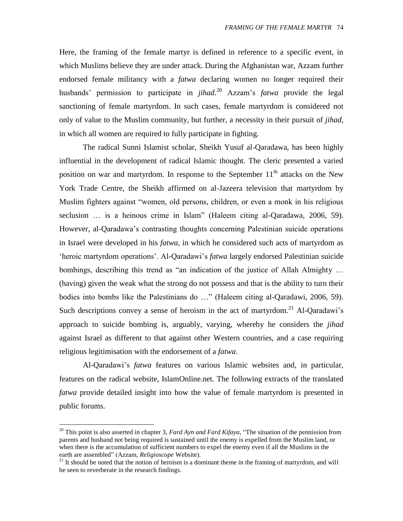Here, the framing of the female martyr is defined in reference to a specific event, in which Muslims believe they are under attack. During the Afghanistan war, Azzam further endorsed female militancy with a *fatwa* declaring women no longer required their husbands" permission to participate in *jihad*. <sup>20</sup> Azzam"s *fatwa* provide the legal sanctioning of female martyrdom. In such cases, female martyrdom is considered not only of value to the Muslim community, but further, a necessity in their pursuit of *jihad,*  in which all women are required to fully participate in fighting.

The radical Sunni Islamist scholar, Sheikh Yusuf al-Qaradawa, has been highly influential in the development of radical Islamic thought. The cleric presented a varied position on war and martyrdom. In response to the September  $11<sup>th</sup>$  attacks on the New York Trade Centre, the Sheikh affirmed on al-Jazeera television that martyrdom by Muslim fighters against "women, old persons, children, or even a monk in his religious seclusion ... is a heinous crime in Islam" (Haleem citing al-Qaradawa, 2006, 59). However, al-Qaradawa"s contrasting thoughts concerning Palestinian suicide operations in Israel were developed in his *fatwa,* in which he considered such acts of martyrdom as "heroic martyrdom operations". Al-Qaradawi"s *fatwa* largely endorsed Palestinian suicide bombings, describing this trend as "an indication of the justice of Allah Almighty … (having) given the weak what the strong do not possess and that is the ability to turn their bodies into bombs like the Palestinians do …" (Haleem citing al-Qaradawi, 2006, 59). Such descriptions convey a sense of heroism in the act of martyrdom.<sup>21</sup> Al-Qaradawi's approach to suicide bombing is, arguably, varying, whereby he considers the *jihad*  against Israel as different to that against other Western countries, and a case requiring religious legitimisation with the endorsement of a *fatwa*.

Al-Qaradawi"s *fatwa* features on various Islamic websites and, in particular, features on the radical website, IslamOnline.net. The following extracts of the translated *fatwa* provide detailed insight into how the value of female martyrdom is presented in public forums.

 $\overline{a}$ 

<sup>&</sup>lt;sup>20</sup> This point is also asserted in chapter 3, *Fard Ayn and Fard Kifaya*, "The situation of the pennission from parents and husband not being required is sustained until the enemy is expelled from the Muslim land, or when there is the accumulation of sufficient numbers to expel the enemy even if all the Muslims in the earth are assembled" (Azzam, *Religioscope* Website).

 $21$  It should be noted that the notion of heroism is a dominant theme in the framing of martyrdom, and will be seen to reverberate in the research findings.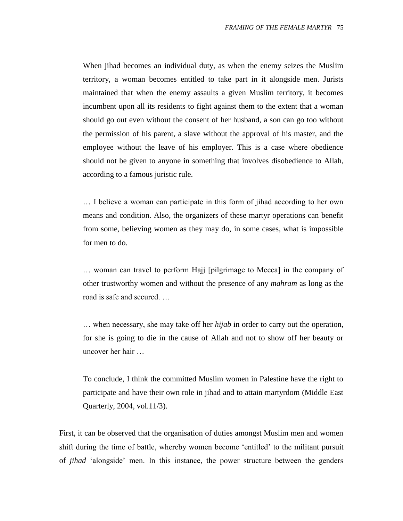When jihad becomes an individual duty, as when the enemy seizes the Muslim territory, a woman becomes entitled to take part in it alongside men. Jurists maintained that when the enemy assaults a given Muslim territory, it becomes incumbent upon all its residents to fight against them to the extent that a woman should go out even without the consent of her husband, a son can go too without the permission of his parent, a slave without the approval of his master, and the employee without the leave of his employer. This is a case where obedience should not be given to anyone in something that involves disobedience to Allah, according to a famous juristic rule.

… I believe a woman can participate in this form of jihad according to her own means and condition. Also, the organizers of these martyr operations can benefit from some, believing women as they may do, in some cases, what is impossible for men to do.

… woman can travel to perform Hajj [pilgrimage to Mecca] in the company of other trustworthy women and without the presence of any *mahram* as long as the road is safe and secured. …

… when necessary, she may take off her *hijab* in order to carry out the operation, for she is going to die in the cause of Allah and not to show off her beauty or uncover her hair …

To conclude, I think the committed Muslim women in Palestine have the right to participate and have their own role in jihad and to attain martyrdom (Middle East Quarterly, 2004, vol.11/3).

First, it can be observed that the organisation of duties amongst Muslim men and women shift during the time of battle, whereby women become "entitled" to the militant pursuit of *jihad* "alongside" men. In this instance, the power structure between the genders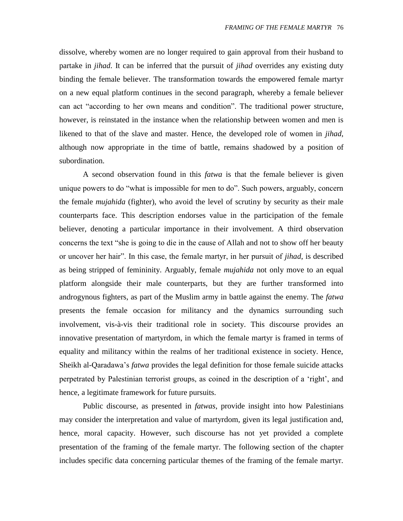dissolve, whereby women are no longer required to gain approval from their husband to partake in *jihad*. It can be inferred that the pursuit of *jihad* overrides any existing duty binding the female believer. The transformation towards the empowered female martyr on a new equal platform continues in the second paragraph, whereby a female believer can act "according to her own means and condition". The traditional power structure, however, is reinstated in the instance when the relationship between women and men is likened to that of the slave and master. Hence, the developed role of women in *jihad*, although now appropriate in the time of battle, remains shadowed by a position of subordination.

A second observation found in this *fatwa* is that the female believer is given unique powers to do "what is impossible for men to do". Such powers, arguably, concern the female *mujahida* (fighter), who avoid the level of scrutiny by security as their male counterparts face. This description endorses value in the participation of the female believer, denoting a particular importance in their involvement. A third observation concerns the text "she is going to die in the cause of Allah and not to show off her beauty or uncover her hair". In this case, the female martyr, in her pursuit of *jihad*, is described as being stripped of femininity. Arguably, female *mujahida* not only move to an equal platform alongside their male counterparts, but they are further transformed into androgynous fighters, as part of the Muslim army in battle against the enemy. The *fatwa* presents the female occasion for militancy and the dynamics surrounding such involvement, vis-à-vis their traditional role in society. This discourse provides an innovative presentation of martyrdom, in which the female martyr is framed in terms of equality and militancy within the realms of her traditional existence in society. Hence, Sheikh al-Qaradawa"s *fatwa* provides the legal definition for those female suicide attacks perpetrated by Palestinian terrorist groups, as coined in the description of a "right", and hence, a legitimate framework for future pursuits.

Public discourse, as presented in *fatwas*, provide insight into how Palestinians may consider the interpretation and value of martyrdom, given its legal justification and, hence, moral capacity. However, such discourse has not yet provided a complete presentation of the framing of the female martyr. The following section of the chapter includes specific data concerning particular themes of the framing of the female martyr.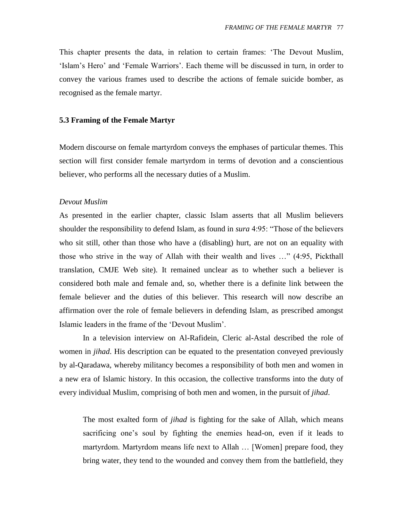This chapter presents the data, in relation to certain frames: "The Devout Muslim, "Islam"s Hero" and "Female Warriors". Each theme will be discussed in turn, in order to convey the various frames used to describe the actions of female suicide bomber, as recognised as the female martyr.

#### **5.3 Framing of the Female Martyr**

Modern discourse on female martyrdom conveys the emphases of particular themes. This section will first consider female martyrdom in terms of devotion and a conscientious believer, who performs all the necessary duties of a Muslim.

#### *Devout Muslim*

As presented in the earlier chapter, classic Islam asserts that all Muslim believers shoulder the responsibility to defend Islam, as found in *sura* 4:95: "Those of the believers who sit still, other than those who have a (disabling) hurt, are not on an equality with those who strive in the way of Allah with their wealth and lives …" (4:95, Pickthall translation, CMJE Web site). It remained unclear as to whether such a believer is considered both male and female and, so, whether there is a definite link between the female believer and the duties of this believer. This research will now describe an affirmation over the role of female believers in defending Islam, as prescribed amongst Islamic leaders in the frame of the "Devout Muslim".

In a television interview on Al-Rafidein, Cleric al-Astal described the role of women in *jihad*. His description can be equated to the presentation conveyed previously by al-Qaradawa, whereby militancy becomes a responsibility of both men and women in a new era of Islamic history. In this occasion, the collective transforms into the duty of every individual Muslim, comprising of both men and women, in the pursuit of *jihad*.

The most exalted form of *jihad* is fighting for the sake of Allah, which means sacrificing one"s soul by fighting the enemies head-on, even if it leads to martyrdom. Martyrdom means life next to Allah … [Women] prepare food, they bring water, they tend to the wounded and convey them from the battlefield, they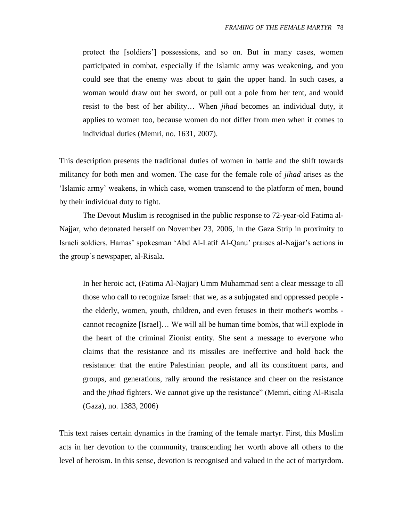protect the [soldiers"] possessions, and so on. But in many cases, women participated in combat, especially if the Islamic army was weakening, and you could see that the enemy was about to gain the upper hand. In such cases, a woman would draw out her sword, or pull out a pole from her tent, and would resist to the best of her ability… When *jihad* becomes an individual duty, it applies to women too, because women do not differ from men when it comes to individual duties (Memri, no. 1631, 2007).

This description presents the traditional duties of women in battle and the shift towards militancy for both men and women. The case for the female role of *jihad* arises as the "Islamic army" weakens, in which case, women transcend to the platform of men, bound by their individual duty to fight.

The Devout Muslim is recognised in the public response to 72-year-old Fatima al-Najjar, who detonated herself on November 23, 2006, in the Gaza Strip in proximity to Israeli soldiers. Hamas" spokesman "Abd Al-Latif Al-Qanu" praises al-Najjar"s actions in the group"s newspaper, al-Risala.

In her heroic act, (Fatima Al-Najjar) Umm Muhammad sent a clear message to all those who call to recognize Israel: that we, as a subjugated and oppressed people the elderly, women, youth, children, and even fetuses in their mother's wombs cannot recognize [Israel]… We will all be human time bombs, that will explode in the heart of the criminal Zionist entity. She sent a message to everyone who claims that the resistance and its missiles are ineffective and hold back the resistance: that the entire Palestinian people, and all its constituent parts, and groups, and generations, rally around the resistance and cheer on the resistance and the *jihad* fighters. We cannot give up the resistance" (Memri, citing Al-Risala (Gaza), no. 1383, 2006)

This text raises certain dynamics in the framing of the female martyr. First, this Muslim acts in her devotion to the community, transcending her worth above all others to the level of heroism. In this sense, devotion is recognised and valued in the act of martyrdom.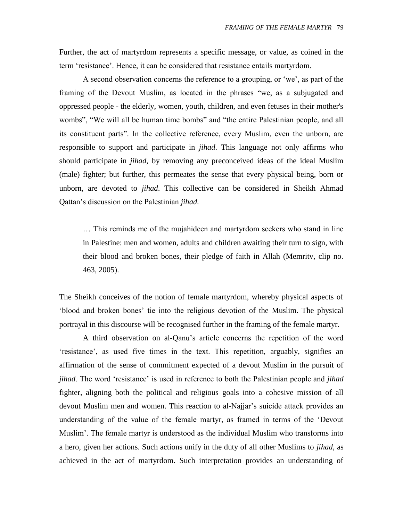Further, the act of martyrdom represents a specific message, or value, as coined in the term "resistance". Hence, it can be considered that resistance entails martyrdom.

A second observation concerns the reference to a grouping, or 'we', as part of the framing of the Devout Muslim, as located in the phrases "we, as a subjugated and oppressed people - the elderly, women, youth, children, and even fetuses in their mother's wombs", "We will all be human time bombs" and "the entire Palestinian people, and all its constituent parts". In the collective reference, every Muslim, even the unborn, are responsible to support and participate in *jihad*. This language not only affirms who should participate in *jihad*, by removing any preconceived ideas of the ideal Muslim (male) fighter; but further, this permeates the sense that every physical being, born or unborn, are devoted to *jihad*. This collective can be considered in Sheikh Ahmad Qattan"s discussion on the Palestinian *jihad.*

… This reminds me of the mujahideen and martyrdom seekers who stand in line in Palestine: men and women, adults and children awaiting their turn to sign, with their blood and broken bones, their pledge of faith in Allah (Memritv, clip no. 463, 2005).

The Sheikh conceives of the notion of female martyrdom, whereby physical aspects of "blood and broken bones" tie into the religious devotion of the Muslim. The physical portrayal in this discourse will be recognised further in the framing of the female martyr.

A third observation on al-Qanu"s article concerns the repetition of the word "resistance", as used five times in the text. This repetition, arguably, signifies an affirmation of the sense of commitment expected of a devout Muslim in the pursuit of *jihad*. The word "resistance" is used in reference to both the Palestinian people and *jihad*  fighter, aligning both the political and religious goals into a cohesive mission of all devout Muslim men and women. This reaction to al-Najjar"s suicide attack provides an understanding of the value of the female martyr, as framed in terms of the "Devout Muslim". The female martyr is understood as the individual Muslim who transforms into a hero, given her actions. Such actions unify in the duty of all other Muslims to *jihad*, as achieved in the act of martyrdom. Such interpretation provides an understanding of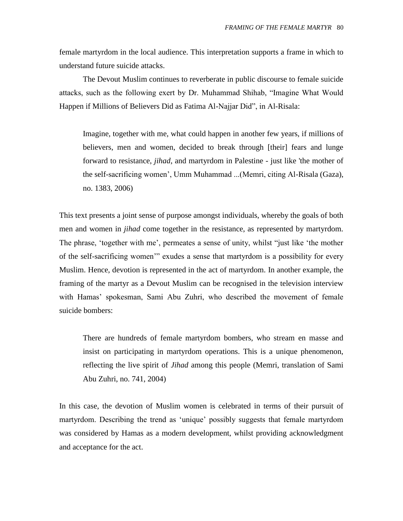female martyrdom in the local audience. This interpretation supports a frame in which to understand future suicide attacks.

The Devout Muslim continues to reverberate in public discourse to female suicide attacks, such as the following exert by Dr. Muhammad Shihab, "Imagine What Would Happen if Millions of Believers Did as Fatima Al-Najjar Did", in Al-Risala:

Imagine, together with me, what could happen in another few years, if millions of believers, men and women, decided to break through [their] fears and lunge forward to resistance, *jihad*, and martyrdom in Palestine - just like 'the mother of the self-sacrificing women", Umm Muhammad ...(Memri, citing Al-Risala (Gaza), no. 1383, 2006)

This text presents a joint sense of purpose amongst individuals, whereby the goals of both men and women in *jihad* come together in the resistance, as represented by martyrdom. The phrase, 'together with me', permeates a sense of unity, whilst "just like 'the mother of the self-sacrificing women"" exudes a sense that martyrdom is a possibility for every Muslim. Hence, devotion is represented in the act of martyrdom. In another example, the framing of the martyr as a Devout Muslim can be recognised in the television interview with Hamas' spokesman, Sami Abu Zuhri, who described the movement of female suicide bombers:

There are hundreds of female martyrdom bombers, who stream en masse and insist on participating in martyrdom operations. This is a unique phenomenon, reflecting the live spirit of *Jihad* among this people (Memri, translation of Sami Abu Zuhri, no. 741, 2004)

In this case, the devotion of Muslim women is celebrated in terms of their pursuit of martyrdom. Describing the trend as "unique" possibly suggests that female martyrdom was considered by Hamas as a modern development, whilst providing acknowledgment and acceptance for the act.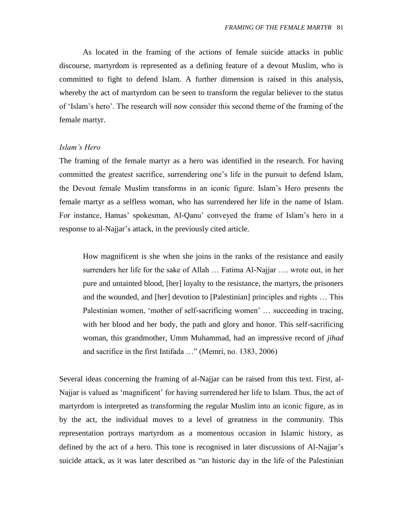As located in the framing of the actions of female suicide attacks in public discourse, martyrdom is represented as a defining feature of a devout Muslim, who is committed to fight to defend Islam. A further dimension is raised in this analysis, whereby the act of martyrdom can be seen to transform the regular believer to the status of "Islam"s hero". The research will now consider this second theme of the framing of the female martyr.

#### *Islam's Hero*

The framing of the female martyr as a hero was identified in the research. For having committed the greatest sacrifice, surrendering one"s life in the pursuit to defend Islam, the Devout female Muslim transforms in an iconic figure. Islam"s Hero presents the female martyr as a selfless woman, who has surrendered her life in the name of Islam. For instance, Hamas' spokesman, Al-Qanu' conveyed the frame of Islam's hero in a response to al-Najjar"s attack, in the previously cited article.

How magnificent is she when she joins in the ranks of the resistance and easily surrenders her life for the sake of Allah … Fatima Al-Najjar …. wrote out, in her pure and untainted blood, [her] loyalty to the resistance, the martyrs, the prisoners and the wounded, and [her] devotion to [Palestinian] principles and rights … This Palestinian women, 'mother of self-sacrificing women' ... succeeding in tracing, with her blood and her body, the path and glory and honor. This self-sacrificing woman, this grandmother, Umm Muhammad, had an impressive record of *jihad* and sacrifice in the first Intifada …" (Memri, no. 1383, 2006)

Several ideas concerning the framing of al-Najjar can be raised from this text. First, al-Najjar is valued as "magnificent" for having surrendered her life to Islam. Thus, the act of martyrdom is interpreted as transforming the regular Muslim into an iconic figure, as in by the act, the individual moves to a level of greatness in the community. This representation portrays martyrdom as a momentous occasion in Islamic history, as defined by the act of a hero. This tone is recognised in later discussions of Al-Najjar's suicide attack, as it was later described as "an historic day in the life of the Palestinian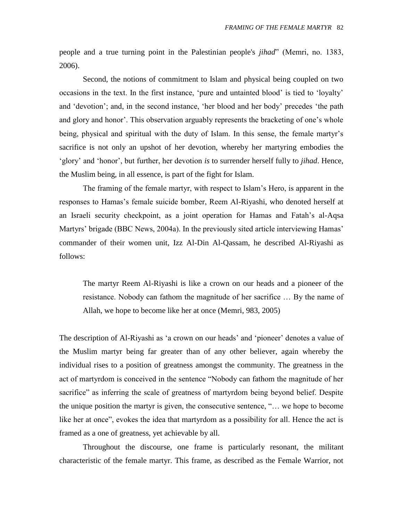people and a true turning point in the Palestinian people's *jihad*" (Memri, no. 1383, 2006).

Second, the notions of commitment to Islam and physical being coupled on two occasions in the text. In the first instance, "pure and untainted blood" is tied to "loyalty" and "devotion"; and, in the second instance, "her blood and her body" precedes "the path and glory and honor'. This observation arguably represents the bracketing of one's whole being, physical and spiritual with the duty of Islam. In this sense, the female martyr's sacrifice is not only an upshot of her devotion, whereby her martyring embodies the "glory" and "honor", but further, her devotion *is* to surrender herself fully to *jihad*. Hence, the Muslim being, in all essence, is part of the fight for Islam.

The framing of the female martyr, with respect to Islam"s Hero, is apparent in the responses to Hamas"s female suicide bomber, Reem Al-Riyashi, who denoted herself at an Israeli security checkpoint, as a joint operation for Hamas and Fatah"s al-Aqsa Martyrs' brigade (BBC News, 2004a). In the previously sited article interviewing Hamas' commander of their women unit, Izz Al-Din Al-Qassam, he described Al-Riyashi as follows:

The martyr Reem Al-Riyashi is like a crown on our heads and a pioneer of the resistance. Nobody can fathom the magnitude of her sacrifice … By the name of Allah, we hope to become like her at once (Memri, 983, 2005)

The description of Al-Riyashi as 'a crown on our heads' and 'pioneer' denotes a value of the Muslim martyr being far greater than of any other believer, again whereby the individual rises to a position of greatness amongst the community. The greatness in the act of martyrdom is conceived in the sentence "Nobody can fathom the magnitude of her sacrifice" as inferring the scale of greatness of martyrdom being beyond belief. Despite the unique position the martyr is given, the consecutive sentence, "… we hope to become like her at once", evokes the idea that martyrdom as a possibility for all. Hence the act is framed as a one of greatness, yet achievable by all.

Throughout the discourse, one frame is particularly resonant, the militant characteristic of the female martyr. This frame, as described as the Female Warrior, not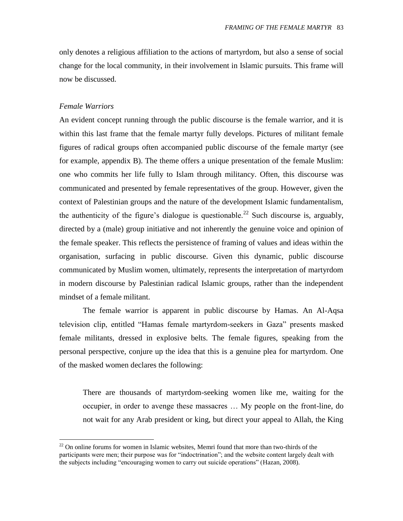only denotes a religious affiliation to the actions of martyrdom, but also a sense of social change for the local community, in their involvement in Islamic pursuits. This frame will now be discussed.

## *Female Warriors*

 $\overline{a}$ 

An evident concept running through the public discourse is the female warrior, and it is within this last frame that the female martyr fully develops. Pictures of militant female figures of radical groups often accompanied public discourse of the female martyr (see for example, appendix B). The theme offers a unique presentation of the female Muslim: one who commits her life fully to Islam through militancy. Often, this discourse was communicated and presented by female representatives of the group. However, given the context of Palestinian groups and the nature of the development Islamic fundamentalism, the authenticity of the figure's dialogue is questionable.<sup>22</sup> Such discourse is, arguably, directed by a (male) group initiative and not inherently the genuine voice and opinion of the female speaker. This reflects the persistence of framing of values and ideas within the organisation, surfacing in public discourse. Given this dynamic, public discourse communicated by Muslim women, ultimately, represents the interpretation of martyrdom in modern discourse by Palestinian radical Islamic groups, rather than the independent mindset of a female militant.

The female warrior is apparent in public discourse by Hamas. An Al-Aqsa television clip, entitled "Hamas female martyrdom-seekers in Gaza" presents masked female militants, dressed in explosive belts. The female figures, speaking from the personal perspective, conjure up the idea that this is a genuine plea for martyrdom. One of the masked women declares the following:

There are thousands of martyrdom-seeking women like me, waiting for the occupier, in order to avenge these massacres … My people on the front-line, do not wait for any Arab president or king, but direct your appeal to Allah, the King

 $22$  On online forums for women in Islamic websites, Memri found that more than two-thirds of the participants were men; their purpose was for "indoctrination"; and the website content largely dealt with the subjects including "encouraging women to carry out suicide operations" (Hazan, 2008).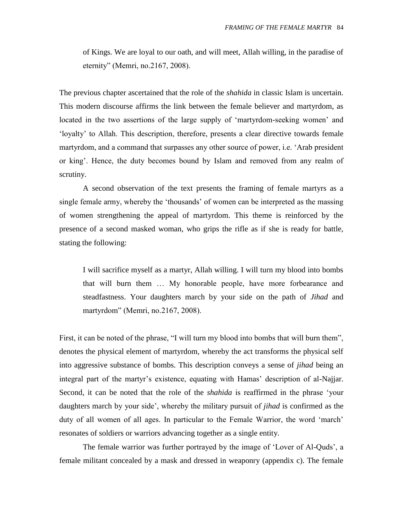of Kings. We are loyal to our oath, and will meet, Allah willing, in the paradise of eternity" (Memri, no.2167, 2008).

The previous chapter ascertained that the role of the *shahida* in classic Islam is uncertain. This modern discourse affirms the link between the female believer and martyrdom, as located in the two assertions of the large supply of 'martyrdom-seeking women' and "loyalty" to Allah. This description, therefore, presents a clear directive towards female martyrdom, and a command that surpasses any other source of power, i.e. "Arab president or king". Hence, the duty becomes bound by Islam and removed from any realm of scrutiny.

A second observation of the text presents the framing of female martyrs as a single female army, whereby the "thousands" of women can be interpreted as the massing of women strengthening the appeal of martyrdom. This theme is reinforced by the presence of a second masked woman, who grips the rifle as if she is ready for battle, stating the following:

I will sacrifice myself as a martyr, Allah willing. I will turn my blood into bombs that will burn them … My honorable people, have more forbearance and steadfastness. Your daughters march by your side on the path of *Jihad* and martyrdom" (Memri, no.2167, 2008).

First, it can be noted of the phrase, "I will turn my blood into bombs that will burn them", denotes the physical element of martyrdom, whereby the act transforms the physical self into aggressive substance of bombs. This description conveys a sense of *jihad* being an integral part of the martyr's existence, equating with Hamas' description of al-Najjar. Second, it can be noted that the role of the *shahida* is reaffirmed in the phrase "your daughters march by your side", whereby the military pursuit of *jihad* is confirmed as the duty of all women of all ages. In particular to the Female Warrior, the word 'march' resonates of soldiers or warriors advancing together as a single entity.

The female warrior was further portrayed by the image of 'Lover of Al-Quds', a female militant concealed by a mask and dressed in weaponry (appendix c). The female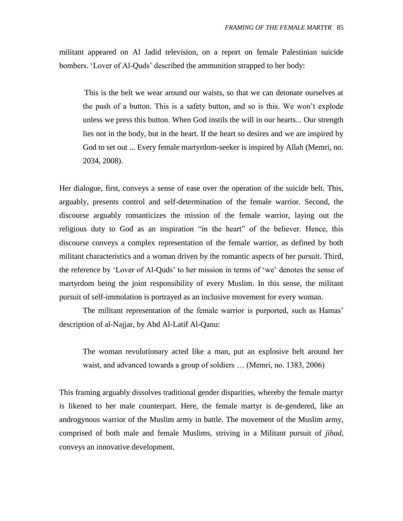militant appeared on Al Jadid television, on a report on female Palestinian suicide bombers. 'Lover of Al-Quds' described the ammunition strapped to her body:

This is the belt we wear around our waists, so that we can detonate ourselves at the push of a button. This is a safety button, and so is this. We won"t explode unless we press this button. When God instils the will in our hearts... Our strength lies not in the body, but in the heart. If the heart so desires and we are inspired by God to set out ... Every female martyrdom-seeker is inspired by Allah (Memri, no. 2034, 2008).

Her dialogue, first, conveys a sense of ease over the operation of the suicide belt. This, arguably, presents control and self-determination of the female warrior. Second, the discourse arguably romanticizes the mission of the female warrior, laying out the religious duty to God as an inspiration "in the heart" of the believer. Hence, this discourse conveys a complex representation of the female warrior, as defined by both militant characteristics and a woman driven by the romantic aspects of her pursuit. Third, the reference by "Lover of Al-Quds" to her mission in terms of "we" denotes the sense of martyrdom being the joint responsibility of every Muslim. In this sense, the militant pursuit of self-immolation is portrayed as an inclusive movement for every woman.

The militant representation of the female warrior is purported, such as Hamas' description of al-Najjar, by Abd Al-Latif Al-Qanu:

The woman revolutionary acted like a man, put an explosive belt around her waist, and advanced towards a group of soldiers … (Memri, no. 1383, 2006)

This framing arguably dissolves traditional gender disparities, whereby the female martyr is likened to her male counterpart. Here, the female martyr is de-gendered, like an androgynous warrior of the Muslim army in battle. The movement of the Muslim army, comprised of both male and female Muslims, striving in a Militant pursuit of *jihad*, conveys an innovative development.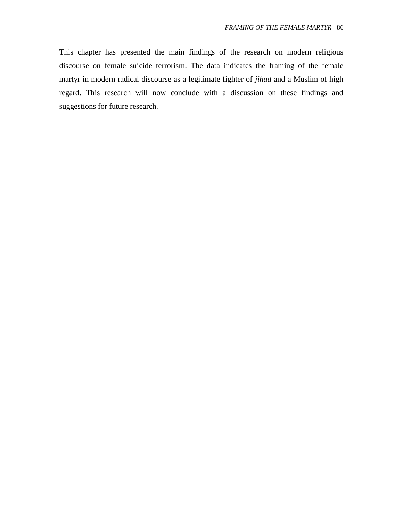This chapter has presented the main findings of the research on modern religious discourse on female suicide terrorism. The data indicates the framing of the female martyr in modern radical discourse as a legitimate fighter of *jihad* and a Muslim of high regard. This research will now conclude with a discussion on these findings and suggestions for future research.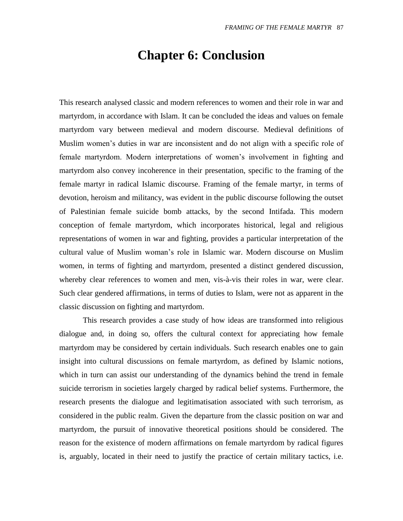# **Chapter 6: Conclusion**

This research analysed classic and modern references to women and their role in war and martyrdom, in accordance with Islam. It can be concluded the ideas and values on female martyrdom vary between medieval and modern discourse. Medieval definitions of Muslim women"s duties in war are inconsistent and do not align with a specific role of female martyrdom. Modern interpretations of women"s involvement in fighting and martyrdom also convey incoherence in their presentation, specific to the framing of the female martyr in radical Islamic discourse. Framing of the female martyr, in terms of devotion, heroism and militancy, was evident in the public discourse following the outset of Palestinian female suicide bomb attacks, by the second Intifada. This modern conception of female martyrdom, which incorporates historical, legal and religious representations of women in war and fighting, provides a particular interpretation of the cultural value of Muslim woman"s role in Islamic war. Modern discourse on Muslim women, in terms of fighting and martyrdom, presented a distinct gendered discussion, whereby clear references to women and men, vis-à-vis their roles in war, were clear. Such clear gendered affirmations, in terms of duties to Islam, were not as apparent in the classic discussion on fighting and martyrdom.

This research provides a case study of how ideas are transformed into religious dialogue and, in doing so, offers the cultural context for appreciating how female martyrdom may be considered by certain individuals. Such research enables one to gain insight into cultural discussions on female martyrdom, as defined by Islamic notions, which in turn can assist our understanding of the dynamics behind the trend in female suicide terrorism in societies largely charged by radical belief systems. Furthermore, the research presents the dialogue and legitimatisation associated with such terrorism, as considered in the public realm. Given the departure from the classic position on war and martyrdom, the pursuit of innovative theoretical positions should be considered. The reason for the existence of modern affirmations on female martyrdom by radical figures is, arguably, located in their need to justify the practice of certain military tactics, i.e.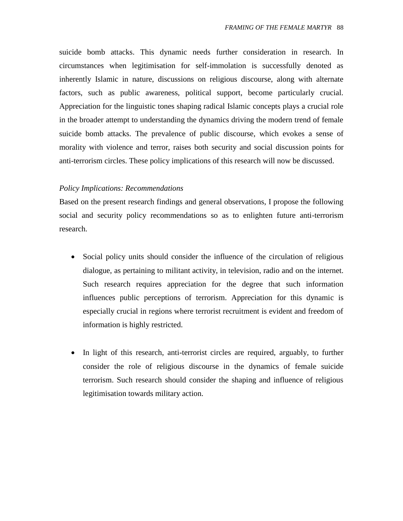suicide bomb attacks. This dynamic needs further consideration in research. In circumstances when legitimisation for self-immolation is successfully denoted as inherently Islamic in nature, discussions on religious discourse, along with alternate factors, such as public awareness, political support, become particularly crucial. Appreciation for the linguistic tones shaping radical Islamic concepts plays a crucial role in the broader attempt to understanding the dynamics driving the modern trend of female suicide bomb attacks. The prevalence of public discourse, which evokes a sense of morality with violence and terror, raises both security and social discussion points for anti-terrorism circles. These policy implications of this research will now be discussed.

## *Policy Implications: Recommendations*

Based on the present research findings and general observations, I propose the following social and security policy recommendations so as to enlighten future anti-terrorism research.

- Social policy units should consider the influence of the circulation of religious dialogue, as pertaining to militant activity, in television, radio and on the internet. Such research requires appreciation for the degree that such information influences public perceptions of terrorism. Appreciation for this dynamic is especially crucial in regions where terrorist recruitment is evident and freedom of information is highly restricted.
- In light of this research, anti-terrorist circles are required, arguably, to further consider the role of religious discourse in the dynamics of female suicide terrorism. Such research should consider the shaping and influence of religious legitimisation towards military action.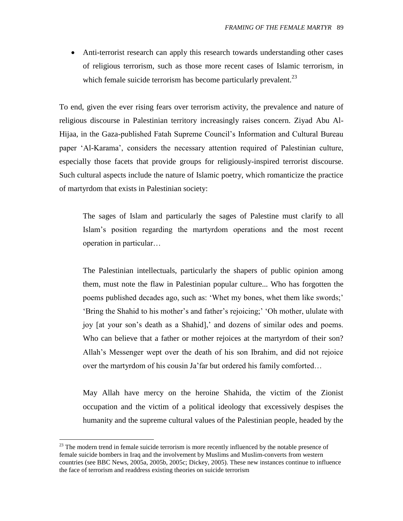Anti-terrorist research can apply this research towards understanding other cases of religious terrorism, such as those more recent cases of Islamic terrorism, in which female suicide terrorism has become particularly prevalent.<sup>23</sup>

To end, given the ever rising fears over terrorism activity, the prevalence and nature of religious discourse in Palestinian territory increasingly raises concern. Ziyad Abu Al-Hijaa, in the Gaza-published Fatah Supreme Council"s Information and Cultural Bureau paper "Al-Karama", considers the necessary attention required of Palestinian culture, especially those facets that provide groups for religiously-inspired terrorist discourse. Such cultural aspects include the nature of Islamic poetry, which romanticize the practice of martyrdom that exists in Palestinian society:

The sages of Islam and particularly the sages of Palestine must clarify to all Islam"s position regarding the martyrdom operations and the most recent operation in particular…

The Palestinian intellectuals, particularly the shapers of public opinion among them, must note the flaw in Palestinian popular culture... Who has forgotten the poems published decades ago, such as: 'Whet my bones, whet them like swords;' "Bring the Shahid to his mother"s and father"s rejoicing;" "Oh mother, ululate with joy [at your son"s death as a Shahid]," and dozens of similar odes and poems. Who can believe that a father or mother rejoices at the martyrdom of their son? Allah"s Messenger wept over the death of his son Ibrahim, and did not rejoice over the martyrdom of his cousin Ja"far but ordered his family comforted…

May Allah have mercy on the heroine Shahida, the victim of the Zionist occupation and the victim of a political ideology that excessively despises the humanity and the supreme cultural values of the Palestinian people, headed by the

 $\overline{a}$ 

 $2<sup>23</sup>$  The modern trend in female suicide terrorism is more recently influenced by the notable presence of female suicide bombers in Iraq and the involvement by Muslims and Muslim-converts from western countries (see BBC News, 2005a, 2005b, 2005c; Dickey, 2005). These new instances continue to influence the face of terrorism and readdress existing theories on suicide terrorism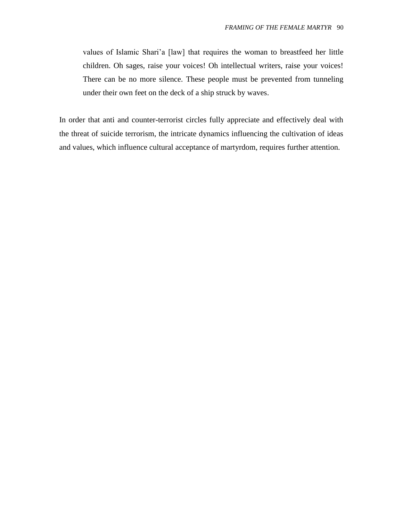values of Islamic Shari"a [law] that requires the woman to breastfeed her little children. Oh sages, raise your voices! Oh intellectual writers, raise your voices! There can be no more silence. These people must be prevented from tunneling under their own feet on the deck of a ship struck by waves.

In order that anti and counter-terrorist circles fully appreciate and effectively deal with the threat of suicide terrorism, the intricate dynamics influencing the cultivation of ideas and values, which influence cultural acceptance of martyrdom, requires further attention.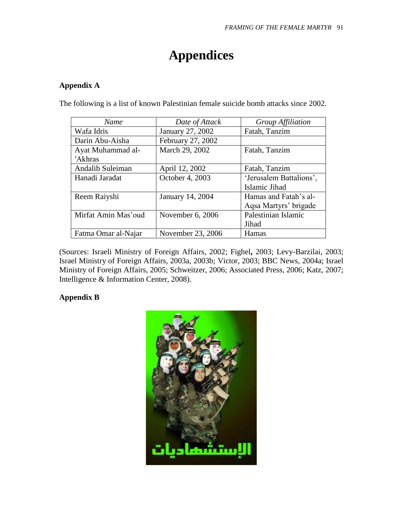# **Appendices**

## **Appendix A**

| <b>Name</b>         | Date of Attack    | Group Affiliation       |
|---------------------|-------------------|-------------------------|
| Wafa Idris          | January 27, 2002  | Fatah, Tanzim           |
| Darin Abu-Aisha     | February 27, 2002 |                         |
| Ayat Muhammad al-   | March 29, 2002    | Fatah, Tanzim           |
| 'Akhras             |                   |                         |
| Andalib Suleiman    | April 12, 2002    | Fatah, Tanzim           |
| Hanadi Jaradat      | October 4, 2003   | 'Jerusalem Battalions', |
|                     |                   | Islamic Jihad           |
| Reem Raiyshi        | January 14, 2004  | Hamas and Fatah's al-   |
|                     |                   | Aqsa Martyrs' brigade   |
| Mirfat Amin Mas'oud | November 6, 2006  | Palestinian Islamic     |
|                     |                   | Jihad                   |
| Fatma Omar al-Najar | November 23, 2006 | <b>Hamas</b>            |

The following is a list of known Palestinian female suicide bomb attacks since 2002.

(Sources: Israeli Ministry of Foreign Affairs, 2002; Fighel**,** 2003; Levy-Barzilai, 2003; Israel Ministry of Foreign Affairs, 2003a, 2003b; Victor, 2003; BBC News, 2004a; Israel Ministry of Foreign Affairs, 2005; Schweitzer, 2006; Associated Press, 2006; Katz, 2007; Intelligence & Information Center, 2008).

## **Appendix B**

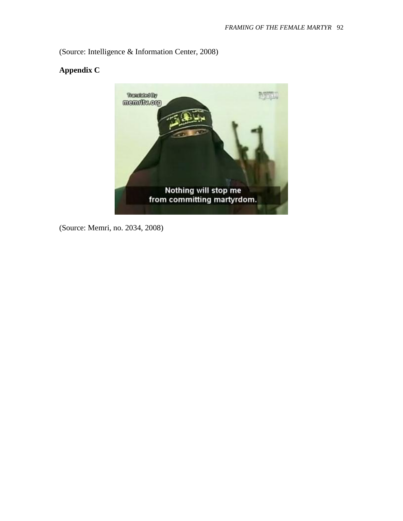(Source: Intelligence & Information Center, 2008)

## **Appendix C**



(Source: Memri, no. 2034, 2008)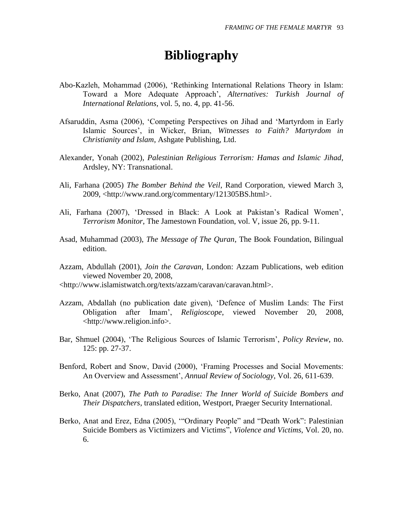# **Bibliography**

- Abo-Kazleh, Mohammad (2006), "Rethinking International Relations Theory in Islam: Toward a More Adequate Approach", *Alternatives: Turkish Journal of International Relations*, vol. 5, no. 4, pp. 41-56.
- Afsaruddin, Asma (2006), "Competing Perspectives on Jihad and "Martyrdom in Early Islamic Sources", in Wicker, Brian, *Witnesses to Faith? Martyrdom in Christianity and Islam*, Ashgate Publishing, Ltd.
- Alexander, Yonah (2002), *Palestinian Religious Terrorism: Hamas and Islamic Jihad*, Ardsley, NY: Transnational.
- Ali, Farhana (2005) *The Bomber Behind the Veil*, Rand Corporation, viewed March 3, 2009, <http://www.rand.org/commentary/121305BS.html>.
- Ali, Farhana (2007), 'Dressed in Black: A Look at Pakistan's Radical Women', *Terrorism Monitor*, The Jamestown Foundation, vol. V, issue 26, pp. 9-11.
- Asad, Muhammad (2003), *The Message of The Quran*, The Book Foundation, Bilingual edition.
- Azzam, Abdullah (2001), *Join the Caravan*, London: Azzam Publications, web edition viewed November 20, 2008,
- <http://www.islamistwatch.org/texts/azzam/caravan/caravan.html>.
- Azzam, Abdallah (no publication date given), "Defence of Muslim Lands: The First Obligation after Imam", *Religioscope*, viewed November 20, 2008, <http://www.religion.info>.
- Bar, Shmuel (2004), "The Religious Sources of Islamic Terrorism", *Policy Review*, no. 125: pp. 27-37.
- Benford, Robert and Snow, David (2000), "Framing Processes and Social Movements: An Overview and Assessment", *Annual Review of Sociology*, Vol. 26, 611-639.
- Berko, Anat (2007), *The Path to Paradise: The Inner World of Suicide Bombers and Their Dispatchers*, translated edition, Westport, Praeger Security International.
- Berko, Anat and Erez, Edna (2005), ""Ordinary People" and "Death Work": Palestinian Suicide Bombers as Victimizers and Victims", *Violence and Victims*, Vol. 20, no. 6.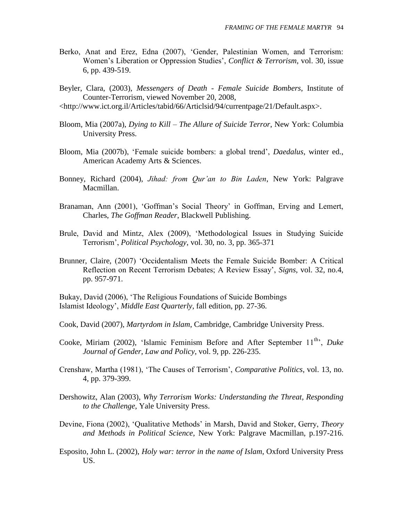- Berko, Anat and Erez, Edna (2007), "Gender, Palestinian Women, and Terrorism: Women"s Liberation or Oppression Studies", *Conflict & Terrorism*, vol. 30, issue 6, pp. 439-519.
- Beyler, Clara, (2003), *Messengers of Death - Female Suicide Bombers*, Institute of Counter-Terrorism, viewed November 20, 2008,
- <http://www.ict.org.il/Articles/tabid/66/Articlsid/94/currentpage/21/Default.aspx>.
- Bloom, Mia (2007a), *Dying to Kill – The Allure of Suicide Terror*, New York: Columbia University Press.
- Bloom, Mia (2007b), "Female suicide bombers: a global trend", *Daedalus*, winter ed., American Academy Arts & Sciences.
- Bonney, Richard (2004), *Jihad: from Qur'an to Bin Laden*, New York: Palgrave Macmillan.
- Branaman, Ann (2001), 'Goffman's Social Theory' in Goffman, Erving and Lemert, Charles, *The Goffman Reader*, Blackwell Publishing.
- Brule, David and Mintz, Alex (2009), "Methodological Issues in Studying Suicide Terrorism", *Political Psychology*, vol. 30, no. 3, pp. 365-371
- Brunner, Claire, (2007) "Occidentalism Meets the Female Suicide Bomber: A Critical Reflection on Recent Terrorism Debates; A Review Essay", *Signs*, vol. 32, no.4, pp. 957-971.

Bukay, David (2006), "The Religious Foundations of Suicide Bombings Islamist Ideology", *Middle East Quarterly*, fall edition, pp. 27-36.

- Cook, David (2007), *Martyrdom in Islam*, Cambridge, Cambridge University Press.
- Cooke, Miriam (2002), 'Islamic Feminism Before and After September 11<sup>th</sup>, *Duke Journal of Gender, Law and Policy*, vol. 9, pp. 226-235.
- Crenshaw, Martha (1981), "The Causes of Terrorism", *Comparative Politics*, vol. 13, no. 4, pp. 379-399.
- Dershowitz, Alan (2003), *Why Terrorism Works: Understanding the Threat, Responding to the Challenge*, Yale University Press.
- Devine, Fiona (2002), "Qualitative Methods" in Marsh, David and Stoker, Gerry, *Theory and Methods in Political Science*, New York: Palgrave Macmillan, p.197-216.
- Esposito, John L. (2002), *Holy war: terror in the name of Islam*, Oxford University Press US.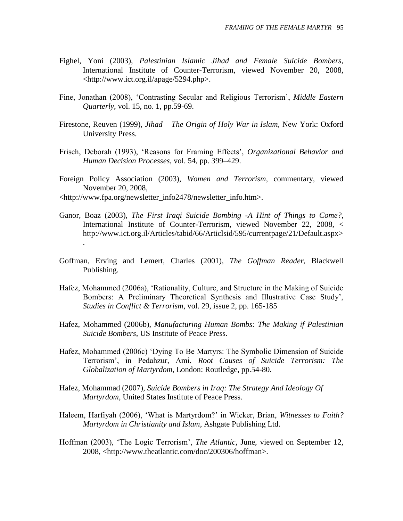- Fighel, Yoni (2003), *Palestinian Islamic Jihad and Female Suicide Bombers*, International Institute of Counter-Terrorism, viewed November 20, 2008, <http://www.ict.org.il/apage/5294.php>.
- Fine, Jonathan (2008), "Contrasting Secular and Religious Terrorism", *Middle Eastern Quarterly*, vol. 15, no. 1, pp.59-69.
- Firestone, Reuven (1999), *Jihad – The Origin of Holy War in Islam*, New York: Oxford University Press.
- Frisch, Deborah (1993), "Reasons for Framing Effects", *Organizational Behavior and Human Decision Processes*, vol. 54, pp. 399–429.
- Foreign Policy Association (2003), *Women and Terrorism*, commentary, viewed November 20, 2008,
- <http://www.fpa.org/newsletter\_info2478/newsletter\_info.htm>.
- Ganor, Boaz (2003), *The First Iraqi Suicide Bombing -A Hint of Things to Come?*, International Institute of Counter-Terrorism, viewed November 22, 2008, < http://www.ict.org.il/Articles/tabid/66/Articlsid/595/currentpage/21/Default.aspx> .
- Goffman, Erving and Lemert, Charles (2001), *The Goffman Reader*, Blackwell Publishing.
- Hafez, Mohammed (2006a), "Rationality, Culture, and Structure in the Making of Suicide Bombers: A Preliminary Theoretical Synthesis and Illustrative Case Study", *Studies in Conflict & Terrorism*, vol. 29, issue 2, pp. 165-185
- Hafez, Mohammed (2006b), *Manufacturing Human Bombs: The Making if Palestinian Suicide Bombers*, US Institute of Peace Press.
- Hafez, Mohammed (2006c) "Dying To Be Martyrs: The Symbolic Dimension of Suicide Terrorism", in Pedahzur, Ami, *Root Causes of Suicide Terrorism: The Globalization of Martyrdom*, London: Routledge, pp.54-80.
- Hafez, Mohammad (2007), *Suicide Bombers in Iraq: The Strategy And Ideology Of Martyrdom*, United States Institute of Peace Press.
- Haleem, Harfiyah (2006), "What is Martyrdom?" in Wicker, Brian, *Witnesses to Faith? Martyrdom in Christianity and Islam*, Ashgate Publishing Ltd.
- Hoffman (2003), "The Logic Terrorism", *The Atlantic*, June, viewed on September 12, 2008, <http://www.theatlantic.com/doc/200306/hoffman>.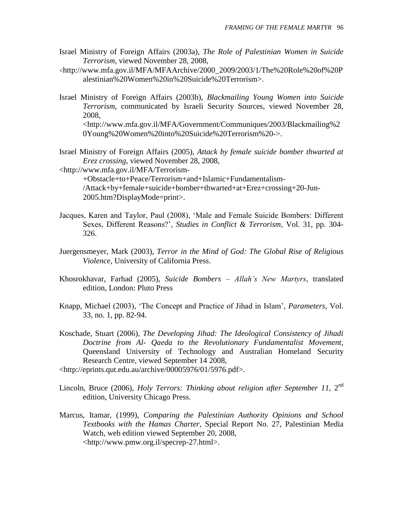- Israel Ministry of Foreign Affairs (2003a), *The Role of Palestinian Women in Suicide Terrorism*, viewed November 28, 2008,
- <http://www.mfa.gov.il/MFA/MFAArchive/2000\_2009/2003/1/The%20Role%20of%20P alestinian%20Women%20in%20Suicide%20Terrorism>.
- Israel Ministry of Foreign Affairs (2003b), *Blackmailing Young Women into Suicide Terrorism*, communicated by Israeli Security Sources, viewed November 28, 2008, <http://www.mfa.gov.il/MFA/Government/Communiques/2003/Blackmailing%2 0Young%20Women%20into%20Suicide%20Terrorism%20->.
- Israel Ministry of Foreign Affairs (2005), *Attack by female suicide bomber thwarted at Erez crossing*, viewed November 28, 2008,
- <http://www.mfa.gov.il/MFA/Terrorism-

+Obstacle+to+Peace/Terrorism+and+Islamic+Fundamentalism- /Attack+by+female+suicide+bomber+thwarted+at+Erez+crossing+20-Jun-2005.htm?DisplayMode=print>.

- Jacques, Karen and Taylor, Paul (2008), "Male and Female Suicide Bombers: Different Sexes, Different Reasons?", *Studies in Conflict & Terrorism*, Vol. 31, pp. 304- 326.
- Juergensmeyer, Mark (2003), *Terror in the Mind of God: The Global Rise of Religious Violence*, University of California Press.
- Khosrokhavar, Farhad (2005), *Suicide Bombers – Allah's New Martyrs*, translated edition, London: Pluto Press
- Knapp, Michael (2003), "The Concept and Practice of Jihad in Islam", *Parameters*, Vol. 33, no. 1, pp. 82-94.
- Koschade, Stuart (2006), *The Developing Jihad: The Ideological Consistency of Jihadi Doctrine from Al- Qaeda to the Revolutionary Fundamentalist Movement,* Queensland University of Technology and Australian Homeland Security Research Centre, viewed September 14 2008,
- <http://eprints.qut.edu.au/archive/00005976/01/5976.pdf>.
- Lincoln, Bruce (2006), *Holy Terrors: Thinking about religion after September 11*, 2<sup>nd</sup> edition, University Chicago Press.
- Marcus, Itamar, (1999), *Comparing the Palestinian Authority Opinions and School Textbooks with the Hamas Charter*, Special Report No. 27, Palestinian Media Watch, web edition viewed September 20, 2008, <http://www.pmw.org.il/specrep-27.html>.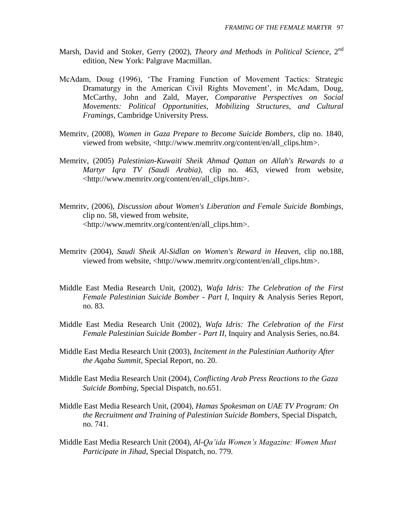- Marsh, David and Stoker, Gerry (2002), *Theory and Methods in Political Science*, 2nd edition, New York: Palgrave Macmillan.
- McAdam, Doug (1996), "The Framing Function of Movement Tactics: Strategic Dramaturgy in the American Civil Rights Movement', in McAdam, Doug, McCarthy, John and Zald, Mayer, *Comparative Perspectives on Social Movements: Political Opportunities, Mobilizing Structures, and Cultural Framings*, Cambridge University Press.
- Memritv, (2008), *Women in Gaza Prepare to Become Suicide Bombers*, clip no. 1840, viewed from website, <http://www.memritv.org/content/en/all\_clips.htm>.
- Memritv, (2005) *Palestinian-Kuwaiti Sheik Ahmad Qattan on Allah's Rewards to a Martyr Iqra TV (Saudi Arabia)*, clip no. 463, viewed from website, <http://www.memritv.org/content/en/all\_clips.htm>.
- Memritv, (2006), *Discussion about Women's Liberation and Female Suicide Bombings,*  clip no. 58, viewed from website, <http://www.memritv.org/content/en/all\_clips.htm>.
- Memritv (2004), *Saudi Sheik Al-Sidlan on Women's Reward in Heaven*, clip no.188, viewed from website, <http://www.memritv.org/content/en/all\_clips.htm>.
- Middle East Media Research Unit, (2002), *Wafa Idris: The Celebration of the First Female Palestinian Suicide Bomber - Part I*, Inquiry & Analysis Series Report, no. 83.
- Middle East Media Research Unit (2002), *Wafa Idris: The Celebration of the First Female Palestinian Suicide Bomber - Part II*, Inquiry and Analysis Series, no.84.
- Middle East Media Research Unit (2003), *Incitement in the Palestinian Authority After the Aqaba Summit*, Special Report, no. 20.
- Middle East Media Research Unit (2004), *Conflicting Arab Press Reactions to the Gaza Suicide Bombing*, Special Dispatch, no.651.
- Middle East Media Research Unit, (2004), *Hamas Spokesman on UAE TV Program: On the Recruitment and Training of Palestinian Suicide Bombers*, Special Dispatch, no. 741.
- Middle East Media Research Unit (2004), *Al-Qa'ida Women's Magazine: Women Must Participate in Jihad*, Special Dispatch, no. 779.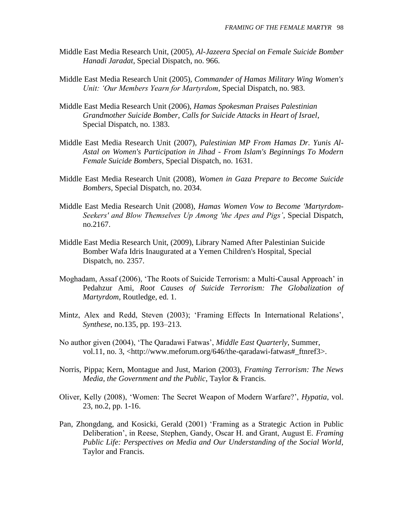- Middle East Media Research Unit, (2005), *Al-Jazeera Special on Female Suicide Bomber Hanadi Jaradat*, Special Dispatch, no. 966.
- Middle East Media Research Unit (2005), *Commander of Hamas Military Wing Women's Unit: 'Our Members Yearn for Martyrdom*, Special Dispatch, no. 983.
- Middle East Media Research Unit (2006), *Hamas Spokesman Praises Palestinian Grandmother Suicide Bomber, Calls for Suicide Attacks in Heart of Israel*, Special Dispatch, no. 1383.
- Middle East Media Research Unit (2007), *Palestinian MP From Hamas Dr. Yunis Al-Astal on Women's Participation in Jihad - From Islam's Beginnings To Modern Female Suicide Bombers,* Special Dispatch, no. 1631.
- Middle East Media Research Unit (2008), *Women in Gaza Prepare to Become Suicide Bombers*, Special Dispatch, no. 2034.
- Middle East Media Research Unit (2008), *Hamas Women Vow to Become 'Martyrdom-Seekers' and Blow Themselves Up Among 'the Apes and Pigs'*, Special Dispatch, no.2167.
- Middle East Media Research Unit, (2009), Library Named After Palestinian Suicide Bomber Wafa Idris Inaugurated at a Yemen Children's Hospital, Special Dispatch, no. 2357.
- Moghadam, Assaf (2006), "The Roots of Suicide Terrorism: a Multi-Causal Approach" in Pedahzur Ami, *Root Causes of Suicide Terrorism: The Globalization of Martyrdom*, Routledge, ed. 1.
- Mintz, Alex and Redd, Steven (2003); "Framing Effects In International Relations", *Synthese*, no.135, pp. 193–213.
- No author given (2004), "The Qaradawi Fatwas", *Middle East Quarterly*, Summer, vol.11, no. 3, <http://www.meforum.org/646/the-qaradawi-fatwas#\_ftnref3>.
- Norris, Pippa; Kern, Montague and Just, Marion (2003), *Framing Terrorism: The News Media, the Government and the Public*, Taylor & Francis.
- Oliver, Kelly (2008), "Women: The Secret Weapon of Modern Warfare?", *Hypatia*, vol. 23, no.2, pp. 1-16.
- Pan, Zhongdang, and Kosicki, Gerald (2001) "Framing as a Strategic Action in Public Deliberation", in Reese, Stephen, Gandy, Oscar H. and Grant, August E. *Framing Public Life: Perspectives on Media and Our Understanding of the Social World*, Taylor and Francis.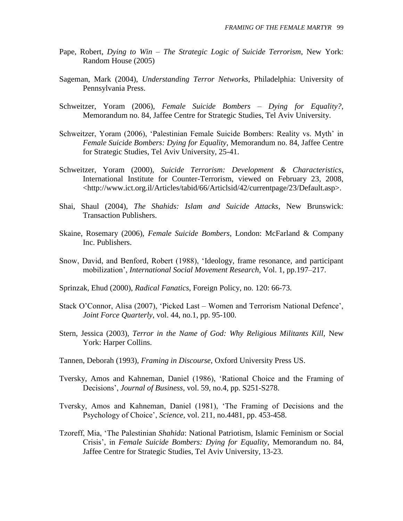- Pape, Robert, *Dying to Win – The Strategic Logic of Suicide Terrorism*, New York: Random House (2005)
- Sageman, Mark (2004), *Understanding Terror Networks*, Philadelphia: University of Pennsylvania Press.
- Schweitzer, Yoram (2006), *Female Suicide Bombers – Dying for Equality?*, Memorandum no. 84, Jaffee Centre for Strategic Studies, Tel Aviv University.
- Schweitzer, Yoram (2006), 'Palestinian Female Suicide Bombers: Reality vs. Myth' in *Female Suicide Bombers: Dying for Equality*, Memorandum no. 84, Jaffee Centre for Strategic Studies, Tel Aviv University, 25-41.
- Schweitzer, Yoram (2000), *Suicide Terrorism: Development & Characteristics*, International Institute for Counter-Terrorism, viewed on February 23, 2008, <http://www.ict.org.il/Articles/tabid/66/Articlsid/42/currentpage/23/Default.asp>.
- Shai, Shaul (2004), *The Shahids: Islam and Suicide Attacks*, New Brunswick: Transaction Publishers.
- Skaine, Rosemary (2006), *Female Suicide Bombers*, London: McFarland & Company Inc. Publishers.
- Snow, David, and Benford, Robert (1988), "Ideology, frame resonance, and participant mobilization", *International Social Movement Research*, Vol. 1, pp.197–217.
- Sprinzak, Ehud (2000), *Radical Fanatics*, Foreign Policy, no. 120: 66-73.
- Stack O"Connor, Alisa (2007), "Picked Last Women and Terrorism National Defence", *Joint Force Quarterly*, vol. 44, no.1, pp. 95-100.
- Stern, Jessica (2003), *Terror in the Name of God: Why Religious Militants Kill,* New York: Harper Collins.
- Tannen, Deborah (1993), *Framing in Discourse*, Oxford University Press US.
- Tversky, Amos and Kahneman, Daniel (1986), "Rational Choice and the Framing of Decisions", *Journal of Business*, vol. 59, no.4, pp. S251-S278.
- Tversky, Amos and Kahneman, Daniel (1981), "The Framing of Decisions and the Psychology of Choice", *Science,* vol. 211, no.4481, pp. 453-458.
- Tzoreff, Mia, "The Palestinian *Shahida*: National Patriotism, Islamic Feminism or Social Crisis", in *Female Suicide Bombers: Dying for Equality*, Memorandum no. 84, Jaffee Centre for Strategic Studies, Tel Aviv University, 13-23.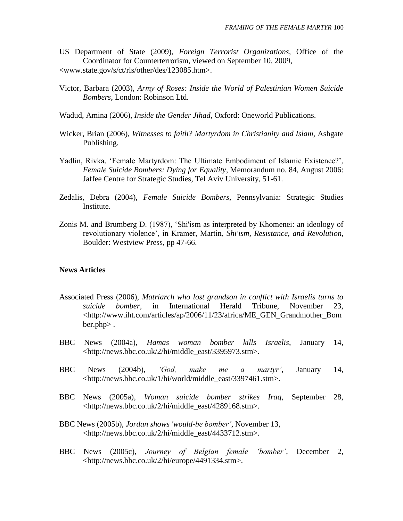- US Department of State (2009), *Foreign Terrorist Organizations*, Office of the Coordinator for Counterterrorism, viewed on September 10, 2009, [<www.state.gov/s/ct/rls/other/des/123085.htm>](http://www.state.gov/s/ct/rls/other/des/123085.htm%20on%20September%2010).
- Victor, Barbara (2003), *Army of Roses: Inside the World of Palestinian Women Suicide Bombers*, London: Robinson Ltd.
- Wadud, Amina (2006), *Inside the Gender Jihad*, Oxford: Oneworld Publications.
- Wicker, Brian (2006), *Witnesses to faith? Martyrdom in Christianity and Islam*, Ashgate Publishing.
- Yadlin, Rivka, "Female Martyrdom: The Ultimate Embodiment of Islamic Existence?", *Female Suicide Bombers: Dying for Equality*, Memorandum no. 84, August 2006: Jaffee Centre for Strategic Studies, Tel Aviv University, 51-61.
- Zedalis, Debra (2004), *Female Suicide Bombers*, Pennsylvania: Strategic Studies Institute.
- Zonis M. and Brumberg D. (1987), "Shi'ism as interpreted by Khomenei: an ideology of revolutionary violence", in Kramer, Martin, *Shi'ism, Resistance, and Revolution*, Boulder: Westview Press, pp 47-66.

## **News Articles**

- Associated Press (2006), *Matriarch who lost grandson in conflict with Israelis turns to suicide bomber*, in International Herald Tribune, November 23, <http://www.iht.com/articles/ap/2006/11/23/africa/ME\_GEN\_Grandmother\_Bom ber.php> .
- BBC News (2004a), *Hamas woman bomber kills Israelis*, January 14, <http://news.bbc.co.uk/2/hi/middle\_east/3395973.stm>.
- BBC News (2004b), *'God, make me a martyr'*, January 14, <http://news.bbc.co.uk/1/hi/world/middle\_east/3397461.stm>.
- BBC News (2005a), *Woman suicide bomber strikes Iraq*, September 28, <http://news.bbc.co.uk/2/hi/middle\_east/4289168.stm>.
- BBC News (2005b), *Jordan shows 'would-be bomber'*, November 13, [<http://news.bbc.co.uk/2/hi/middle\\_east/4433712.stm>](http://news.bbc.co.uk/2/hi/middle_east/4433712.stm).
- BBC News (2005c), *Journey of Belgian female 'bomber'*, December 2, [<http://news.bbc.co.uk/2/hi/europe/4491334.stm>](http://news.bbc.co.uk/2/hi/europe/4491334.stm).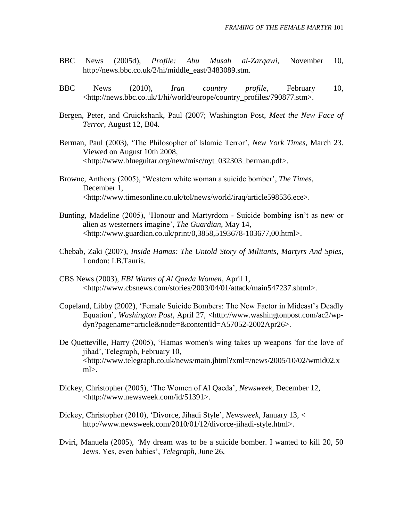- BBC News (2005d), *Profile: Abu Musab al-Zarqawi*, November 10, http://news.bbc.co.uk/2/hi/middle\_east/3483089.stm.
- BBC News (2010), *Iran country profile*, February 10, <http://news.bbc.co.uk/1/hi/world/europe/country\_profiles/790877.stm>.
- Bergen, Peter, and Cruickshank, Paul (2007; Washington Post, *Meet the New Face of Terror*, August 12, B04.
- Berman, Paul (2003), "The Philosopher of Islamic Terror", *New York Times*, March 23. Viewed on August 10th 2008, <http://www.blueguitar.org/new/misc/nyt\_032303\_berman.pdf>.
- Browne, Anthony (2005), "Western white woman a suicide bomber", *The Times*, December 1, <http://www.timesonline.co.uk/tol/news/world/iraq/article598536.ece>.
- Bunting, Madeline (2005), "Honour and Martyrdom Suicide bombing isn"t as new or alien as westerners imagine", *The Guardian*, May 14, <http://www.guardian.co.uk/print/0,3858,5193678-103677,00.html>.
- Chebab, Zaki (2007), *Inside Hamas: The Untold Story of Militants, Martyrs And Spies*, London: I.B.Tauris.
- CBS News (2003), *FBI Warns of Al Qaeda Women*, April 1, <http://www.cbsnews.com/stories/2003/04/01/attack/main547237.shtml>.
- Copeland, Libby (2002), "Female Suicide Bombers: The New Factor in Mideast"s Deadly Equation", *Washington Post*, April 27, <http://www.washingtonpost.com/ac2/wpdyn?pagename=article&node=&contentId=A57052-2002Apr26>.
- De Quetteville, Harry (2005), "Hamas women's wing takes up weapons 'for the love of jihad", Telegraph, February 10, <http://www.telegraph.co.uk/news/main.jhtml?xml=/news/2005/10/02/wmid02.x ml>.
- Dickey, Christopher (2005), "The Women of Al Qaeda", *Newsweek*, December 12, <http://www.newsweek.com/id/51391>.
- Dickey, Christopher (2010), "Divorce, Jihadi Style", *Newsweek*, January 13, < http://www.newsweek.com/2010/01/12/divorce-jihadi-style.html>.
- Dviri, Manuela (2005), *'*My dream was to be a suicide bomber. I wanted to kill 20, 50 Jews. Yes, even babies", *Telegraph*, June 26,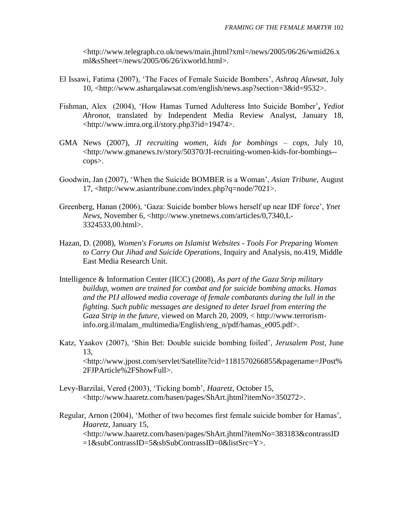<http://www.telegraph.co.uk/news/main.jhtml?xml=/news/2005/06/26/wmid26.x ml&sSheet=/news/2005/06/26/ixworld.html>.

- El Issawi, Fatima (2007), "The Faces of Female Suicide Bombers", *Ashraq Alawsat*, July 10, <http://www.asharqalawsat.com/english/news.asp?section=3&id=9532>.
- Fishman, Alex (2004), "How Hamas Turned Adulteress Into Suicide Bomber"**,** *Yediot Ahronot*, translated by Independent Media Review Analyst, January 18, <http://www.imra.org.il/story.php3?id=19474>.
- GMA News (2007), *JI recruiting women, kids for bombings – cops*, July 10, <http://www.gmanews.tv/story/50370/JI-recruiting-women-kids-for-bombings- cops>.
- Goodwin, Jan (2007), "When the Suicide BOMBER is a Woman", *Asian Tribune*, August 17, <http://www.asiantribune.com/index.php?q=node/7021>.
- Greenberg, Hanan (2006), "Gaza: Suicide bomber blows herself up near IDF force", *Ynet News*, November 6, <http://www.ynetnews.com/articles/0,7340,L-3324533,00.html>.
- Hazan, D. (2008), *Women's Forums on Islamist Websites - Tools For Preparing Women to Carry Out Jihad and Suicide Operations*, Inquiry and Analysis, no.419, Middle East Media Research Unit.
- Intelligence & Information Center (IICC) (2008), *As part of the Gaza Strip military buildup, women are trained for combat and for suicide bombing attacks. Hamas and the PIJ allowed media coverage of female combatants during the lull in the fighting. Such public messages are designed to deter Israel from entering the Gaza Strip in the future*, viewed on March 20, 2009, < http://www.terrorisminfo.org.il/malam\_multimedia/English/eng\_n/pdf/hamas\_e005.pdf>.
- Katz, Yaakov (2007), "Shin Bet: Double suicide bombing foiled", *Jerusalem Post*, June 13, <http://www.jpost.com/servlet/Satellite?cid=1181570266855&pagename=JPost% 2FJPArticle%2FShowFull>.
- Levy-Barzilai, Vered (2003), "Ticking bomb", *Haaretz*, October 15, <http://www.haaretz.com/hasen/pages/ShArt.jhtml?itemNo=350272>.

Regular, Arnon (2004), "Mother of two becomes first female suicide bomber for Hamas", *Haaretz*, January 15, <http://www.haaretz.com/hasen/pages/ShArt.jhtml?itemNo=383183&contrassID =1&subContrassID=5&sbSubContrassID=0&listSrc=Y>.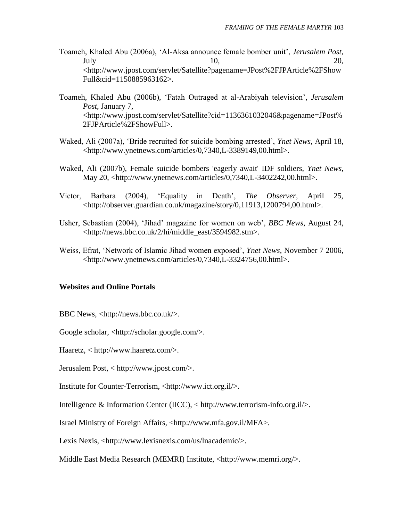- Toameh, Khaled Abu (2006a), "Al-Aksa announce female bomber unit", *Jerusalem Post*, July  $10$ ,  $20$ , <http://www.jpost.com/servlet/Satellite?pagename=JPost%2FJPArticle%2FShow Full&cid=1150885963162>.
- Toameh, Khaled Abu (2006b), "Fatah Outraged at al-Arabiyah television", *Jerusalem Post*, January 7, <http://www.jpost.com/servlet/Satellite?cid=1136361032046&pagename=JPost% 2FJPArticle%2FShowFull>.
- Waked, Ali (2007a), "Bride recruited for suicide bombing arrested", *Ynet News,* April 18, <http://www.ynetnews.com/articles/0,7340,L-3389149,00.html>.
- Waked, Ali (2007b), Female suicide bombers 'eagerly await' IDF soldiers, *Ynet News,* May 20, <http://www.ynetnews.com/articles/0,7340,L-3402242,00.html>.
- Victor, Barbara (2004), "Equality in Death", *The Observer*, April 25, <http://observer.guardian.co.uk/magazine/story/0,11913,1200794,00.html>.
- Usher, Sebastian (2004), "Jihad" magazine for women on web", *BBC News*, August 24, <http://news.bbc.co.uk/2/hi/middle\_east/3594982.stm>.
- Weiss, Efrat, "Network of Islamic Jihad women exposed", *Ynet News*, November 7 2006, <http://www.ynetnews.com/articles/0,7340,L-3324756,00.html>.

## **Websites and Online Portals**

BBC News, <http://news.bbc.co.uk/>.

Google scholar, <http://scholar.google.com/>.

Haaretz, < http://www.haaretz.com/>.

Jerusalem Post, < http://www.jpost.com/>.

Institute for Counter-Terrorism, <http://www.ict.org.il/>.

Intelligence & Information Center (IICC), < http://www.terrorism-info.org.il/>.

Israel Ministry of Foreign Affairs, <http://www.mfa.gov.il/MFA>.

Lexis Nexis, <http://www.lexisnexis.com/us/lnacademic/>.

Middle East Media Research (MEMRI) Institute, <http://www.memri.org/>.